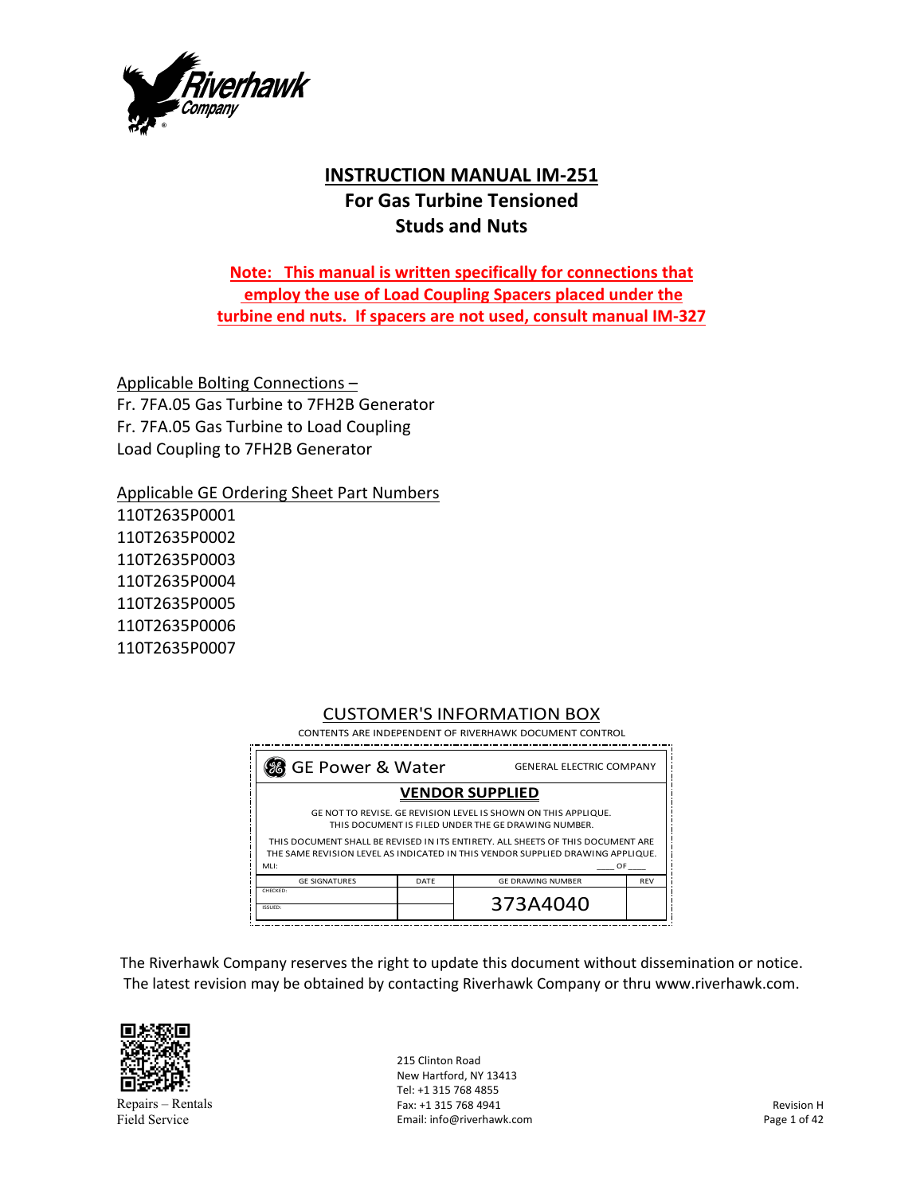

# **INSTRUCTION MANUAL IM‐251 For Gas Turbine Tensioned Studs and Nuts**

**Note: This manual is written specifically for connections that employ the use of Load Coupling Spacers placed under the turbine end nuts. If spacers are not used, consult manual IM‐327** 

Applicable Bolting Connections – Fr. 7FA.05 Gas Turbine to 7FH2B Generator Fr. 7FA.05 Gas Turbine to Load Coupling Load Coupling to 7FH2B Generator

Applicable GE Ordering Sheet Part Numbers

110T2635P0001 110T2635P0002 110T2635P0003 110T2635P0004 110T2635P0005 110T2635P0006 110T2635P0007

#### CUSTOMER'S INFORMATION BOX CONTENTS ARE INDEPENDENT OF RIVERHAWK DOCUMENT CONTROL

 **GE POWER & Water** GENERAL ELECTRIC COMPANY MLI: \_\_\_\_ OF \_\_\_\_ DATE ISSUED: THIS DOCUMENT SHALL BE REVISED IN ITS ENTIRETY. ALL SHEETS OF THIS DOCUMENT ARE THE SAME REVISION LEVEL AS INDICATED IN THIS VENDOR SUPPLIED DRAWING APPLIQUE. REV 373A4040 GE DRAWING NUMBER **VENDOR SUPPLIED** THIS DOCUMENT IS FILED UNDER THE GE DRAWING NUMBER. GE NOT TO REVISE. GE REVISION LEVEL IS SHOWN ON THIS APPLIQUE. GE SIGNATURES CHECKED:

The Riverhawk Company reserves the right to update this document without dissemination or notice. The latest revision may be obtained by contacting Riverhawk Company or thru www.riverhawk.com.



Repairs – Rentals Field Service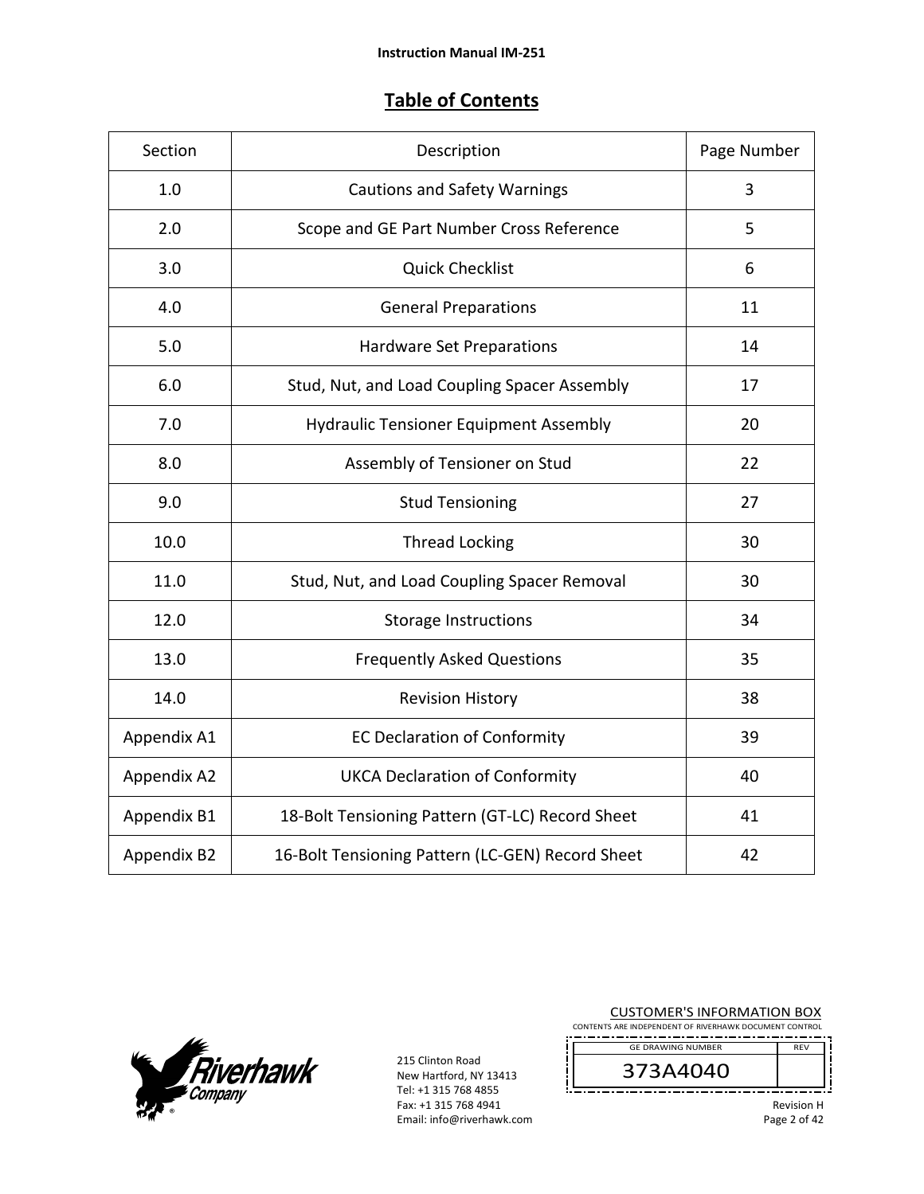# **Table of Contents**

| Section     | Description                                      | Page Number |
|-------------|--------------------------------------------------|-------------|
| 1.0         | <b>Cautions and Safety Warnings</b>              | 3           |
| 2.0         | Scope and GE Part Number Cross Reference         | 5           |
| 3.0         | <b>Quick Checklist</b>                           | 6           |
| 4.0         | <b>General Preparations</b>                      | 11          |
| 5.0         | Hardware Set Preparations                        | 14          |
| 6.0         | Stud, Nut, and Load Coupling Spacer Assembly     | 17          |
| 7.0         | <b>Hydraulic Tensioner Equipment Assembly</b>    | 20          |
| 8.0         | Assembly of Tensioner on Stud                    | 22          |
| 9.0         | <b>Stud Tensioning</b>                           | 27          |
| 10.0        | <b>Thread Locking</b>                            | 30          |
| 11.0        | Stud, Nut, and Load Coupling Spacer Removal      | 30          |
| 12.0        | <b>Storage Instructions</b>                      | 34          |
| 13.0        | <b>Frequently Asked Questions</b>                | 35          |
| 14.0        | <b>Revision History</b>                          | 38          |
| Appendix A1 | <b>EC Declaration of Conformity</b>              | 39          |
| Appendix A2 | <b>UKCA Declaration of Conformity</b>            | 40          |
| Appendix B1 | 18-Bolt Tensioning Pattern (GT-LC) Record Sheet  | 41          |
| Appendix B2 | 16-Bolt Tensioning Pattern (LC-GEN) Record Sheet | 42          |



215 Clinton Road New Hartford, NY 13413 Tel: +1 315 768 4855 Fax: +1 315 768 4941 Email: info@riverhawk.com

| <b>CUSTOMER'S INFORMATION BOX</b><br>CONTENTS ARE INDEPENDENT OF RIVERHAWK DOCUMENT CONTROL |                              |  |
|---------------------------------------------------------------------------------------------|------------------------------|--|
| <b>GF DRAWING NUMBER</b>                                                                    | <b>RFV</b>                   |  |
| 373A4040                                                                                    |                              |  |
| _                                                                                           | <b>Revision H</b><br>- - - - |  |

Page 2 of 42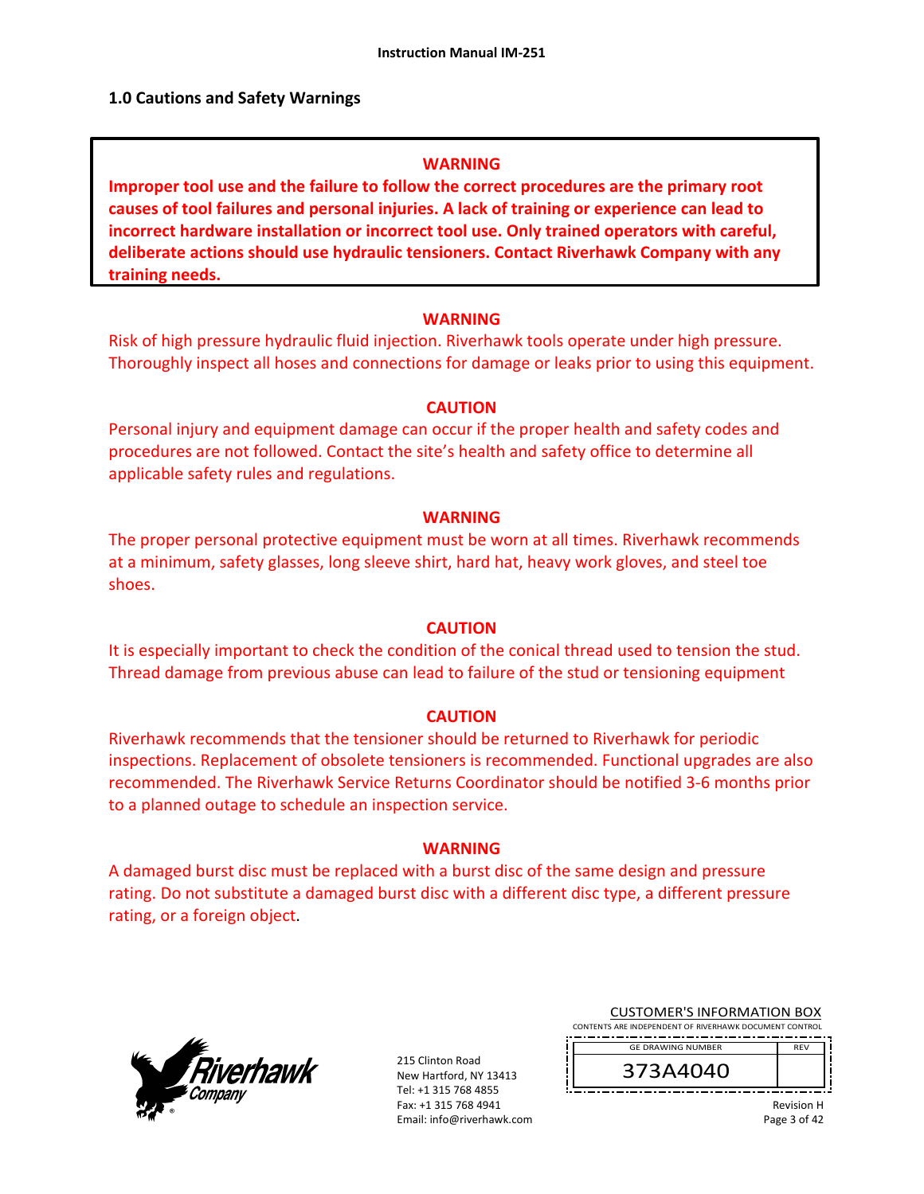#### **1.0 Cautions and Safety Warnings**

#### **WARNING**

**Improper tool use and the failure to follow the correct procedures are the primary root causes of tool failures and personal injuries. A lack of training or experience can lead to incorrect hardware installation or incorrect tool use. Only trained operators with careful, deliberate actions should use hydraulic tensioners. Contact Riverhawk Company with any training needs.** 

#### **WARNING**

Risk of high pressure hydraulic fluid injection. Riverhawk tools operate under high pressure. Thoroughly inspect all hoses and connections for damage or leaks prior to using this equipment.

#### **CAUTION**

Personal injury and equipment damage can occur if the proper health and safety codes and procedures are not followed. Contact the site's health and safety office to determine all applicable safety rules and regulations.

#### **WARNING**

The proper personal protective equipment must be worn at all times. Riverhawk recommends at a minimum, safety glasses, long sleeve shirt, hard hat, heavy work gloves, and steel toe shoes.

#### **CAUTION**

It is especially important to check the condition of the conical thread used to tension the stud. Thread damage from previous abuse can lead to failure of the stud or tensioning equipment

#### **CAUTION**

Riverhawk recommends that the tensioner should be returned to Riverhawk for periodic inspections. Replacement of obsolete tensioners is recommended. Functional upgrades are also recommended. The Riverhawk Service Returns Coordinator should be notified 3‐6 months prior to a planned outage to schedule an inspection service.

#### **WARNING**

A damaged burst disc must be replaced with a burst disc of the same design and pressure rating. Do not substitute a damaged burst disc with a different disc type, a different pressure rating, or a foreign object.



215 Clinton Road New Hartford, NY 13413 Tel: +1 315 768 4855 Fax: +1 315 768 4941 Email: info@riverhawk.com

|                                                        | <b>CUSTOMER'S INFORMATION BOX</b> |  |  |  |
|--------------------------------------------------------|-----------------------------------|--|--|--|
| CONTENTS ARE INDEPENDENT OF RIVERHAWK DOCUMENT CONTROL |                                   |  |  |  |
| -----------------------------------                    |                                   |  |  |  |

GE DRAWING NUMBER

373A4040

REV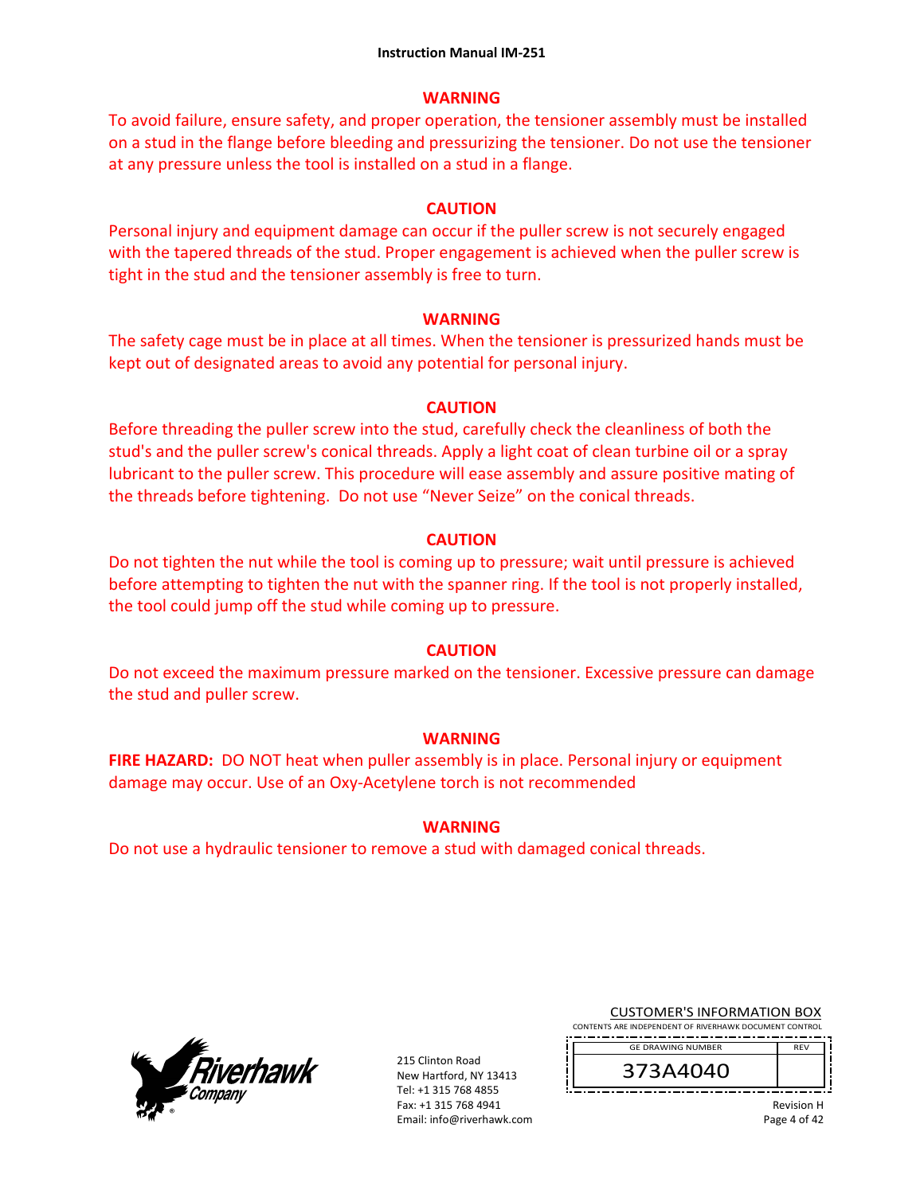### **WARNING**

To avoid failure, ensure safety, and proper operation, the tensioner assembly must be installed on a stud in the flange before bleeding and pressurizing the tensioner. Do not use the tensioner at any pressure unless the tool is installed on a stud in a flange.

## **CAUTION**

Personal injury and equipment damage can occur if the puller screw is not securely engaged with the tapered threads of the stud. Proper engagement is achieved when the puller screw is tight in the stud and the tensioner assembly is free to turn.

## **WARNING**

The safety cage must be in place at all times. When the tensioner is pressurized hands must be kept out of designated areas to avoid any potential for personal injury.

## **CAUTION**

Before threading the puller screw into the stud, carefully check the cleanliness of both the stud's and the puller screw's conical threads. Apply a light coat of clean turbine oil or a spray lubricant to the puller screw. This procedure will ease assembly and assure positive mating of the threads before tightening. Do not use "Never Seize" on the conical threads.

## **CAUTION**

Do not tighten the nut while the tool is coming up to pressure; wait until pressure is achieved before attempting to tighten the nut with the spanner ring. If the tool is not properly installed, the tool could jump off the stud while coming up to pressure.

## **CAUTION**

Do not exceed the maximum pressure marked on the tensioner. Excessive pressure can damage the stud and puller screw.

## **WARNING**

**FIRE HAZARD:** DO NOT heat when puller assembly is in place. Personal injury or equipment damage may occur. Use of an Oxy‐Acetylene torch is not recommended

## **WARNING**

Do not use a hydraulic tensioner to remove a stud with damaged conical threads.



215 Clinton Road New Hartford, NY 13413 Tel: +1 315 768 4855 Fax: +1 315 768 4941 Email: info@riverhawk.com

| <b>CUSTOMER'S INFORMATION BOX</b> |  |  |
|-----------------------------------|--|--|
|                                   |  |  |

CONTENTS ARE INDEPENDENT OF RIVERHAWK DOCUMENT CONTROL REV GE DRAWING NUMBER

Revision H Page 4 of 42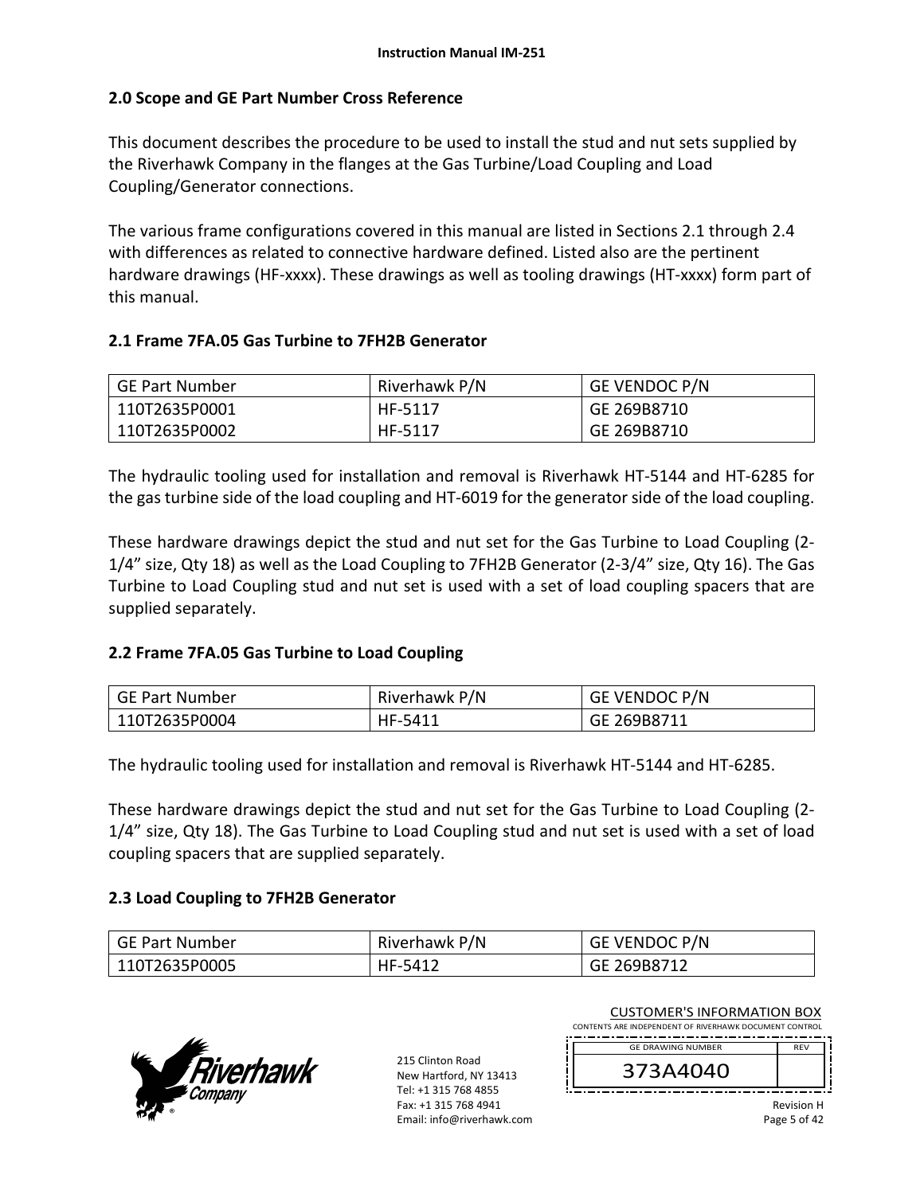## **2.0 Scope and GE Part Number Cross Reference**

This document describes the procedure to be used to install the stud and nut sets supplied by the Riverhawk Company in the flanges at the Gas Turbine/Load Coupling and Load Coupling/Generator connections.

The various frame configurations covered in this manual are listed in Sections 2.1 through 2.4 with differences as related to connective hardware defined. Listed also are the pertinent hardware drawings (HF‐xxxx). These drawings as well as tooling drawings (HT‐xxxx) form part of this manual.

## **2.1 Frame 7FA.05 Gas Turbine to 7FH2B Generator**

| GE Part Number | Riverhawk P/N | <b>GE VENDOC P/N</b> |
|----------------|---------------|----------------------|
| 110T2635P0001  | HF-5117       | GE 269B8710          |
| 110T2635P0002  | HF-5117       | GE 269B8710          |

The hydraulic tooling used for installation and removal is Riverhawk HT‐5144 and HT‐6285 for the gas turbine side of the load coupling and HT‐6019 for the generator side of the load coupling.

These hardware drawings depict the stud and nut set for the Gas Turbine to Load Coupling (2‐ 1/4" size, Qty 18) as well as the Load Coupling to 7FH2B Generator (2‐3/4" size, Qty 16). The Gas Turbine to Load Coupling stud and nut set is used with a set of load coupling spacers that are supplied separately.

#### **2.2 Frame 7FA.05 Gas Turbine to Load Coupling**

| GE Part Number | Riverhawk P/N | <b>GE VENDOC P/N</b> |
|----------------|---------------|----------------------|
| 110T2635P0004  | HF-5411       | GE 269B8711          |

The hydraulic tooling used for installation and removal is Riverhawk HT‐5144 and HT‐6285.

These hardware drawings depict the stud and nut set for the Gas Turbine to Load Coupling (2‐ 1/4" size, Qty 18). The Gas Turbine to Load Coupling stud and nut set is used with a set of load coupling spacers that are supplied separately.

#### **2.3 Load Coupling to 7FH2B Generator**

| GE Part Number | Riverhawk P/N | GE VENDOC P/N |
|----------------|---------------|---------------|
| 110T2635P0005  | HF-5412       | GE 269B8712   |



215 Clinton Road New Hartford, NY 13413 Tel: +1 315 768 4855 Fax: +1 315 768 4941 Email: info@riverhawk.com CONTENTS ARE INDEPENDENT OF RIVERHAWK DOCUMENT CONTROL REV 373A4040 GE DRAWING NUMBER

CUSTOMER'S INFORMATION BOX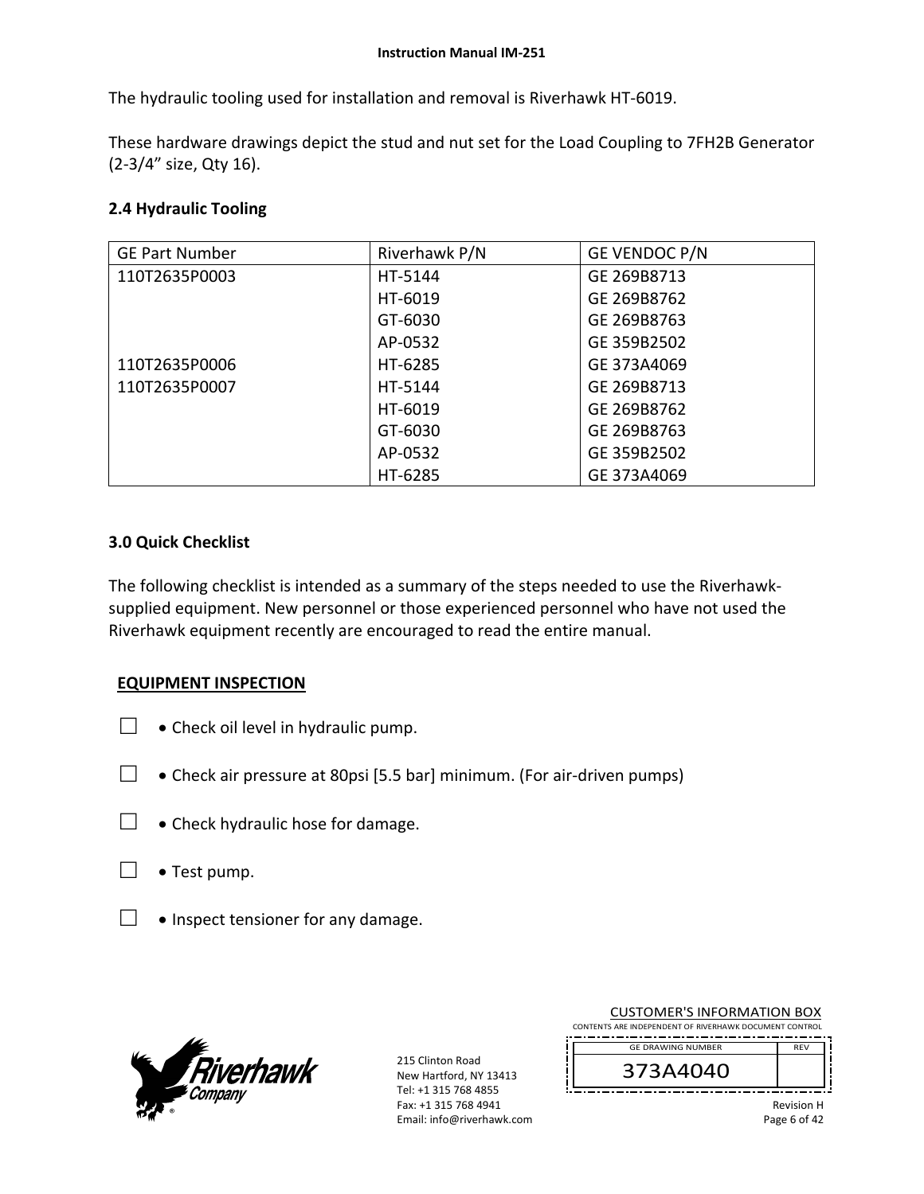The hydraulic tooling used for installation and removal is Riverhawk HT‐6019.

These hardware drawings depict the stud and nut set for the Load Coupling to 7FH2B Generator (2‐3/4" size, Qty 16).

## **2.4 Hydraulic Tooling**

| <b>GE Part Number</b> | Riverhawk P/N | GE VENDOC P/N |
|-----------------------|---------------|---------------|
| 110T2635P0003         | HT-5144       | GE 269B8713   |
|                       | HT-6019       | GE 269B8762   |
|                       | GT-6030       | GE 269B8763   |
|                       | AP-0532       | GE 359B2502   |
| 110T2635P0006         | HT-6285       | GE 373A4069   |
| 110T2635P0007         | HT-5144       | GE 269B8713   |
|                       | HT-6019       | GE 269B8762   |
|                       | GT-6030       | GE 269B8763   |
|                       | AP-0532       | GE 359B2502   |
|                       | HT-6285       | GE 373A4069   |

#### **3.0 Quick Checklist**

The following checklist is intended as a summary of the steps needed to use the Riverhawk‐ supplied equipment. New personnel or those experienced personnel who have not used the Riverhawk equipment recently are encouraged to read the entire manual.

#### **EQUIPMENT INSPECTION**

- $\Box$  Check oil level in hydraulic pump.
- $□$  Check air pressure at 80psi [5.5 bar] minimum. (For air-driven pumps)
- □ Check hydraulic hose for damage.
- $\Box \bullet$  Test pump.
- $\Box$  . Inspect tensioner for any damage.



215 Clinton Road New Hartford, NY 13413 Tel: +1 315 768 4855 Fax: +1 315 768 4941 Email: info@riverhawk.com

| CONTENTS ARE INDEPENDENT OF RIVERHAWK DOCUMENT CONTROL |                   |
|--------------------------------------------------------|-------------------|
| <b>GE DRAWING NUMBER</b>                               | <b>RFV</b>        |
| 373A4040                                               |                   |
|                                                        | <b>Revision H</b> |

CUSTOMER'S INFORMATION BOX

Revision H Page 6 of 42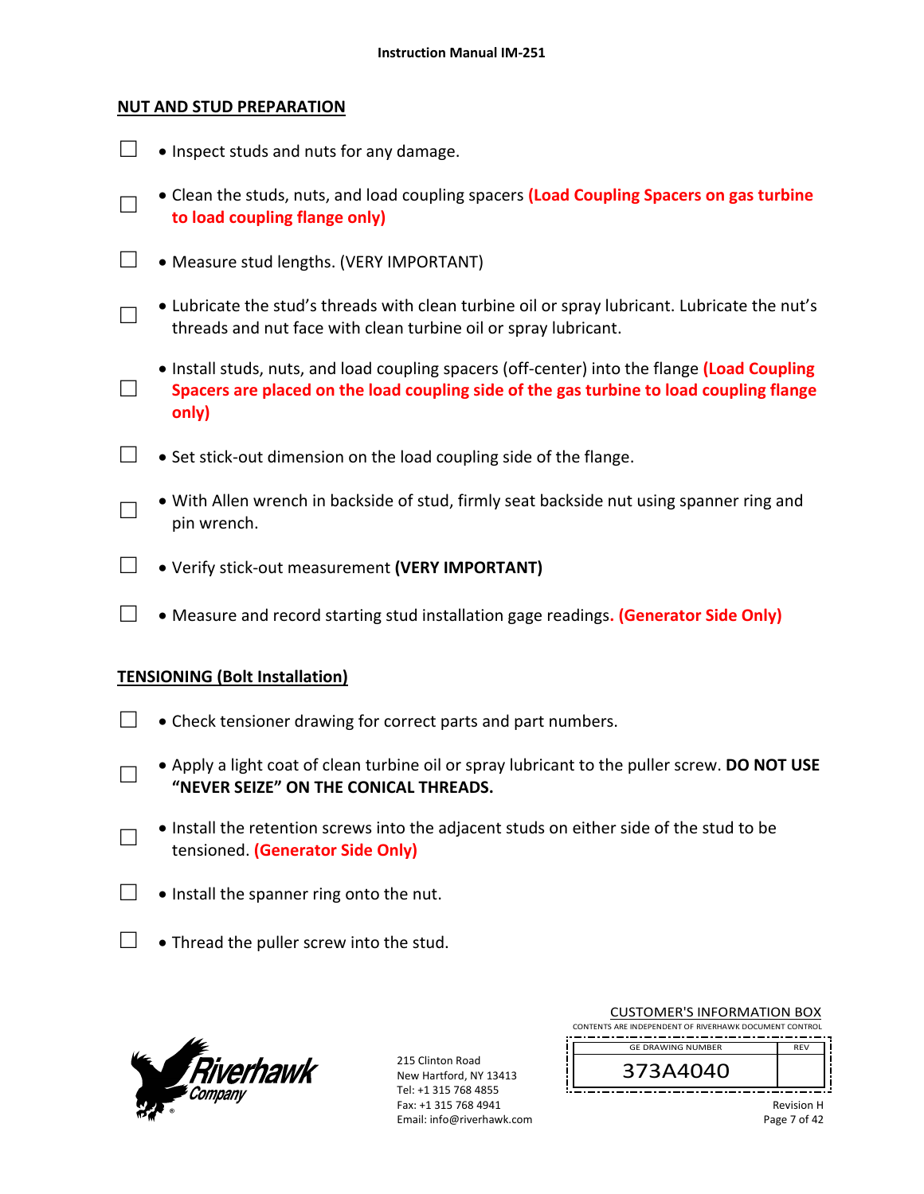### **NUT AND STUD PREPARATION**

|        | • Inspect studs and nuts for any damage.                                                                                                                                                         |
|--------|--------------------------------------------------------------------------------------------------------------------------------------------------------------------------------------------------|
|        | • Clean the studs, nuts, and load coupling spacers (Load Coupling Spacers on gas turbine<br>to load coupling flange only)                                                                        |
|        | • Measure stud lengths. (VERY IMPORTANT)                                                                                                                                                         |
|        | • Lubricate the stud's threads with clean turbine oil or spray lubricant. Lubricate the nut's<br>threads and nut face with clean turbine oil or spray lubricant.                                 |
| $\Box$ | • Install studs, nuts, and load coupling spacers (off-center) into the flange (Load Coupling<br>Spacers are placed on the load coupling side of the gas turbine to load coupling flange<br>only) |
|        | • Set stick-out dimension on the load coupling side of the flange.                                                                                                                               |
|        | • With Allen wrench in backside of stud, firmly seat backside nut using spanner ring and<br>pin wrench.                                                                                          |
|        | • Verify stick-out measurement (VERY IMPORTANT)                                                                                                                                                  |
|        | • Measure and record starting stud installation gage readings. (Generator Side Only)                                                                                                             |
|        | <b>TENSIONING (Bolt Installation)</b>                                                                                                                                                            |
|        | • Check tensioner drawing for correct parts and part numbers.                                                                                                                                    |
|        | . Apply a light coat of clean turbine oil or spray lubricant to the puller screw. DO NOT USE<br>"NEVER SEIZE" ON THE CONICAL THREADS.                                                            |
|        | • Install the retention screws into the adjacent studs on either side of the stud to be<br>tensioned. (Generator Side Only)                                                                      |
|        | . Install the spanner ring onto the nut.                                                                                                                                                         |
|        | • Thread the puller screw into the stud.                                                                                                                                                         |



215 Clinton Road New Hartford, NY 13413 Tel: +1 315 768 4855 Fax: +1 315 768 4941 Email: info@riverhawk.com

| <b>CUSTOMER'S INFORMATION BOX</b><br>CONTENTS ARE INDEPENDENT OF RIVERHAWK DOCUMENT CONTROL |            |  |  |
|---------------------------------------------------------------------------------------------|------------|--|--|
| <b>GE DRAWING NUMBER</b>                                                                    | <b>RFV</b> |  |  |
| 373A4040                                                                                    |            |  |  |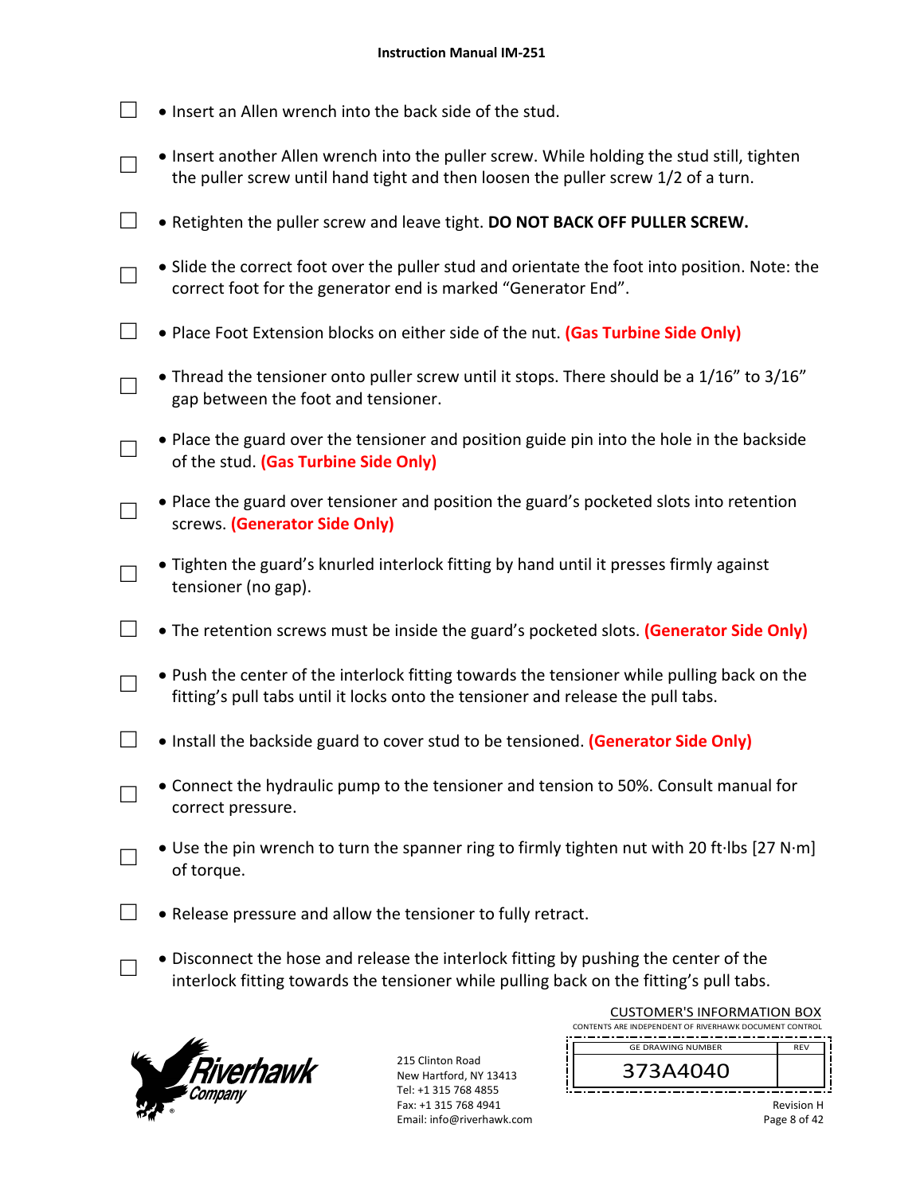- $\Box$  . Insert an Allen wrench into the back side of the stud.
- □ • Insert another Allen wrench into the puller screw. While holding the stud still, tighten the puller screw until hand tight and then loosen the puller screw 1/2 of a turn.
- □ Retighten the puller screw and leave tight. **DO NOT BACK OFF PULLER SCREW.**
- □ Slide the correct foot over the puller stud and orientate the foot into position. Note: the correct foot for the generator end is marked "Generator End".
- □ Place Foot Extension blocks on either side of the nut. **(Gas Turbine Side Only)**
- □ • Thread the tensioner onto puller screw until it stops. There should be a 1/16" to 3/16" gap between the foot and tensioner.
- □ Place the guard over the tensioner and position guide pin into the hole in the backside of the stud. **(Gas Turbine Side Only)**
- □ Place the guard over tensioner and position the guard's pocketed slots into retention screws. **(Generator Side Only)**
- □ Tighten the guard's knurled interlock fitting by hand until it presses firmly against tensioner (no gap).
- □ The retention screws must be inside the guard's pocketed slots. **(Generator Side Only)**
	- Push the center of the interlock fitting towards the tensioner while pulling back on the fitting's pull tabs until it locks onto the tensioner and release the pull tabs.
- □ Install the backside guard to cover stud to be tensioned. **(Generator Side Only)** 
	- Connect the hydraulic pump to the tensioner and tension to 50%. Consult manual for correct pressure.
	- Use the pin wrench to turn the spanner ring to firmly tighten nut with 20 ft∙lbs [27 N∙m] of torque.
- $\Box$  . Release pressure and allow the tensioner to fully retract.
	- Disconnect the hose and release the interlock fitting by pushing the center of the interlock fitting towards the tensioner while pulling back on the fitting's pull tabs.



□

□

□

□

| <b>CUSTOMER'S INFORMATION BOX</b>                      |     |  |  |  |
|--------------------------------------------------------|-----|--|--|--|
| CONTENTS ARE INDEPENDENT OF RIVERHAWK DOCUMENT CONTROL |     |  |  |  |
| <b>GE DRAWING NUMBER</b>                               | RFV |  |  |  |
| 373A4040                                               |     |  |  |  |
|                                                        |     |  |  |  |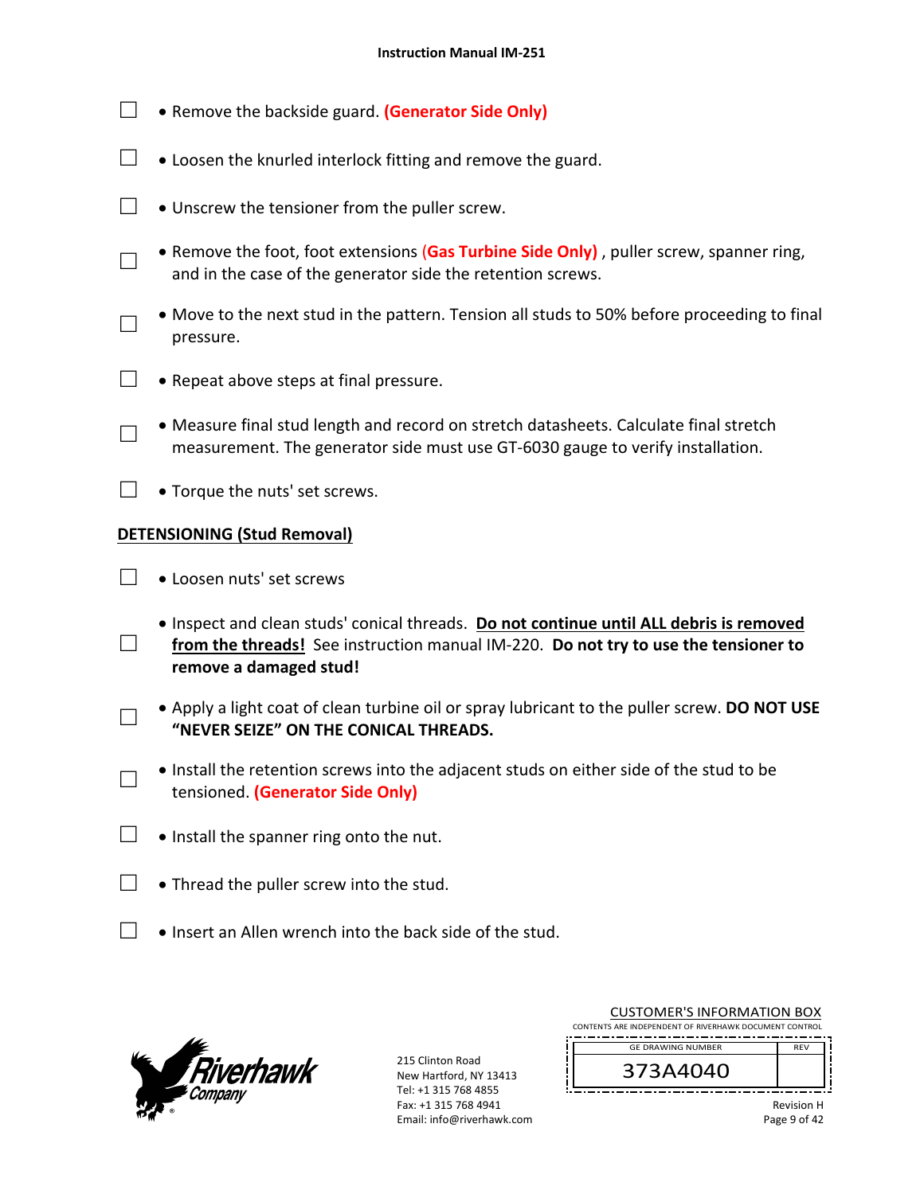- □ **•** Remove the backside guard. **(Generator Side Only)**
- $\Box$   $\bullet$  Loosen the knurled interlock fitting and remove the guard.
- $\Box$   $\bullet$  Unscrew the tensioner from the puller screw.
	- Remove the foot, foot extensions (**Gas Turbine Side Only)** , puller screw, spanner ring, and in the case of the generator side the retention screws.
- □ Move to the next stud in the pattern. Tension all studs to 50% before proceeding to final pressure.
- $\Box \bullet$  Repeat above steps at final pressure.
	- Measure final stud length and record on stretch datasheets. Calculate final stretch measurement. The generator side must use GT‐6030 gauge to verify installation.
- $\Box$   $\bullet$  Torque the nuts' set screws.

## **DETENSIONING (Stud Removal)**

□

□

□

□

- □ Loosen nuts' set screws
- □ Inspect and clean studs' conical threads. **Do not continue until ALL debris is removed**  from the threads! See instruction manual IM-220. Do not try to use the tensioner to **remove a damaged stud!** 
	- Apply a light coat of clean turbine oil or spray lubricant to the puller screw. **DO NOT USE "NEVER SEIZE" ON THE CONICAL THREADS.**
	- Install the retention screws into the adjacent studs on either side of the stud to be tensioned. **(Generator Side Only)**
- $\Box$  . Install the spanner ring onto the nut.
- $\Box$  . Thread the puller screw into the stud.
- $\Box$  . Insert an Allen wrench into the back side of the stud.



| <b>CUSTOMER'S INFORMATION BOX</b>                      |            |  |
|--------------------------------------------------------|------------|--|
| CONTENTS ARE INDEPENDENT OF RIVERHAWK DOCUMENT CONTROL |            |  |
| <b>GE DRAWING NUMBER</b>                               | <b>RFV</b> |  |
| 373A4040                                               |            |  |
|                                                        | Revision H |  |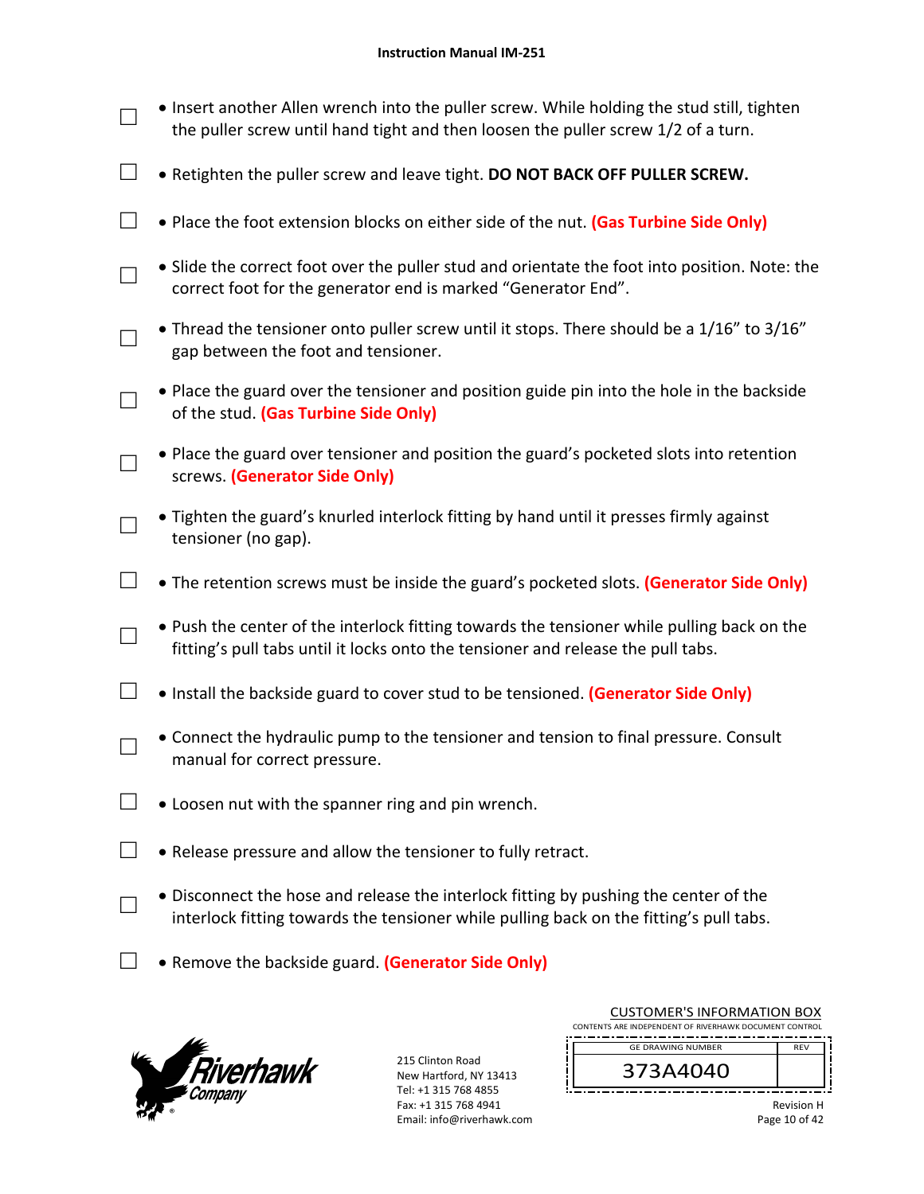- □ • Insert another Allen wrench into the puller screw. While holding the stud still, tighten the puller screw until hand tight and then loosen the puller screw 1/2 of a turn.
- □ Retighten the puller screw and leave tight. **DO NOT BACK OFF PULLER SCREW.**
- □ Place the foot extension blocks on either side of the nut. **(Gas Turbine Side Only)**
- □ Slide the correct foot over the puller stud and orientate the foot into position. Note: the correct foot for the generator end is marked "Generator End".
- □ • Thread the tensioner onto puller screw until it stops. There should be a 1/16" to 3/16" gap between the foot and tensioner.
- □ Place the guard over the tensioner and position guide pin into the hole in the backside of the stud. **(Gas Turbine Side Only)**
	- Place the guard over tensioner and position the guard's pocketed slots into retention screws. **(Generator Side Only)**
- □ Tighten the guard's knurled interlock fitting by hand until it presses firmly against tensioner (no gap).
- □ The retention screws must be inside the guard's pocketed slots. **(Generator Side Only)**
	- Push the center of the interlock fitting towards the tensioner while pulling back on the fitting's pull tabs until it locks onto the tensioner and release the pull tabs.
- □ Install the backside guard to cover stud to be tensioned. **(Generator Side Only)**
	- Connect the hydraulic pump to the tensioner and tension to final pressure. Consult manual for correct pressure.
- $\Box$   $\bullet$  Loosen nut with the spanner ring and pin wrench.
- $\Box$  . Release pressure and allow the tensioner to fully retract.
	- Disconnect the hose and release the interlock fitting by pushing the center of the interlock fitting towards the tensioner while pulling back on the fitting's pull tabs.
- □ Remove the backside guard. (Generator Side Only)



□

□

□

□

215 Clinton Road New Hartford, NY 13413 Tel: +1 315 768 4855 Fax: +1 315 768 4941 Email: info@riverhawk.com

| CUSTUMER S INFORMATION BUX                             |            |  |  |  |
|--------------------------------------------------------|------------|--|--|--|
| CONTENTS ARE INDEPENDENT OF RIVERHAWK DOCUMENT CONTROL |            |  |  |  |
|                                                        |            |  |  |  |
| <b>GE DRAWING NUMBER</b>                               | <b>RFV</b> |  |  |  |
|                                                        |            |  |  |  |
| 373A4040                                               |            |  |  |  |
|                                                        |            |  |  |  |

CUCTOMERIC INFORMATION BOY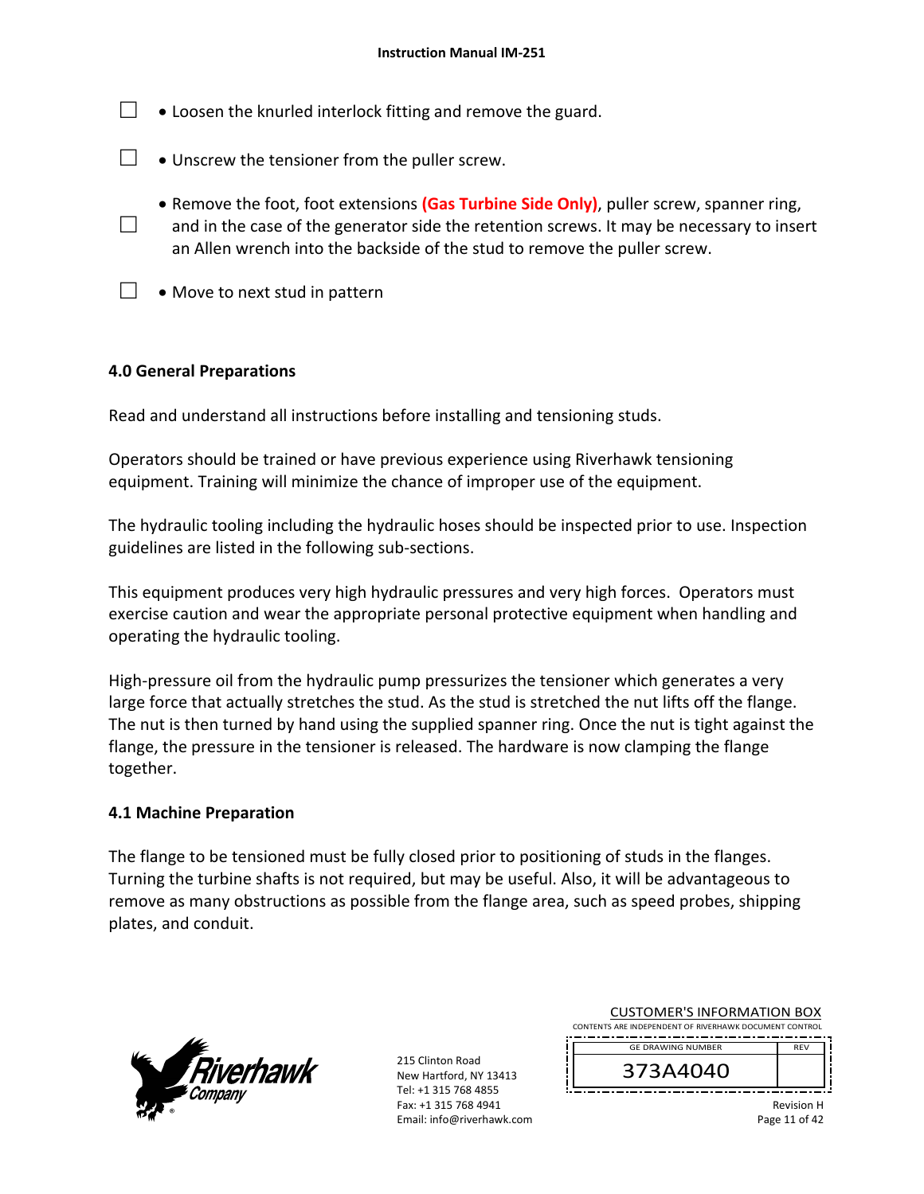- $\Box$   $\bullet$  Loosen the knurled interlock fitting and remove the guard.
- $\Box$   $\bullet$  Unscrew the tensioner from the puller screw.
- □ **• Remove the foot, foot extensions (Gas Turbine Side Only)**, puller screw, spanner ring, and in the case of the generator side the retention screws. It may be necessary to insert an Allen wrench into the backside of the stud to remove the puller screw.
- $\Box \bullet$  Move to next stud in pattern

#### **4.0 General Preparations**

Read and understand all instructions before installing and tensioning studs.

Operators should be trained or have previous experience using Riverhawk tensioning equipment. Training will minimize the chance of improper use of the equipment.

The hydraulic tooling including the hydraulic hoses should be inspected prior to use. Inspection guidelines are listed in the following sub‐sections.

This equipment produces very high hydraulic pressures and very high forces. Operators must exercise caution and wear the appropriate personal protective equipment when handling and operating the hydraulic tooling.

High-pressure oil from the hydraulic pump pressurizes the tensioner which generates a very large force that actually stretches the stud. As the stud is stretched the nut lifts off the flange. The nut is then turned by hand using the supplied spanner ring. Once the nut is tight against the flange, the pressure in the tensioner is released. The hardware is now clamping the flange together.

#### **4.1 Machine Preparation**

The flange to be tensioned must be fully closed prior to positioning of studs in the flanges. Turning the turbine shafts is not required, but may be useful. Also, it will be advantageous to remove as many obstructions as possible from the flange area, such as speed probes, shipping plates, and conduit.



215 Clinton Road New Hartford, NY 13413 Tel: +1 315 768 4855 Fax: +1 315 768 4941 Email: info@riverhawk.com

| CONTENTS ARE INDEPENDENT OF RIVERHAWK DOCUMENT CONTROL |            |  |  |  |
|--------------------------------------------------------|------------|--|--|--|
| <b>GE DRAWING NUMBER</b>                               | <b>RFV</b> |  |  |  |
| 373A4040                                               |            |  |  |  |

CUSTOMER'S INFORMATION BOX

Revision H Page 11 of 42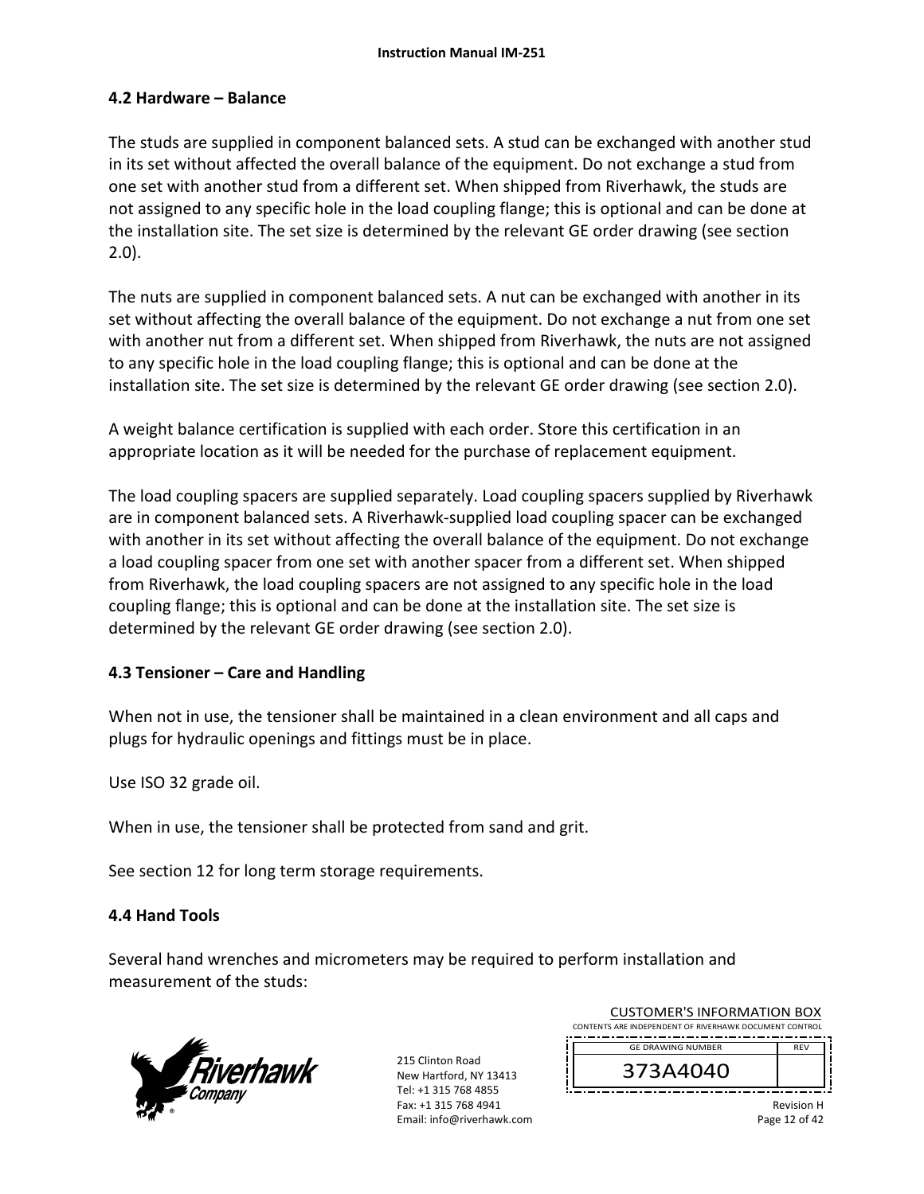### **4.2 Hardware – Balance**

The studs are supplied in component balanced sets. A stud can be exchanged with another stud in its set without affected the overall balance of the equipment. Do not exchange a stud from one set with another stud from a different set. When shipped from Riverhawk, the studs are not assigned to any specific hole in the load coupling flange; this is optional and can be done at the installation site. The set size is determined by the relevant GE order drawing (see section 2.0).

The nuts are supplied in component balanced sets. A nut can be exchanged with another in its set without affecting the overall balance of the equipment. Do not exchange a nut from one set with another nut from a different set. When shipped from Riverhawk, the nuts are not assigned to any specific hole in the load coupling flange; this is optional and can be done at the installation site. The set size is determined by the relevant GE order drawing (see section 2.0).

A weight balance certification is supplied with each order. Store this certification in an appropriate location as it will be needed for the purchase of replacement equipment.

The load coupling spacers are supplied separately. Load coupling spacers supplied by Riverhawk are in component balanced sets. A Riverhawk‐supplied load coupling spacer can be exchanged with another in its set without affecting the overall balance of the equipment. Do not exchange a load coupling spacer from one set with another spacer from a different set. When shipped from Riverhawk, the load coupling spacers are not assigned to any specific hole in the load coupling flange; this is optional and can be done at the installation site. The set size is determined by the relevant GE order drawing (see section 2.0).

#### **4.3 Tensioner – Care and Handling**

When not in use, the tensioner shall be maintained in a clean environment and all caps and plugs for hydraulic openings and fittings must be in place.

Use ISO 32 grade oil.

When in use, the tensioner shall be protected from sand and grit.

See section 12 for long term storage requirements.

## **4.4 Hand Tools**

Several hand wrenches and micrometers may be required to perform installation and measurement of the studs:



| CONTENTS ARE INDEPENDENT OF RIVERHAWK DOCUMENT CONTROL<br><b>GE DRAWING NUMBER</b><br><b>RFV</b><br>373A4040 | <b>CUSTOMER'S INFORMATION BOX</b> |  |  |  |
|--------------------------------------------------------------------------------------------------------------|-----------------------------------|--|--|--|
|                                                                                                              |                                   |  |  |  |
|                                                                                                              |                                   |  |  |  |
|                                                                                                              |                                   |  |  |  |
|                                                                                                              |                                   |  |  |  |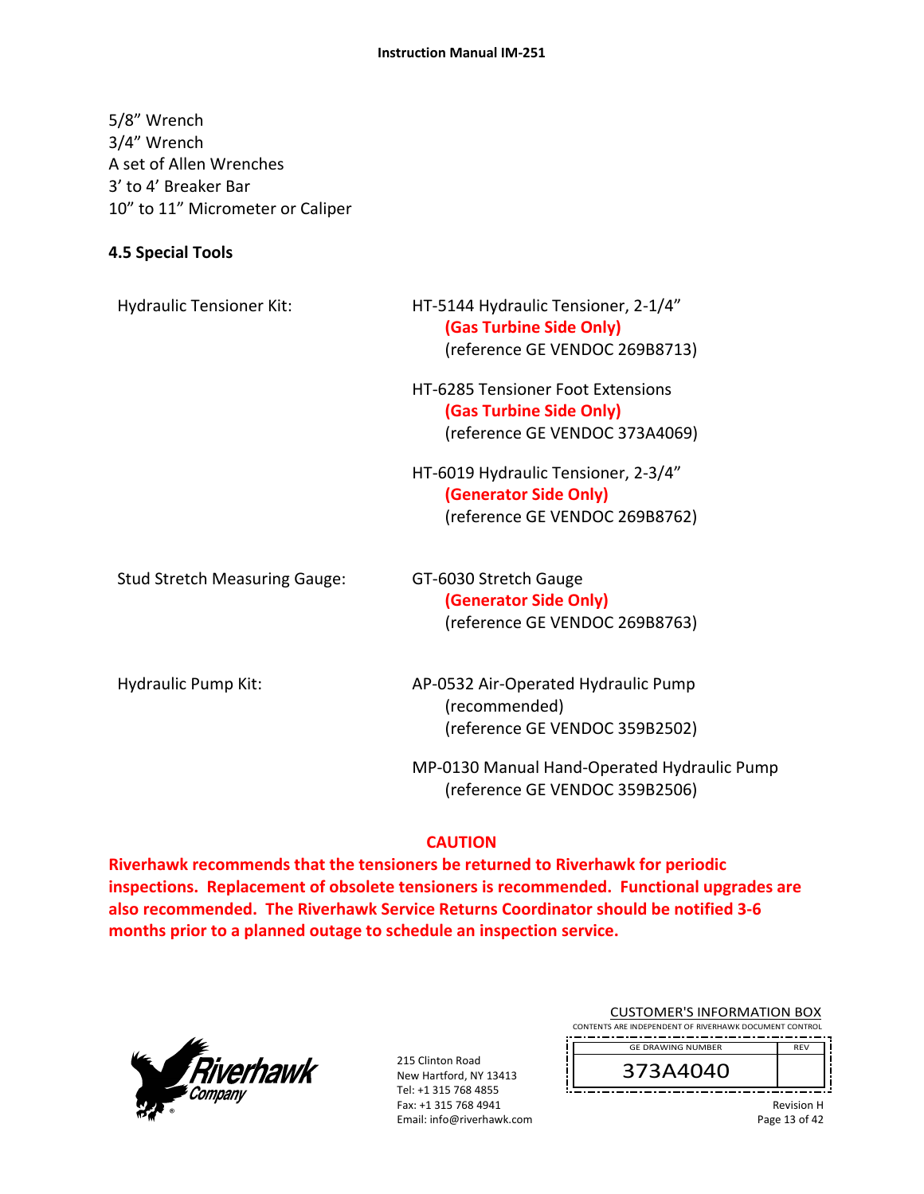#### **Instruction Manual IM‐251**

5/8" Wrench 3/4" Wrench A set of Allen Wrenches 3' to 4' Breaker Bar 10" to 11" Micrometer or Caliper

#### **4.5 Special Tools**

| <b>Hydraulic Tensioner Kit:</b>      | HT-5144 Hydraulic Tensioner, 2-1/4"<br>(Gas Turbine Side Only)<br>(reference GE VENDOC 269B8713)      |
|--------------------------------------|-------------------------------------------------------------------------------------------------------|
|                                      | <b>HT-6285 Tensioner Foot Extensions</b><br>(Gas Turbine Side Only)<br>(reference GE VENDOC 373A4069) |
|                                      | HT-6019 Hydraulic Tensioner, 2-3/4"<br>(Generator Side Only)<br>(reference GE VENDOC 269B8762)        |
| <b>Stud Stretch Measuring Gauge:</b> | GT-6030 Stretch Gauge<br>(Generator Side Only)<br>(reference GE VENDOC 269B8763)                      |
| Hydraulic Pump Kit:                  | AP-0532 Air-Operated Hydraulic Pump<br>(recommended)<br>(reference GE VENDOC 359B2502)                |
|                                      | MP-0130 Manual Hand-Operated Hydraulic Pump<br>(reference GE VENDOC 359B2506)                         |

#### **CAUTION**

**Riverhawk recommends that the tensioners be returned to Riverhawk for periodic inspections. Replacement of obsolete tensioners is recommended. Functional upgrades are also recommended. The Riverhawk Service Returns Coordinator should be notified 3‐6 months prior to a planned outage to schedule an inspection service.** 



215 Clinton Road New Hartford, NY 13413 Tel: +1 315 768 4855 Fax: +1 315 768 4941 Email: info@riverhawk.com

| <b>CUSTOMER'S INFORMATION BOX</b>                      |            |  |  |
|--------------------------------------------------------|------------|--|--|
| CONTENTS ARE INDEPENDENT OF RIVERHAWK DOCUMENT CONTROL |            |  |  |
| <b>GE DRAWING NUMBER</b>                               | <b>RFV</b> |  |  |
| 73A4040                                                |            |  |  |

Revision H Page 13 of 42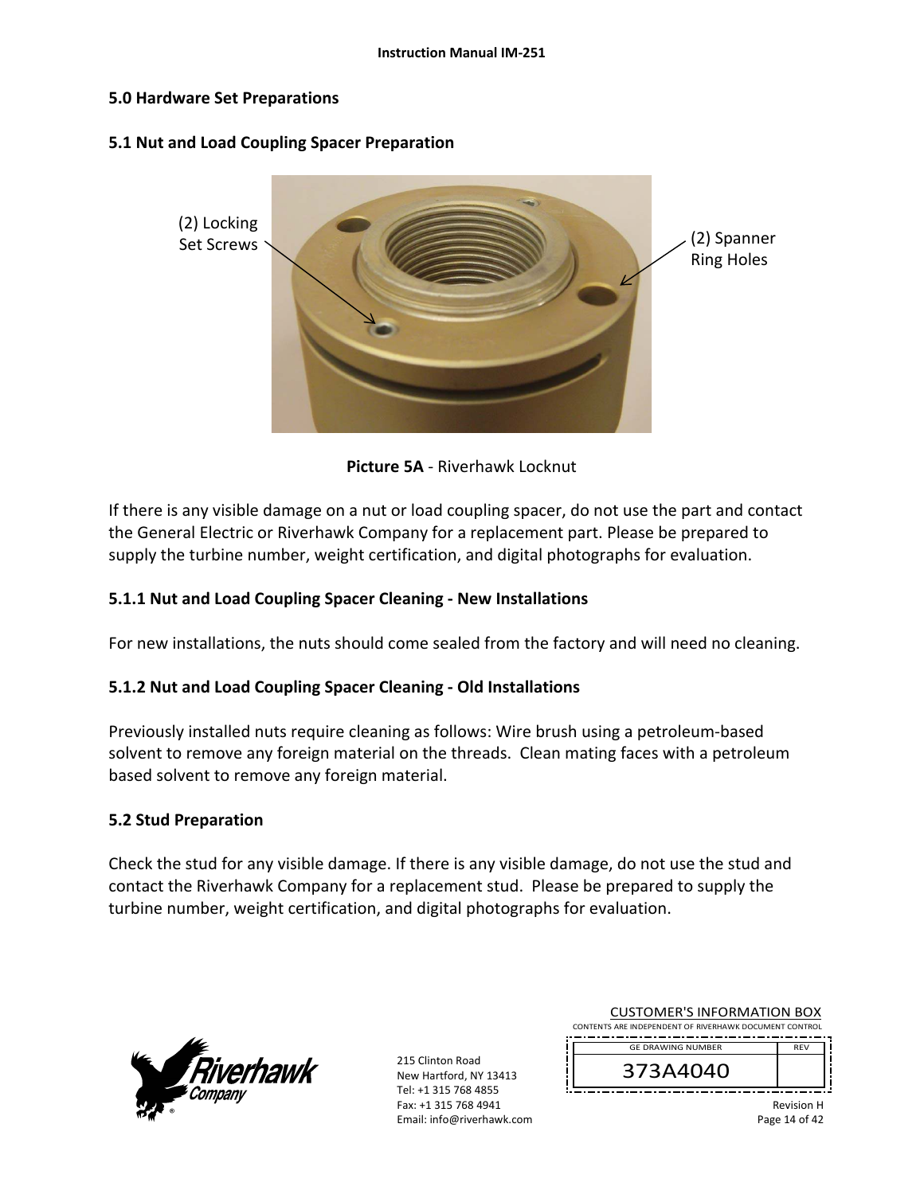#### **5.0 Hardware Set Preparations**

#### **5.1 Nut and Load Coupling Spacer Preparation**



**Picture 5A** ‐ Riverhawk Locknut

If there is any visible damage on a nut or load coupling spacer, do not use the part and contact the General Electric or Riverhawk Company for a replacement part. Please be prepared to supply the turbine number, weight certification, and digital photographs for evaluation.

#### **5.1.1 Nut and Load Coupling Spacer Cleaning ‐ New Installations**

For new installations, the nuts should come sealed from the factory and will need no cleaning.

#### **5.1.2 Nut and Load Coupling Spacer Cleaning ‐ Old Installations**

Previously installed nuts require cleaning as follows: Wire brush using a petroleum‐based solvent to remove any foreign material on the threads. Clean mating faces with a petroleum based solvent to remove any foreign material.

#### **5.2 Stud Preparation**

Check the stud for any visible damage. If there is any visible damage, do not use the stud and contact the Riverhawk Company for a replacement stud. Please be prepared to supply the turbine number, weight certification, and digital photographs for evaluation.



| CONTENTS ARE INDEPENDENT OF RIVERHAWK DOCUMENT CONTROL<br><b>GE DRAWING NUMBER</b><br><b>RFV</b><br>373A4040 | <b>CUSTOMER'S INFORMATION BOX</b> |  |  |  |
|--------------------------------------------------------------------------------------------------------------|-----------------------------------|--|--|--|
|                                                                                                              |                                   |  |  |  |
|                                                                                                              |                                   |  |  |  |
|                                                                                                              |                                   |  |  |  |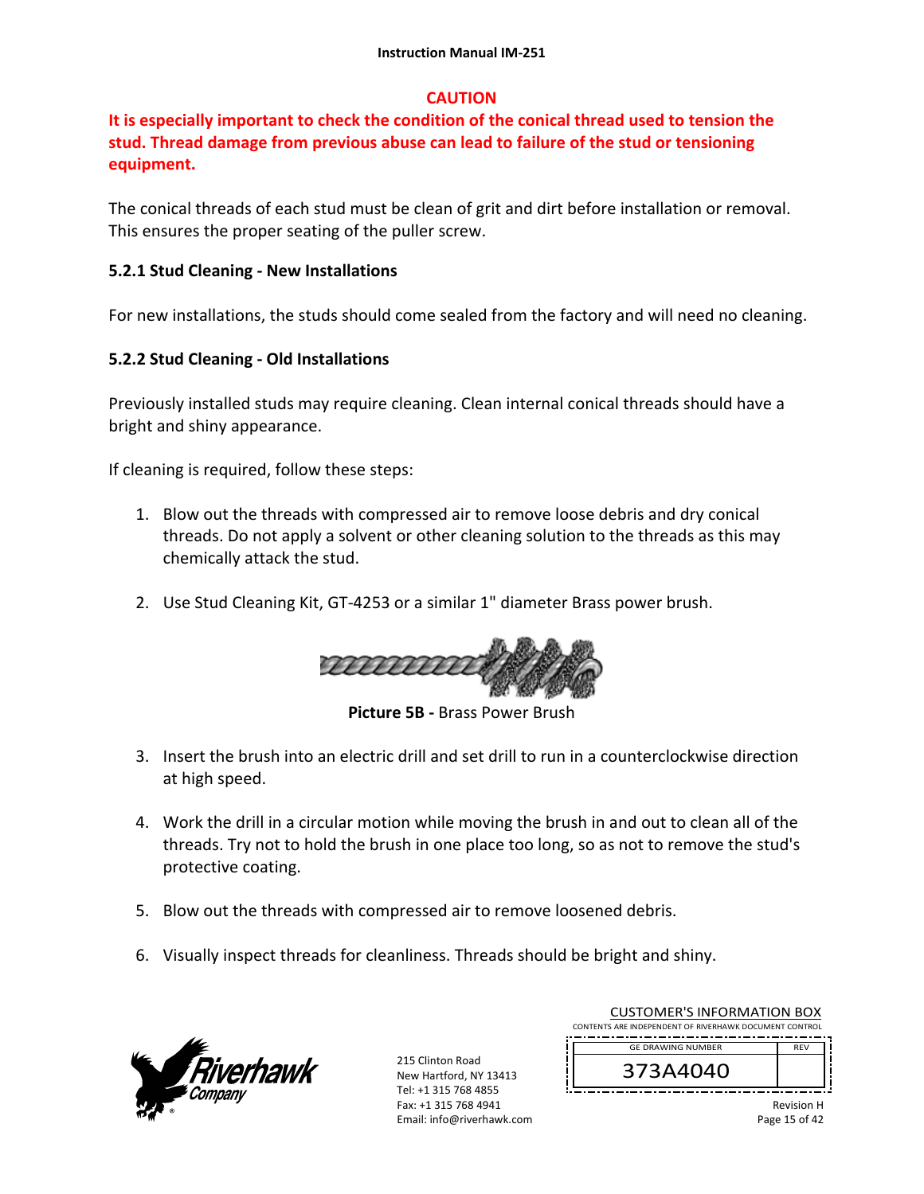## **CAUTION**

## **It is especially important to check the condition of the conical thread used to tension the stud. Thread damage from previous abuse can lead to failure of the stud or tensioning equipment.**

The conical threads of each stud must be clean of grit and dirt before installation or removal. This ensures the proper seating of the puller screw.

## **5.2.1 Stud Cleaning ‐ New Installations**

For new installations, the studs should come sealed from the factory and will need no cleaning.

## **5.2.2 Stud Cleaning ‐ Old Installations**

Previously installed studs may require cleaning. Clean internal conical threads should have a bright and shiny appearance.

If cleaning is required, follow these steps:

- 1. Blow out the threads with compressed air to remove loose debris and dry conical threads. Do not apply a solvent or other cleaning solution to the threads as this may chemically attack the stud.
- 2. Use Stud Cleaning Kit, GT‐4253 or a similar 1" diameter Brass power brush.



**Picture 5B ‐** Brass Power Brush

- 3. Insert the brush into an electric drill and set drill to run in a counterclockwise direction at high speed.
- 4. Work the drill in a circular motion while moving the brush in and out to clean all of the threads. Try not to hold the brush in one place too long, so as not to remove the stud's protective coating.
- 5. Blow out the threads with compressed air to remove loosened debris.
- 6. Visually inspect threads for cleanliness. Threads should be bright and shiny.



| <b>CUSTOMER'S INFORMATION BOX</b>                      |            |  |  |  |  |
|--------------------------------------------------------|------------|--|--|--|--|
| CONTENTS ARE INDEPENDENT OF RIVERHAWK DOCUMENT CONTROL |            |  |  |  |  |
| <b>GE DRAWING NUMBER</b>                               | <b>RFV</b> |  |  |  |  |
| 373A4040                                               |            |  |  |  |  |
|                                                        | .          |  |  |  |  |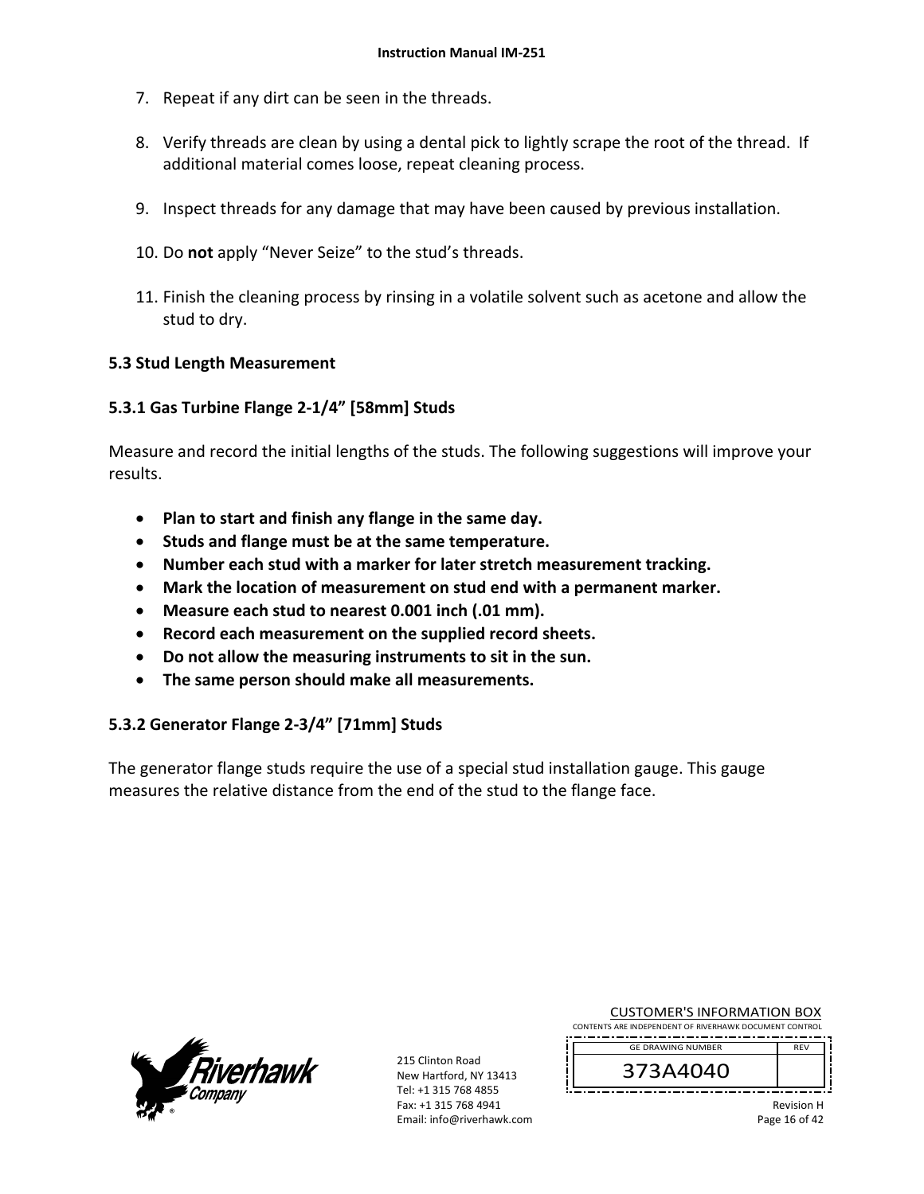- 7. Repeat if any dirt can be seen in the threads.
- 8. Verify threads are clean by using a dental pick to lightly scrape the root of the thread. If additional material comes loose, repeat cleaning process.
- 9. Inspect threads for any damage that may have been caused by previous installation.
- 10. Do **not** apply "Never Seize" to the stud's threads.
- 11. Finish the cleaning process by rinsing in a volatile solvent such as acetone and allow the stud to dry.

#### **5.3 Stud Length Measurement**

## **5.3.1 Gas Turbine Flange 2‐1/4" [58mm] Studs**

Measure and record the initial lengths of the studs. The following suggestions will improve your results.

- **Plan to start and finish any flange in the same day.**
- **Studs and flange must be at the same temperature.**
- **Number each stud with a marker for later stretch measurement tracking.**
- **Mark the location of measurement on stud end with a permanent marker.**
- **Measure each stud to nearest 0.001 inch (.01 mm).**
- **Record each measurement on the supplied record sheets.**
- **Do not allow the measuring instruments to sit in the sun.**
- **The same person should make all measurements.**

## **5.3.2 Generator Flange 2‐3/4" [71mm] Studs**

The generator flange studs require the use of a special stud installation gauge. This gauge measures the relative distance from the end of the stud to the flange face.



215 Clinton Road New Hartford, NY 13413 Tel: +1 315 768 4855 Fax: +1 315 768 4941 Email: info@riverhawk.com

|  | <b>CUSTOMER'S INFORMATION BOX</b>                        |  |  |  |  |  |
|--|----------------------------------------------------------|--|--|--|--|--|
|  | NITE ARE IN REDENIRENT OF BUILDILANING BOCULAENT CONTROL |  |  |  |  |  |

CONTENTS ARE INDEPENDENT OF RIVERHAWK DOCUMENT CONTROL REV GE DRAWING NUMBER



Revision H Page 16 of 42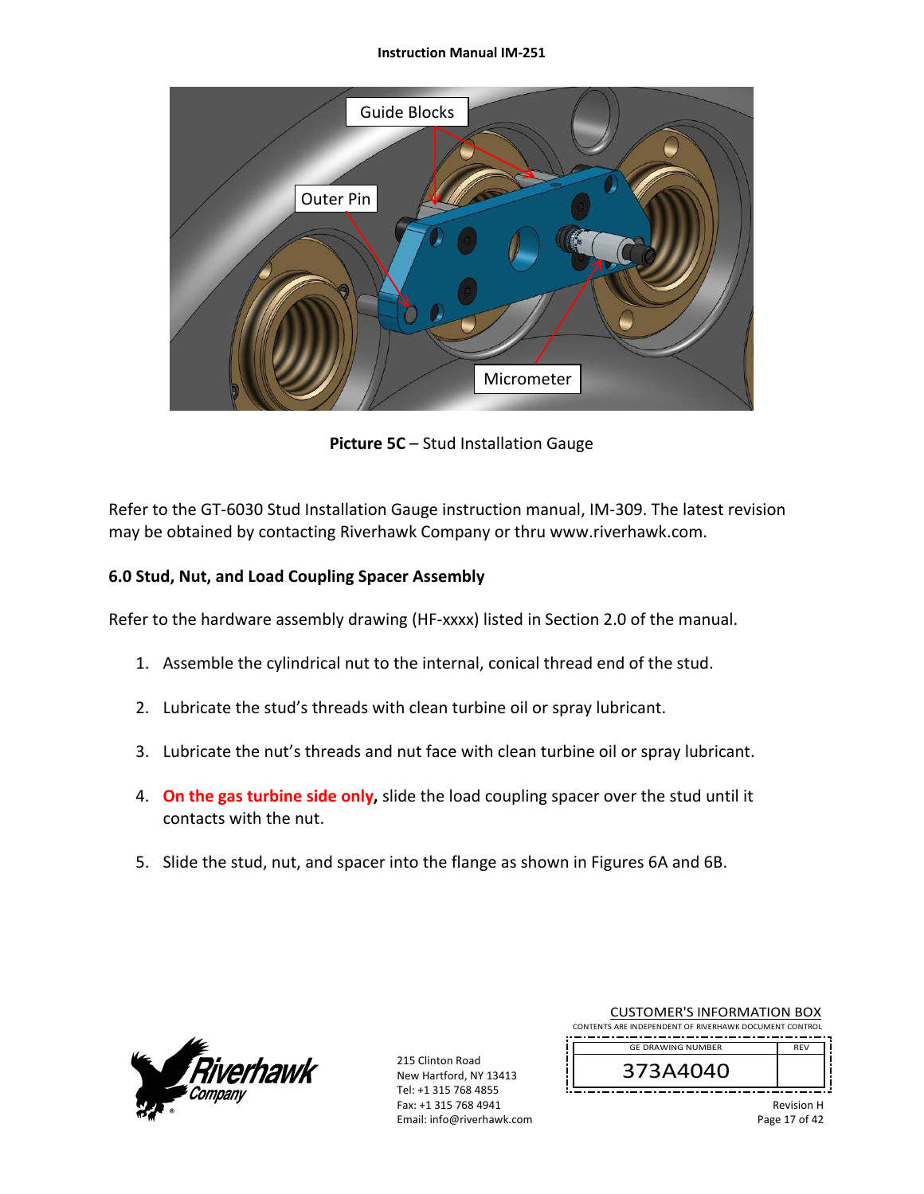#### **Instruction Manual IM‐251**



**Picture 5C** – Stud Installation Gauge

Refer to the GT-6030 Stud Installation Gauge instruction manual, IM-309. The latest revision may be obtained by contacting Riverhawk Company or thru www.riverhawk.com.

## **6.0 Stud, Nut, and Load Coupling Spacer Assembly**

Refer to the hardware assembly drawing (HF‐xxxx) listed in Section 2.0 of the manual.

- 1. Assemble the cylindrical nut to the internal, conical thread end of the stud.
- 2. Lubricate the stud's threads with clean turbine oil or spray lubricant.
- 3. Lubricate the nut's threads and nut face with clean turbine oil or spray lubricant.
- 4. **On the gas turbine side only,** slide the load coupling spacer over the stud until it contacts with the nut.
- 5. Slide the stud, nut, and spacer into the flange as shown in Figures 6A and 6B.



| <b>CUSTOMER'S INFORMATION BOX</b>                      |                   |  |  |  |  |  |
|--------------------------------------------------------|-------------------|--|--|--|--|--|
| CONTENTS ARE INDEPENDENT OF RIVERHAWK DOCUMENT CONTROL |                   |  |  |  |  |  |
| <b>GE DRAWING NUMBER</b>                               | <b>RFV</b>        |  |  |  |  |  |
| 373A4040                                               |                   |  |  |  |  |  |
|                                                        | <b>Revision H</b> |  |  |  |  |  |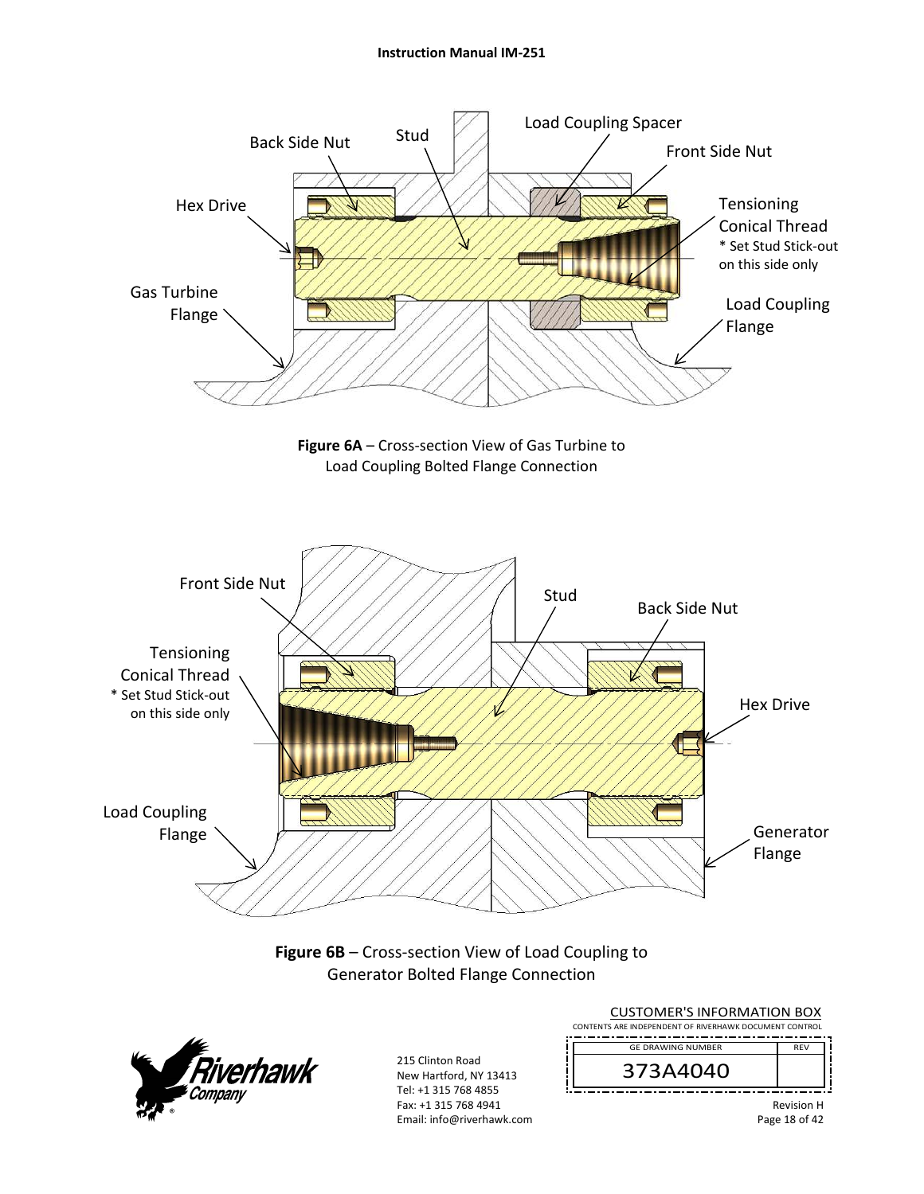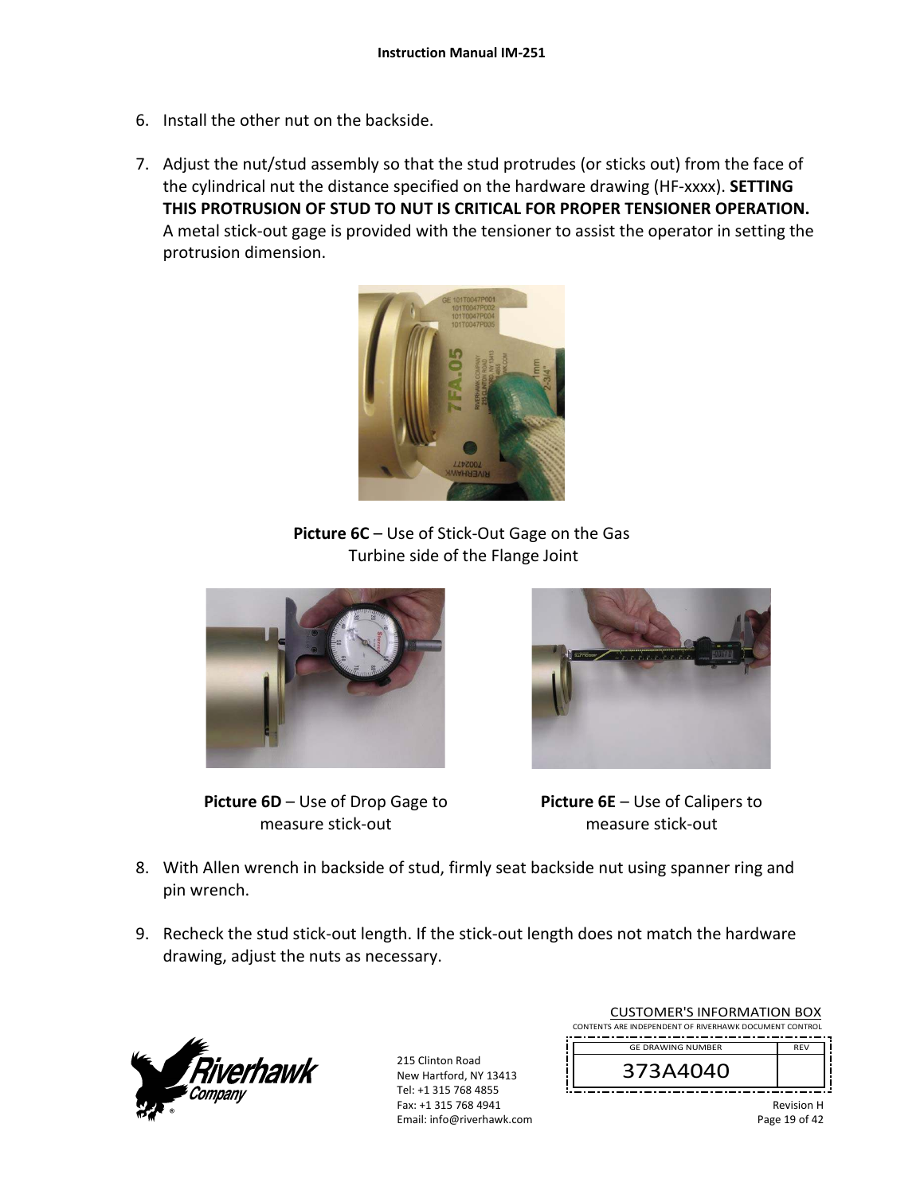- 6. Install the other nut on the backside.
- 7. Adjust the nut/stud assembly so that the stud protrudes (or sticks out) from the face of the cylindrical nut the distance specified on the hardware drawing (HF‐xxxx). **SETTING THIS PROTRUSION OF STUD TO NUT IS CRITICAL FOR PROPER TENSIONER OPERATION.** A metal stick‐out gage is provided with the tensioner to assist the operator in setting the protrusion dimension.



**Picture 6C** – Use of Stick‐Out Gage on the Gas Turbine side of the Flange Joint



**Picture 6D** – Use of Drop Gage to measure stick‐out



**Picture 6E** – Use of Calipers to measure stick‐out

- 8. With Allen wrench in backside of stud, firmly seat backside nut using spanner ring and pin wrench.
- 9. Recheck the stud stick-out length. If the stick-out length does not match the hardware drawing, adjust the nuts as necessary.



215 Clinton Road New Hartford, NY 13413 Tel: +1 315 768 4855 Fax: +1 315 768 4941 Email: info@riverhawk.com

| CUSTUMER S INFORMATION BUX<br>CONTENTS ARE INDEPENDENT OF RIVERHAWK DOCUMENT CONTROL |                   |
|--------------------------------------------------------------------------------------|-------------------|
| <b>GE DRAWING NUMBER</b>                                                             | <b>RFV</b>        |
| 373A4040                                                                             |                   |
|                                                                                      | <b>Revision H</b> |

CUSTOMER'S INFORMATION BOX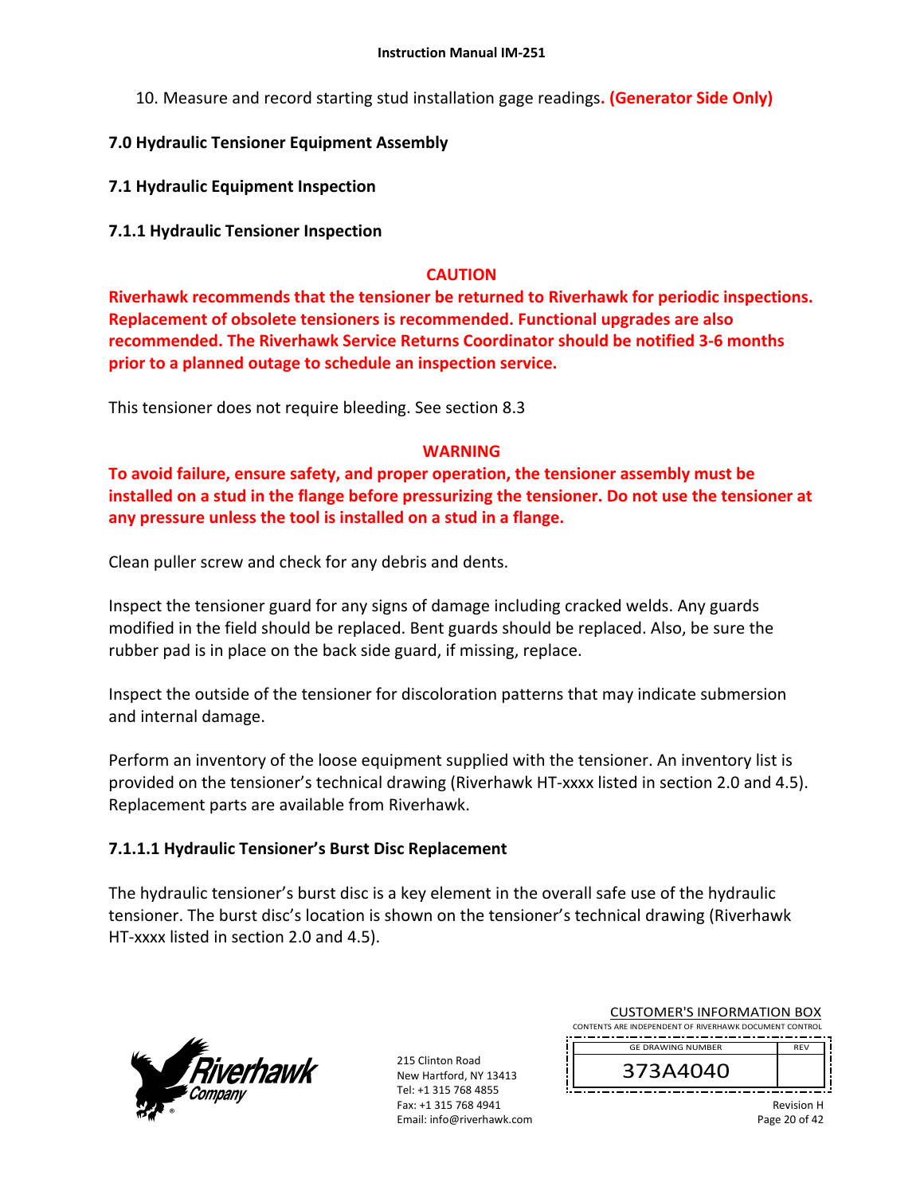10. Measure and record starting stud installation gage readings**. (Generator Side Only)**

## **7.0 Hydraulic Tensioner Equipment Assembly**

**7.1 Hydraulic Equipment Inspection** 

### **7.1.1 Hydraulic Tensioner Inspection**

### **CAUTION**

**Riverhawk recommends that the tensioner be returned to Riverhawk for periodic inspections. Replacement of obsolete tensioners is recommended. Functional upgrades are also recommended. The Riverhawk Service Returns Coordinator should be notified 3‐6 months prior to a planned outage to schedule an inspection service.** 

This tensioner does not require bleeding. See section 8.3

## **WARNING**

**To avoid failure, ensure safety, and proper operation, the tensioner assembly must be installed on a stud in the flange before pressurizing the tensioner. Do not use the tensioner at any pressure unless the tool is installed on a stud in a flange.** 

Clean puller screw and check for any debris and dents.

Inspect the tensioner guard for any signs of damage including cracked welds. Any guards modified in the field should be replaced. Bent guards should be replaced. Also, be sure the rubber pad is in place on the back side guard, if missing, replace.

Inspect the outside of the tensioner for discoloration patterns that may indicate submersion and internal damage.

Perform an inventory of the loose equipment supplied with the tensioner. An inventory list is provided on the tensioner's technical drawing (Riverhawk HT‐xxxx listed in section 2.0 and 4.5). Replacement parts are available from Riverhawk.

## **7.1.1.1 Hydraulic Tensioner's Burst Disc Replacement**

The hydraulic tensioner's burst disc is a key element in the overall safe use of the hydraulic tensioner. The burst disc's location is shown on the tensioner's technical drawing (Riverhawk HT-xxxx listed in section 2.0 and 4.5).



215 Clinton Road New Hartford, NY 13413 Tel: +1 315 768 4855 Fax: +1 315 768 4941 Email: info@riverhawk.com

| COJI UNILIN JINI UNINIATION DOM                        |            |
|--------------------------------------------------------|------------|
| CONTENTS ARE INDEPENDENT OF RIVERHAWK DOCUMENT CONTROL |            |
| <b>GE DRAWING NUMBER</b>                               | <b>RFV</b> |
|                                                        |            |

CUSTOMER'S INFORMATION BOX

Revision H Page 20 of 42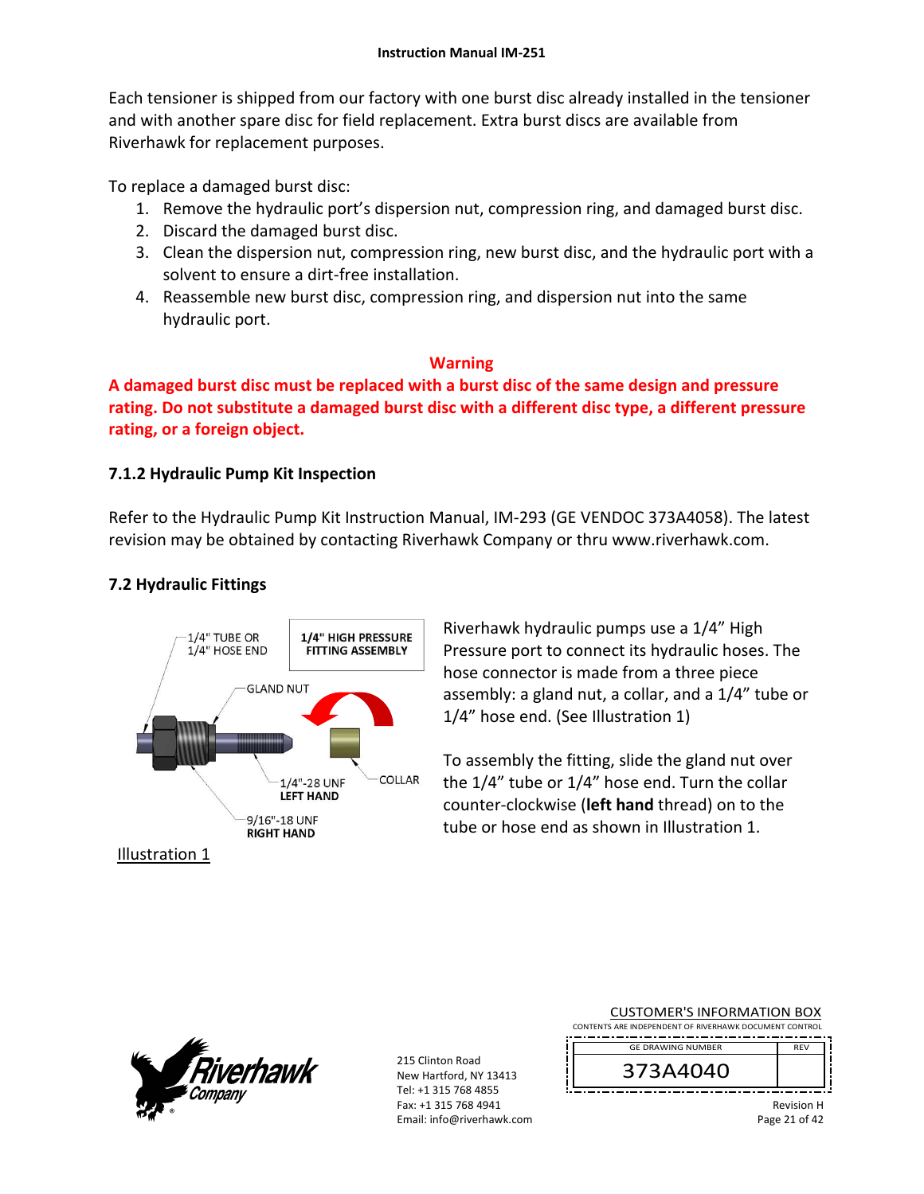Each tensioner is shipped from our factory with one burst disc already installed in the tensioner and with another spare disc for field replacement. Extra burst discs are available from Riverhawk for replacement purposes.

To replace a damaged burst disc:

- 1. Remove the hydraulic port's dispersion nut, compression ring, and damaged burst disc.
- 2. Discard the damaged burst disc.
- 3. Clean the dispersion nut, compression ring, new burst disc, and the hydraulic port with a solvent to ensure a dirt‐free installation.
- 4. Reassemble new burst disc, compression ring, and dispersion nut into the same hydraulic port.

## **Warning**

**A damaged burst disc must be replaced with a burst disc of the same design and pressure rating. Do not substitute a damaged burst disc with a different disc type, a different pressure rating, or a foreign object.**

## **7.1.2 Hydraulic Pump Kit Inspection**

Refer to the Hydraulic Pump Kit Instruction Manual, IM‐293 (GE VENDOC 373A4058). The latest revision may be obtained by contacting Riverhawk Company or thru www.riverhawk.com.

## **7.2 Hydraulic Fittings**



Riverhawk hydraulic pumps use a 1/4" High Pressure port to connect its hydraulic hoses. The hose connector is made from a three piece assembly: a gland nut, a collar, and a 1/4" tube or 1/4" hose end. (See Illustration 1)

To assembly the fitting, slide the gland nut over the 1/4" tube or 1/4" hose end. Turn the collar counter‐clockwise (**left hand** thread) on to the tube or hose end as shown in Illustration 1.



215 Clinton Road New Hartford, NY 13413 Tel: +1 315 768 4855 Fax: +1 315 768 4941 Email: info@riverhawk.com

| CONTENTS ARE INDEPENDENT OF RIVERHAWK DOCUMENT CONTROL |                      |  |
|--------------------------------------------------------|----------------------|--|
| <b>GE DRAWING NUMBER</b>                               | <b>RFV</b>           |  |
| 373A4040                                               |                      |  |
|                                                        | . .<br>$\sim$ $\sim$ |  |

CUSTOMER'S INFORMATION BOX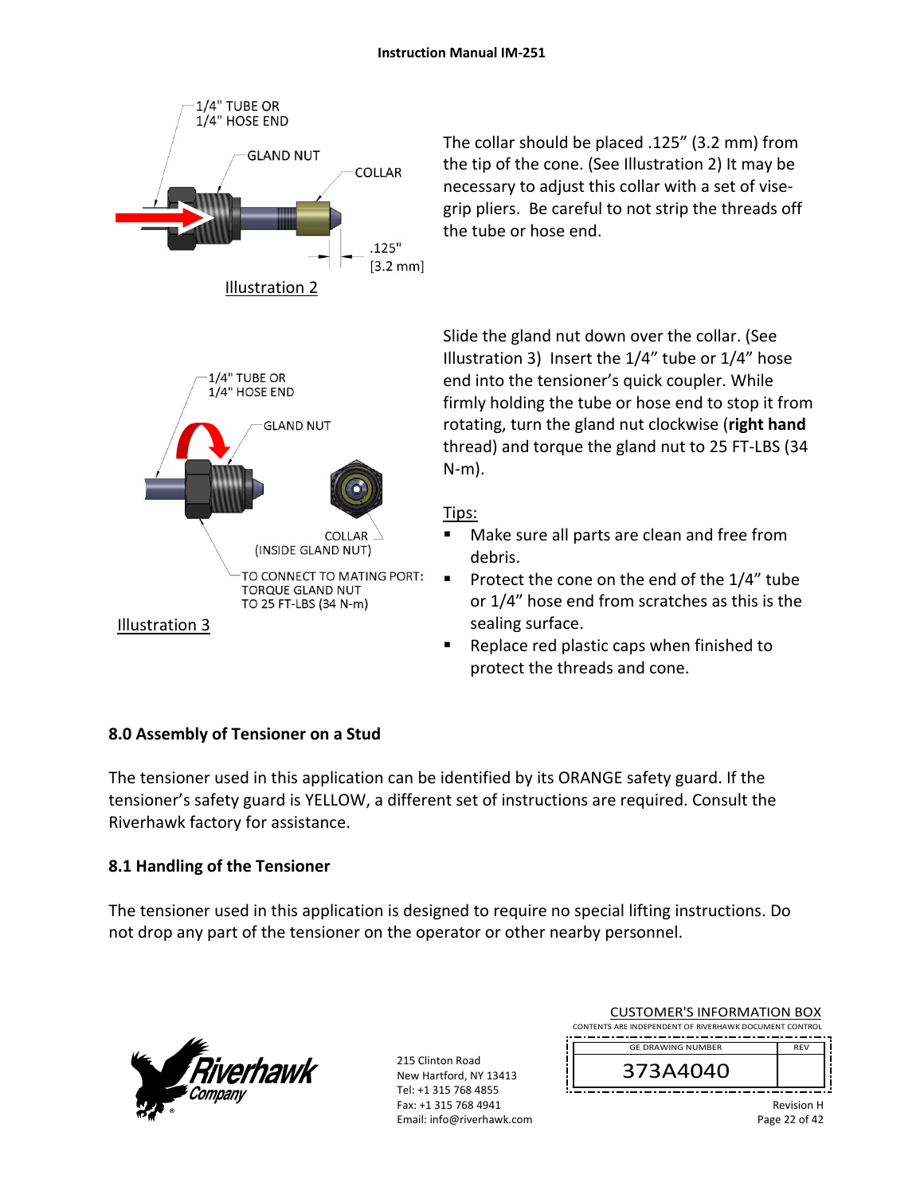

The collar should be placed .125" (3.2 mm) from the tip of the cone. (See Illustration 2) It may be necessary to adjust this collar with a set of vise‐ grip pliers. Be careful to not strip the threads off the tube or hose end.

Slide the gland nut down over the collar. (See Illustration 3) Insert the 1/4" tube or 1/4" hose end into the tensioner's quick coupler. While firmly holding the tube or hose end to stop it from rotating, turn the gland nut clockwise (**right hand** thread) and torque the gland nut to 25 FT‐LBS (34 N‐m).

## Tips:

- Make sure all parts are clean and free from debris.
- Protect the cone on the end of the  $1/4$ " tube or 1/4" hose end from scratches as this is the sealing surface.
- Replace red plastic caps when finished to protect the threads and cone.

## **8.0 Assembly of Tensioner on a Stud**

The tensioner used in this application can be identified by its ORANGE safety guard. If the tensioner's safety guard is YELLOW, a different set of instructions are required. Consult the Riverhawk factory for assistance.

## **8.1 Handling of the Tensioner**

The tensioner used in this application is designed to require no special lifting instructions. Do not drop any part of the tensioner on the operator or other nearby personnel.



|  | <b>CUSTOMER'S INFORMATION BOX</b>                      |            |  |  |
|--|--------------------------------------------------------|------------|--|--|
|  | CONTENTS ARE INDEPENDENT OF RIVERHAWK DOCUMENT CONTROL |            |  |  |
|  | <b>GE DRAWING NUMBER</b>                               | <b>RFV</b> |  |  |
|  | 373A4040                                               |            |  |  |
|  |                                                        |            |  |  |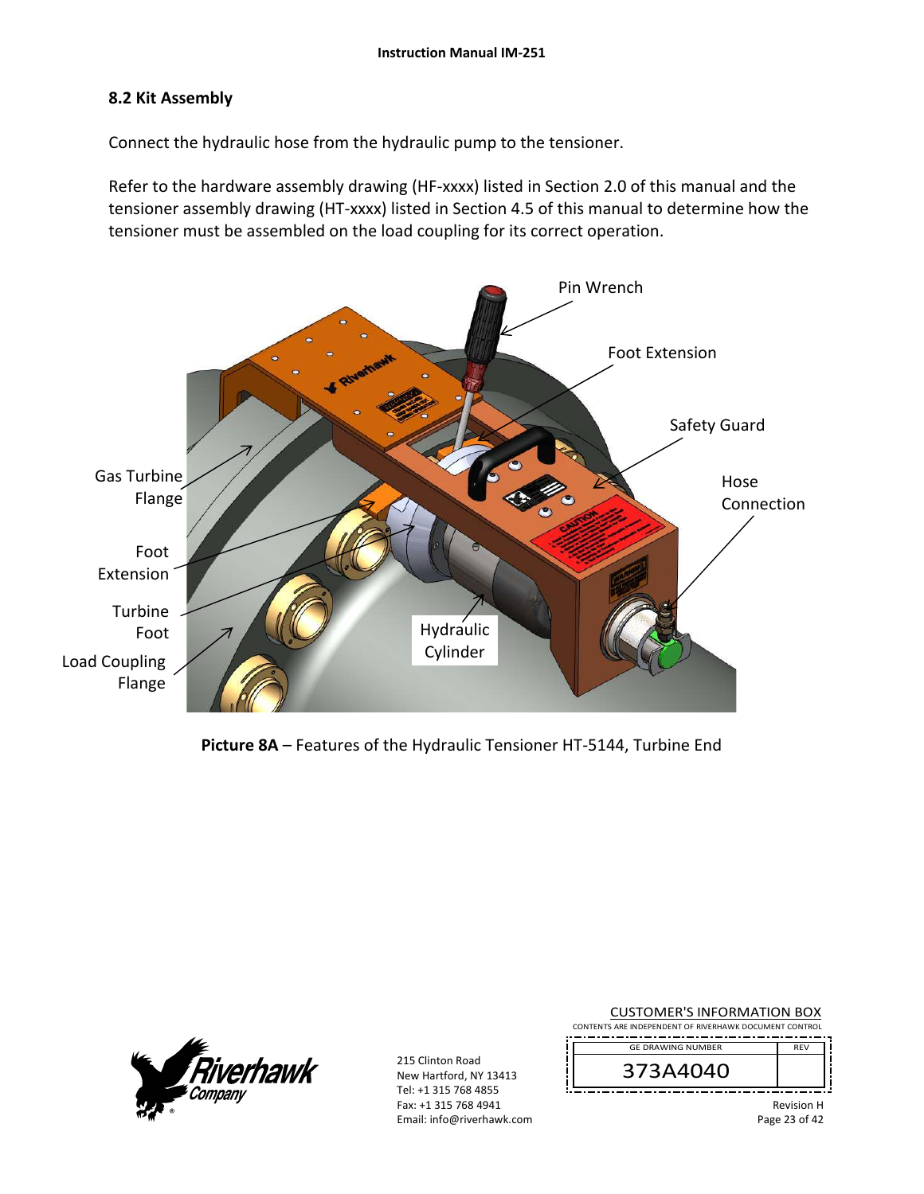### **8.2 Kit Assembly**

Connect the hydraulic hose from the hydraulic pump to the tensioner.

Refer to the hardware assembly drawing (HF-xxxx) listed in Section 2.0 of this manual and the tensioner assembly drawing (HT‐xxxx) listed in Section 4.5 of this manual to determine how the tensioner must be assembled on the load coupling for its correct operation.



**Picture 8A** – Features of the Hydraulic Tensioner HT‐5144, Turbine End



| <b>CUSTOMER'S INFORMATION BOX</b><br>CONTENTS ARE INDEPENDENT OF RIVERHAWK DOCUMENT CONTROL |                                    |
|---------------------------------------------------------------------------------------------|------------------------------------|
| <b>GE DRAWING NUMBER</b>                                                                    | <b>RFV</b>                         |
| 373A4040                                                                                    |                                    |
|                                                                                             | <b>Revision H</b><br>Page 23 of 42 |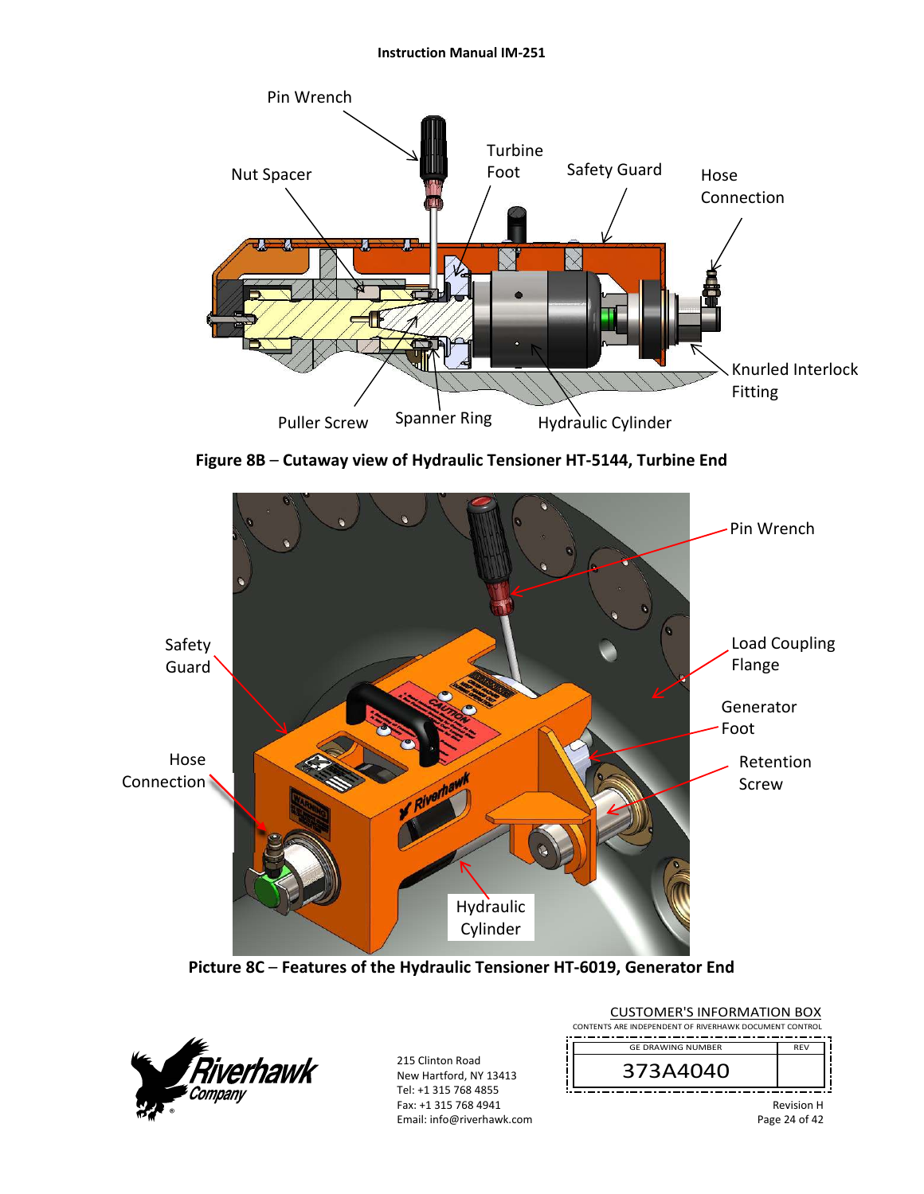#### **Instruction Manual IM‐251**



**Figure 8B** – **Cutaway view of Hydraulic Tensioner HT‐5144, Turbine End**



**Picture 8C** – **Features of the Hydraulic Tensioner HT‐6019, Generator End** 



| <b>CUSTOMER'S INFORMATION BOX</b><br>CONTENTS ARE INDEPENDENT OF RIVERHAWK DOCUMENT CONTROL |                   |  |
|---------------------------------------------------------------------------------------------|-------------------|--|
| <b>GE DRAWING NUMBER</b>                                                                    | <b>RFV</b>        |  |
| 373A4040                                                                                    |                   |  |
|                                                                                             | <b>Revision H</b> |  |

Page 24 of 42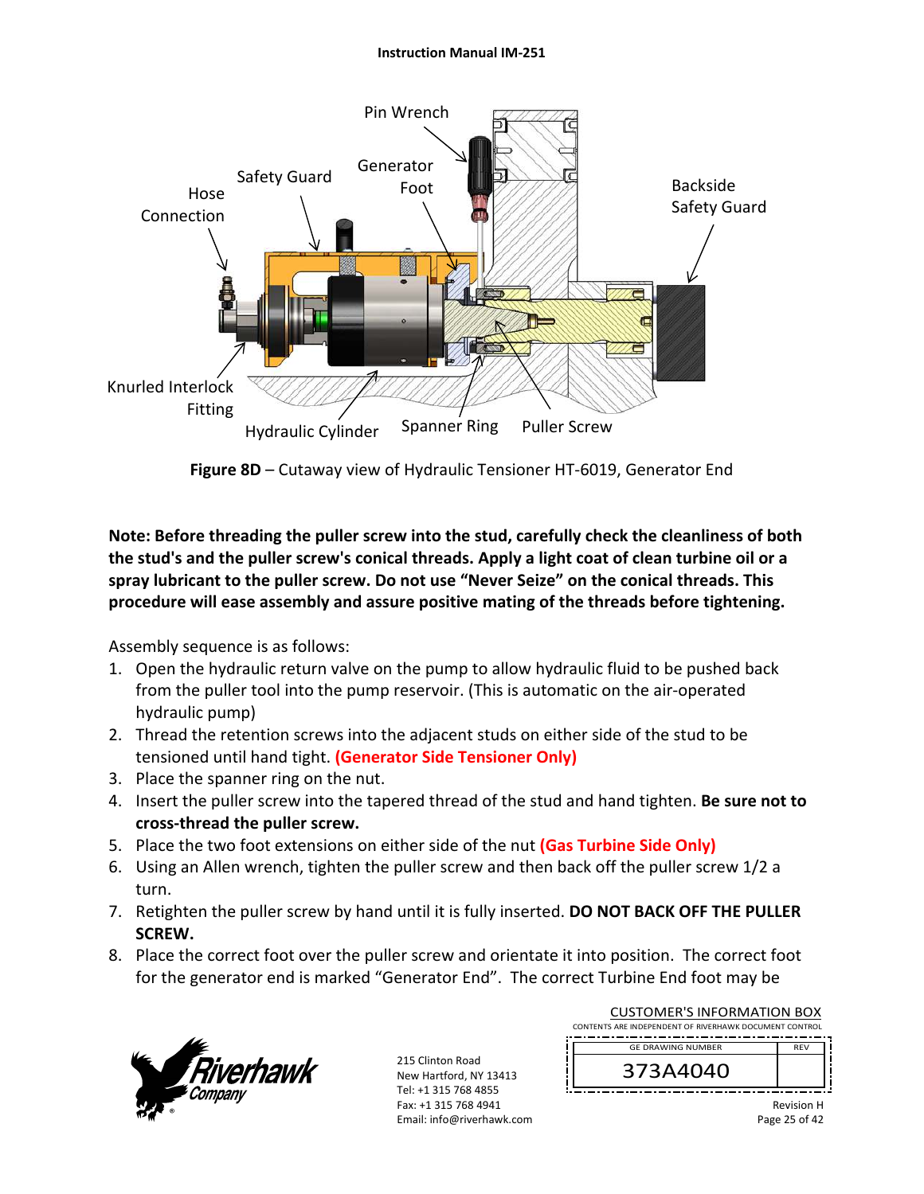#### **Instruction Manual IM‐251**



**Figure 8D** – Cutaway view of Hydraulic Tensioner HT‐6019, Generator End

**Note: Before threading the puller screw into the stud, carefully check the cleanliness of both the stud's and the puller screw's conical threads. Apply a light coat of clean turbine oil or a spray lubricant to the puller screw. Do not use "Never Seize" on the conical threads. This procedure will ease assembly and assure positive mating of the threads before tightening.** 

Assembly sequence is as follows:

- 1. Open the hydraulic return valve on the pump to allow hydraulic fluid to be pushed back from the puller tool into the pump reservoir. (This is automatic on the air‐operated hydraulic pump)
- 2. Thread the retention screws into the adjacent studs on either side of the stud to be tensioned until hand tight. **(Generator Side Tensioner Only)**
- 3. Place the spanner ring on the nut.
- 4. Insert the puller screw into the tapered thread of the stud and hand tighten. **Be sure not to cross‐thread the puller screw.**
- 5. Place the two foot extensions on either side of the nut **(Gas Turbine Side Only)**
- 6. Using an Allen wrench, tighten the puller screw and then back off the puller screw 1/2 a turn.
- 7. Retighten the puller screw by hand until it is fully inserted. **DO NOT BACK OFF THE PULLER SCREW.**
- 8. Place the correct foot over the puller screw and orientate it into position. The correct foot for the generator end is marked "Generator End". The correct Turbine End foot may be



| <b>CUSTOMER'S INFORMATION BOX</b><br>CONTENTS ARE INDEPENDENT OF RIVERHAWK DOCUMENT CONTROL |            |  |
|---------------------------------------------------------------------------------------------|------------|--|
| <b>GE DRAWING NUMBER</b>                                                                    | <b>RFV</b> |  |
| 373A4040                                                                                    |            |  |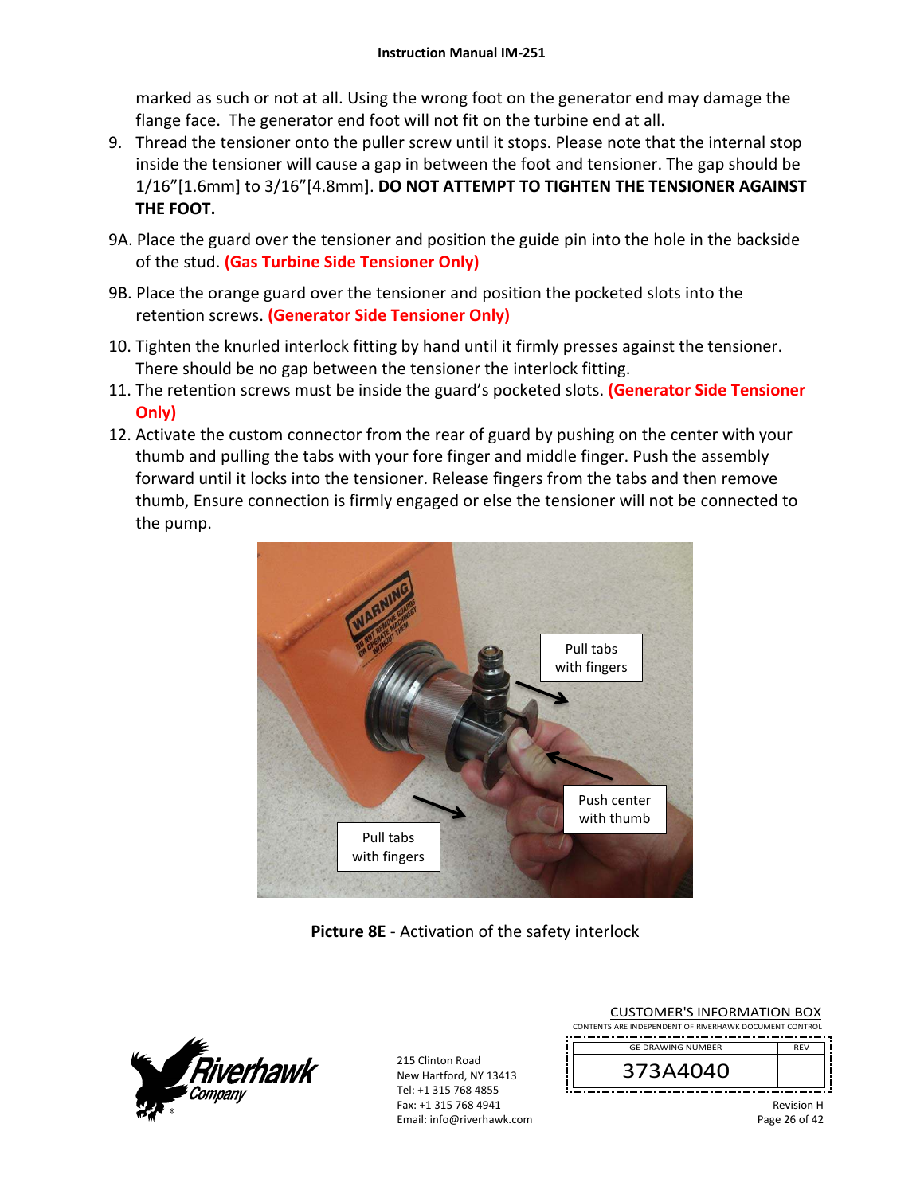marked as such or not at all. Using the wrong foot on the generator end may damage the flange face. The generator end foot will not fit on the turbine end at all.

- 9. Thread the tensioner onto the puller screw until it stops. Please note that the internal stop inside the tensioner will cause a gap in between the foot and tensioner. The gap should be 1/16"[1.6mm] to 3/16"[4.8mm]. **DO NOT ATTEMPT TO TIGHTEN THE TENSIONER AGAINST THE FOOT.**
- 9A. Place the guard over the tensioner and position the guide pin into the hole in the backside of the stud. **(Gas Turbine Side Tensioner Only)**
- 9B. Place the orange guard over the tensioner and position the pocketed slots into the retention screws. **(Generator Side Tensioner Only)**
- 10. Tighten the knurled interlock fitting by hand until it firmly presses against the tensioner. There should be no gap between the tensioner the interlock fitting.
- 11. The retention screws must be inside the guard's pocketed slots. **(Generator Side Tensioner Only)**
- 12. Activate the custom connector from the rear of guard by pushing on the center with your thumb and pulling the tabs with your fore finger and middle finger. Push the assembly forward until it locks into the tensioner. Release fingers from the tabs and then remove thumb, Ensure connection is firmly engaged or else the tensioner will not be connected to the pump.



**Picture 8E** ‐ Activation of the safety interlock



| <b>CUSTOMER'S INFORMATION BOX</b><br>CONTENTS ARE INDEPENDENT OF RIVERHAWK DOCUMENT CONTROL |                   |  |
|---------------------------------------------------------------------------------------------|-------------------|--|
| <b>GE DRAWING NUMBER</b>                                                                    | <b>RFV</b>        |  |
| 373A4040                                                                                    |                   |  |
|                                                                                             | <b>Dovicion H</b> |  |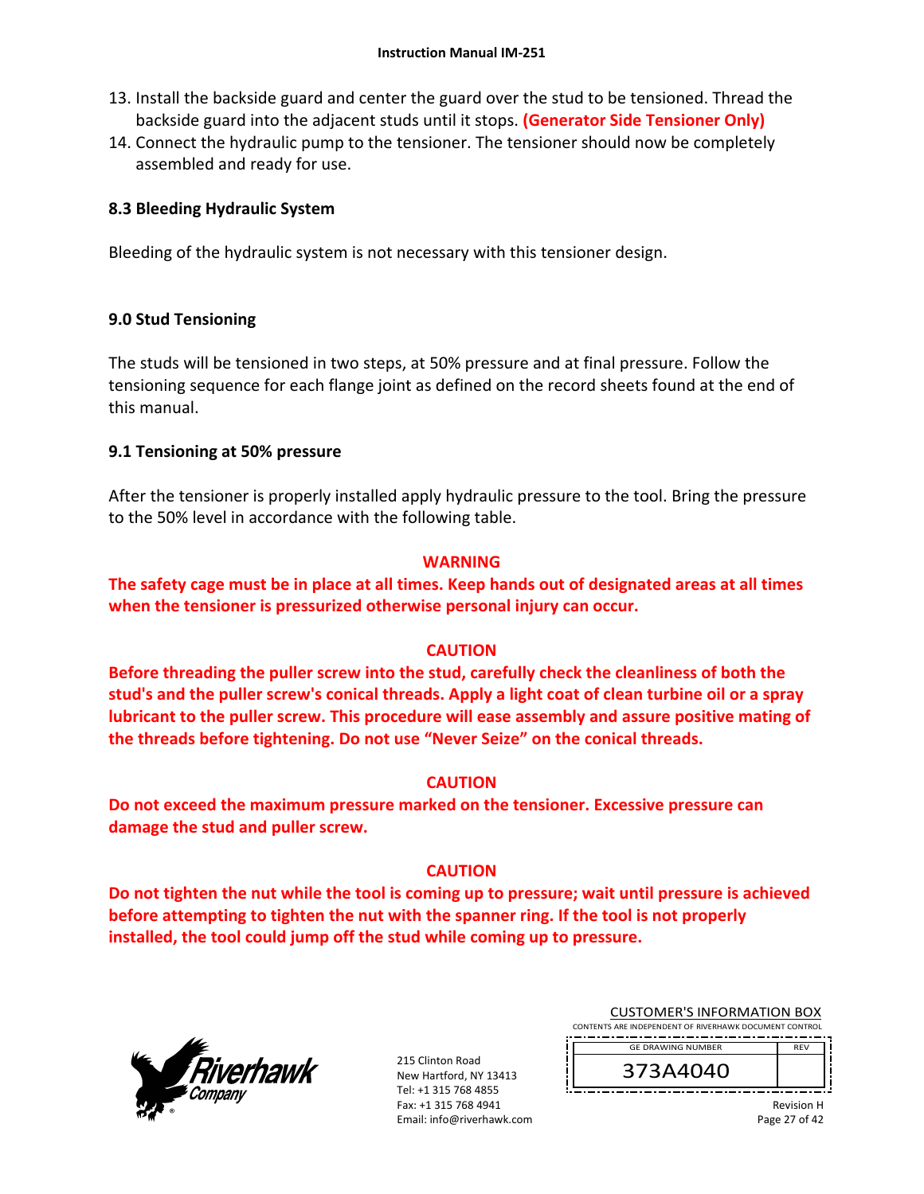- 13. Install the backside guard and center the guard over the stud to be tensioned. Thread the backside guard into the adjacent studs until it stops. **(Generator Side Tensioner Only)**
- 14. Connect the hydraulic pump to the tensioner. The tensioner should now be completely assembled and ready for use.

## **8.3 Bleeding Hydraulic System**

Bleeding of the hydraulic system is not necessary with this tensioner design.

## **9.0 Stud Tensioning**

The studs will be tensioned in two steps, at 50% pressure and at final pressure. Follow the tensioning sequence for each flange joint as defined on the record sheets found at the end of this manual.

## **9.1 Tensioning at 50% pressure**

After the tensioner is properly installed apply hydraulic pressure to the tool. Bring the pressure to the 50% level in accordance with the following table.

#### **WARNING**

**The safety cage must be in place at all times. Keep hands out of designated areas at all times when the tensioner is pressurized otherwise personal injury can occur.** 

## **CAUTION**

**Before threading the puller screw into the stud, carefully check the cleanliness of both the stud's and the puller screw's conical threads. Apply a light coat of clean turbine oil or a spray lubricant to the puller screw. This procedure will ease assembly and assure positive mating of the threads before tightening. Do not use "Never Seize" on the conical threads.** 

#### **CAUTION**

**Do not exceed the maximum pressure marked on the tensioner. Excessive pressure can damage the stud and puller screw.** 

#### **CAUTION**

**Do not tighten the nut while the tool is coming up to pressure; wait until pressure is achieved before attempting to tighten the nut with the spanner ring. If the tool is not properly installed, the tool could jump off the stud while coming up to pressure.** 



215 Clinton Road New Hartford, NY 13413 Tel: +1 315 768 4855 Fax: +1 315 768 4941 Email: info@riverhawk.com

| <b>CUSTOMER'S INFORMATION BOX</b>                      |            |
|--------------------------------------------------------|------------|
| CONTENTS ARE INDEPENDENT OF RIVERHAWK DOCUMENT CONTROL |            |
|                                                        |            |
| <b>GE DRAWING NUMBER</b>                               | <b>RFV</b> |

373A4040

Revision H Page 27 of 42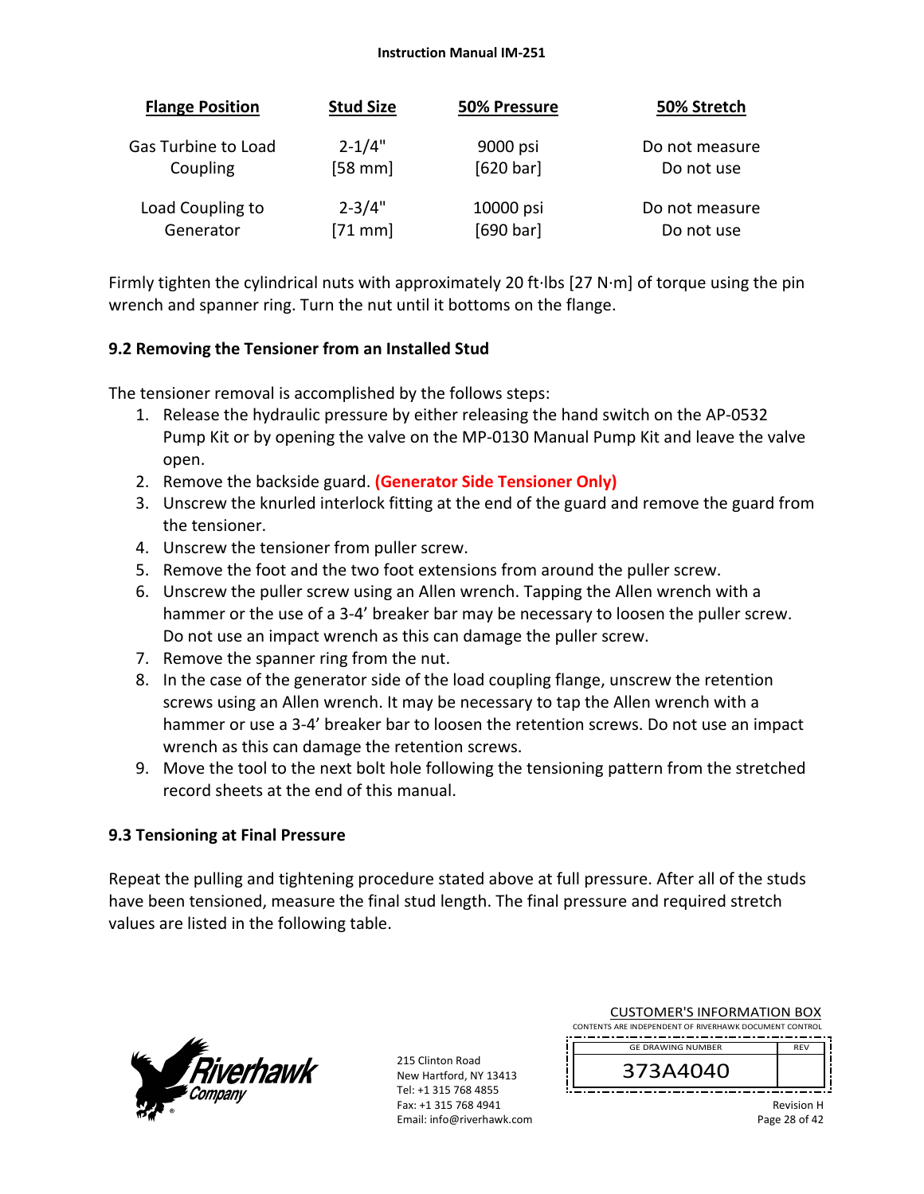| <b>Flange Position</b> | <b>Stud Size</b>  | 50% Pressure | 50% Stretch    |
|------------------------|-------------------|--------------|----------------|
| Gas Turbine to Load    | $2 - 1/4"$        | 9000 psi     | Do not measure |
| Coupling               | $[58 \text{ mm}]$ | [620 bar]    | Do not use     |
| Load Coupling to       | $2 - 3/4"$        | 10000 psi    | Do not measure |
| Generator              | $[71$ mm]         | [690 bar]    | Do not use     |

Firmly tighten the cylindrical nuts with approximately 20 ft∙lbs [27 N∙m] of torque using the pin wrench and spanner ring. Turn the nut until it bottoms on the flange.

## **9.2 Removing the Tensioner from an Installed Stud**

The tensioner removal is accomplished by the follows steps:

- 1. Release the hydraulic pressure by either releasing the hand switch on the AP‐0532 Pump Kit or by opening the valve on the MP‐0130 Manual Pump Kit and leave the valve open.
- 2. Remove the backside guard. **(Generator Side Tensioner Only)**
- 3. Unscrew the knurled interlock fitting at the end of the guard and remove the guard from the tensioner.
- 4. Unscrew the tensioner from puller screw.
- 5. Remove the foot and the two foot extensions from around the puller screw.
- 6. Unscrew the puller screw using an Allen wrench. Tapping the Allen wrench with a hammer or the use of a 3-4' breaker bar may be necessary to loosen the puller screw. Do not use an impact wrench as this can damage the puller screw.
- 7. Remove the spanner ring from the nut.
- 8. In the case of the generator side of the load coupling flange, unscrew the retention screws using an Allen wrench. It may be necessary to tap the Allen wrench with a hammer or use a 3‐4' breaker bar to loosen the retention screws. Do not use an impact wrench as this can damage the retention screws.
- 9. Move the tool to the next bolt hole following the tensioning pattern from the stretched record sheets at the end of this manual.

# **9.3 Tensioning at Final Pressure**

Repeat the pulling and tightening procedure stated above at full pressure. After all of the studs have been tensioned, measure the final stud length. The final pressure and required stretch values are listed in the following table.



215 Clinton Road New Hartford, NY 13413 Tel: +1 315 768 4855 Fax: +1 315 768 4941 Email: info@riverhawk.com

| COSTOIVILITS IITI OITIVII TIOIT DOA                    |            |
|--------------------------------------------------------|------------|
| CONTENTS ARE INDEPENDENT OF RIVERHAWK DOCUMENT CONTROL |            |
|                                                        |            |
| <b>GE DRAWING NUMBER</b>                               | <b>RFV</b> |
| 373A4040                                               |            |

CUSTOMER'S INFORMATION BOX

Revision H Page 28 of 42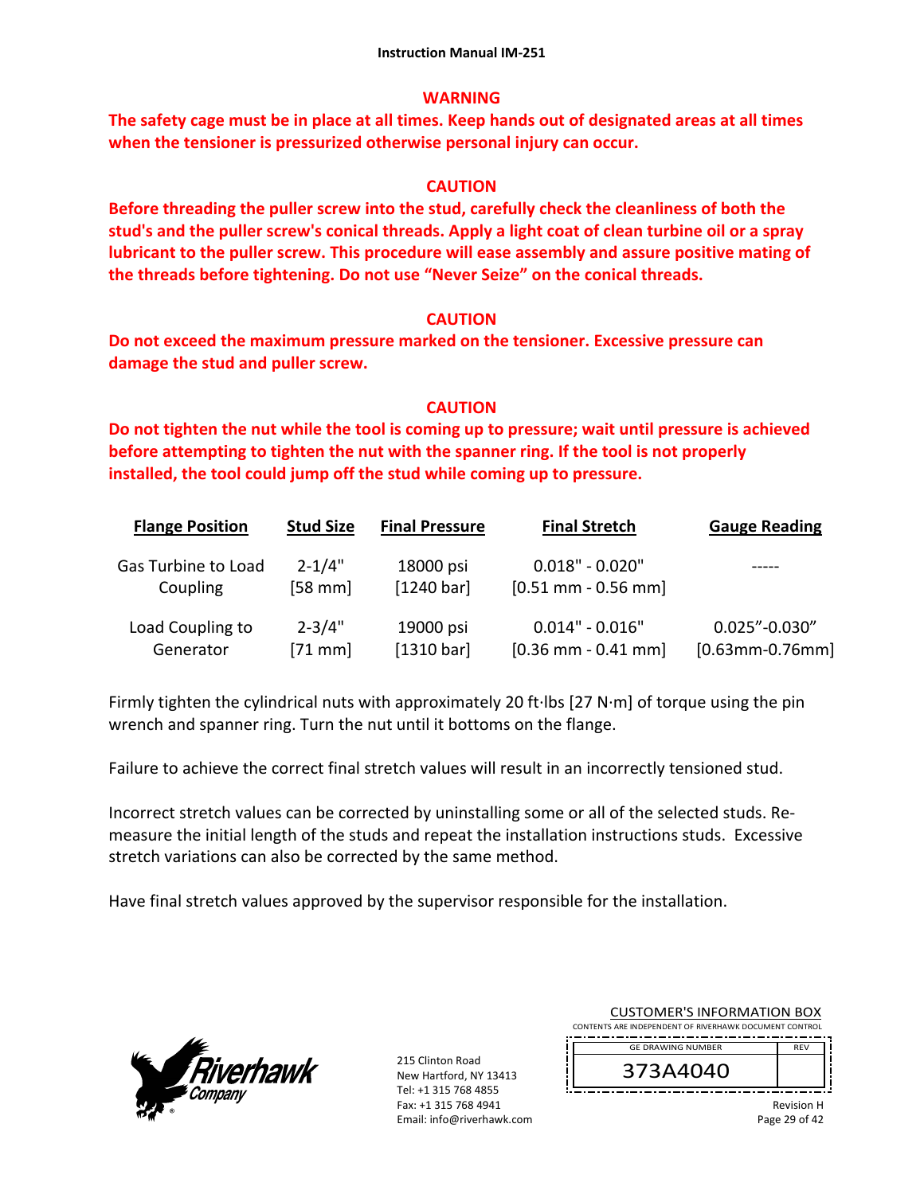### **WARNING**

**The safety cage must be in place at all times. Keep hands out of designated areas at all times when the tensioner is pressurized otherwise personal injury can occur.** 

## **CAUTION**

**Before threading the puller screw into the stud, carefully check the cleanliness of both the stud's and the puller screw's conical threads. Apply a light coat of clean turbine oil or a spray lubricant to the puller screw. This procedure will ease assembly and assure positive mating of the threads before tightening. Do not use "Never Seize" on the conical threads.** 

#### **CAUTION**

**Do not exceed the maximum pressure marked on the tensioner. Excessive pressure can damage the stud and puller screw.** 

## **CAUTION**

**Do not tighten the nut while the tool is coming up to pressure; wait until pressure is achieved before attempting to tighten the nut with the spanner ring. If the tool is not properly installed, the tool could jump off the stud while coming up to pressure.**

| <b>Flange Position</b> | <b>Stud Size</b> | <b>Final Pressure</b> | <b>Final Stretch</b>  | <b>Gauge Reading</b>  |
|------------------------|------------------|-----------------------|-----------------------|-----------------------|
| Gas Turbine to Load    | $2 - 1/4"$       | 18000 psi             | $0.018" - 0.020"$     |                       |
| Coupling               | $[58$ mm $]$     | [1240 bar]            | $[0.51$ mm - 0.56 mm] |                       |
| Load Coupling to       | $2 - 3/4"$       | 19000 psi             | $0.014" - 0.016"$     | $0.025" - 0.030"$     |
| Generator              | $[71$ mm $]$     | [1310 bar]            | $[0.36$ mm - 0.41 mm] | $[0.63$ mm-0.76mm $]$ |

Firmly tighten the cylindrical nuts with approximately 20 ft∙lbs [27 N∙m] of torque using the pin wrench and spanner ring. Turn the nut until it bottoms on the flange.

Failure to achieve the correct final stretch values will result in an incorrectly tensioned stud.

Incorrect stretch values can be corrected by uninstalling some or all of the selected studs. Re‐ measure the initial length of the studs and repeat the installation instructions studs. Excessive stretch variations can also be corrected by the same method.

Have final stretch values approved by the supervisor responsible for the installation.



215 Clinton Road New Hartford, NY 13413 Tel: +1 315 768 4855 Fax: +1 315 768 4941 Email: info@riverhawk.com

| cos i oivien s in i oinvil i ion bon                   |                   |
|--------------------------------------------------------|-------------------|
| CONTENTS ARE INDEPENDENT OF RIVERHAWK DOCUMENT CONTROL |                   |
| <b>GE DRAWING NUMBER</b>                               | <b>RFV</b>        |
| 373A4040                                               |                   |
|                                                        | <b>Ravision H</b> |

CUSTOMER'S INFORMATION BOX

Revision H Page 29 of 42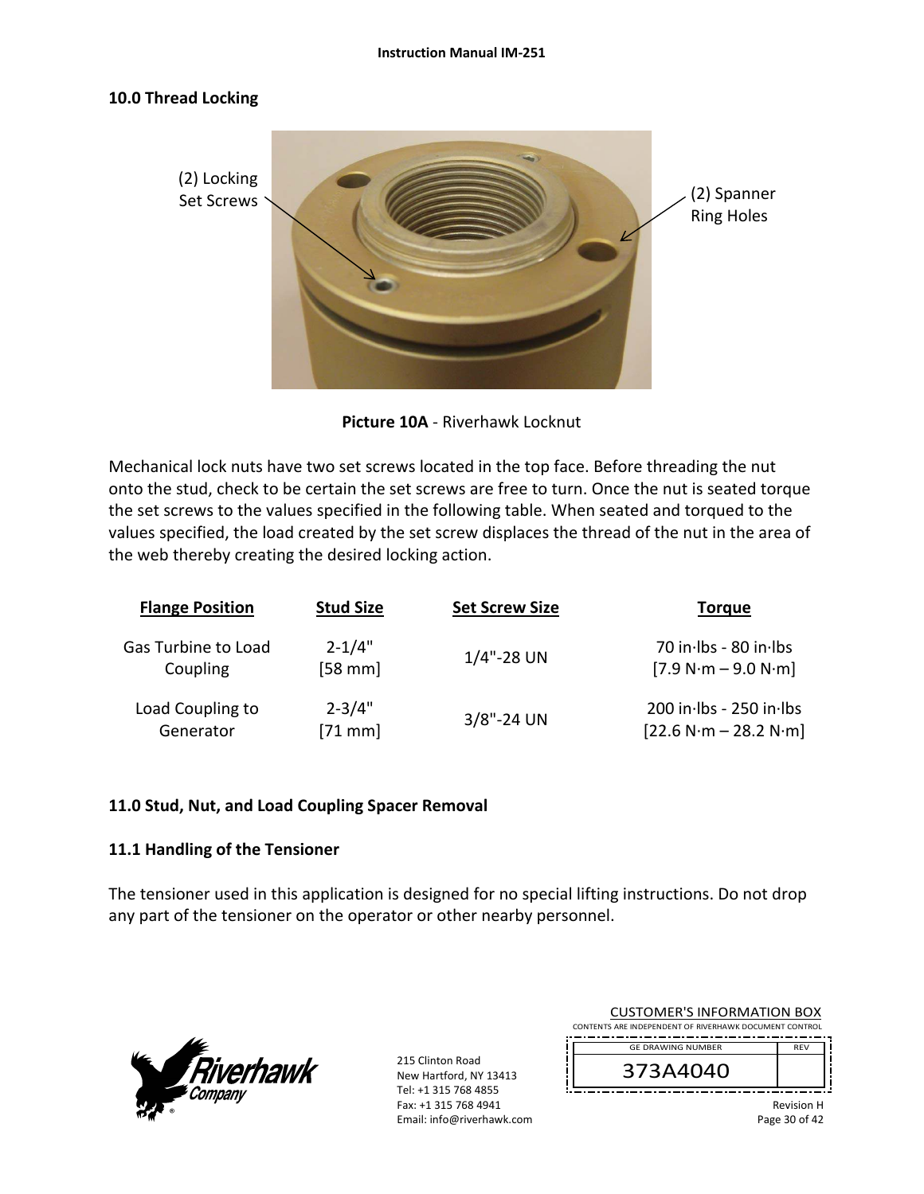#### **10.0 Thread Locking**



**Picture 10A** ‐ Riverhawk Locknut

Mechanical lock nuts have two set screws located in the top face. Before threading the nut onto the stud, check to be certain the set screws are free to turn. Once the nut is seated torque the set screws to the values specified in the following table. When seated and torqued to the values specified, the load created by the set screw displaces the thread of the nut in the area of the web thereby creating the desired locking action.

| <b>Flange Position</b> | <b>Stud Size</b>  | <b>Set Screw Size</b> | <b>Torque</b>           |
|------------------------|-------------------|-----------------------|-------------------------|
| Gas Turbine to Load    | $2 - 1/4"$        | $1/4$ "-28 UN         | 70 in Ibs - 80 in Ibs   |
| Coupling               | $[58 \text{ mm}]$ |                       | $[7.9 N·m - 9.0 N·m]$   |
| Load Coupling to       | $2 - 3/4"$        | $3/8$ "-24 UN         | 200 in lbs - 250 in lbs |
| Generator              | $[71$ mm]         |                       | $[22.6 N·m - 28.2 N·m]$ |

#### **11.0 Stud, Nut, and Load Coupling Spacer Removal**

#### **11.1 Handling of the Tensioner**

The tensioner used in this application is designed for no special lifting instructions. Do not drop any part of the tensioner on the operator or other nearby personnel.



| <b>CUSTOMER'S INFORMATION BOX</b><br>CONTENTS ARE INDEPENDENT OF RIVERHAWK DOCUMENT CONTROL |                |  |  |
|---------------------------------------------------------------------------------------------|----------------|--|--|
| <b>GE DRAWING NUMBER</b>                                                                    | <b>RFV</b>     |  |  |
| 373A4040                                                                                    |                |  |  |
|                                                                                             | D <sub>0</sub> |  |  |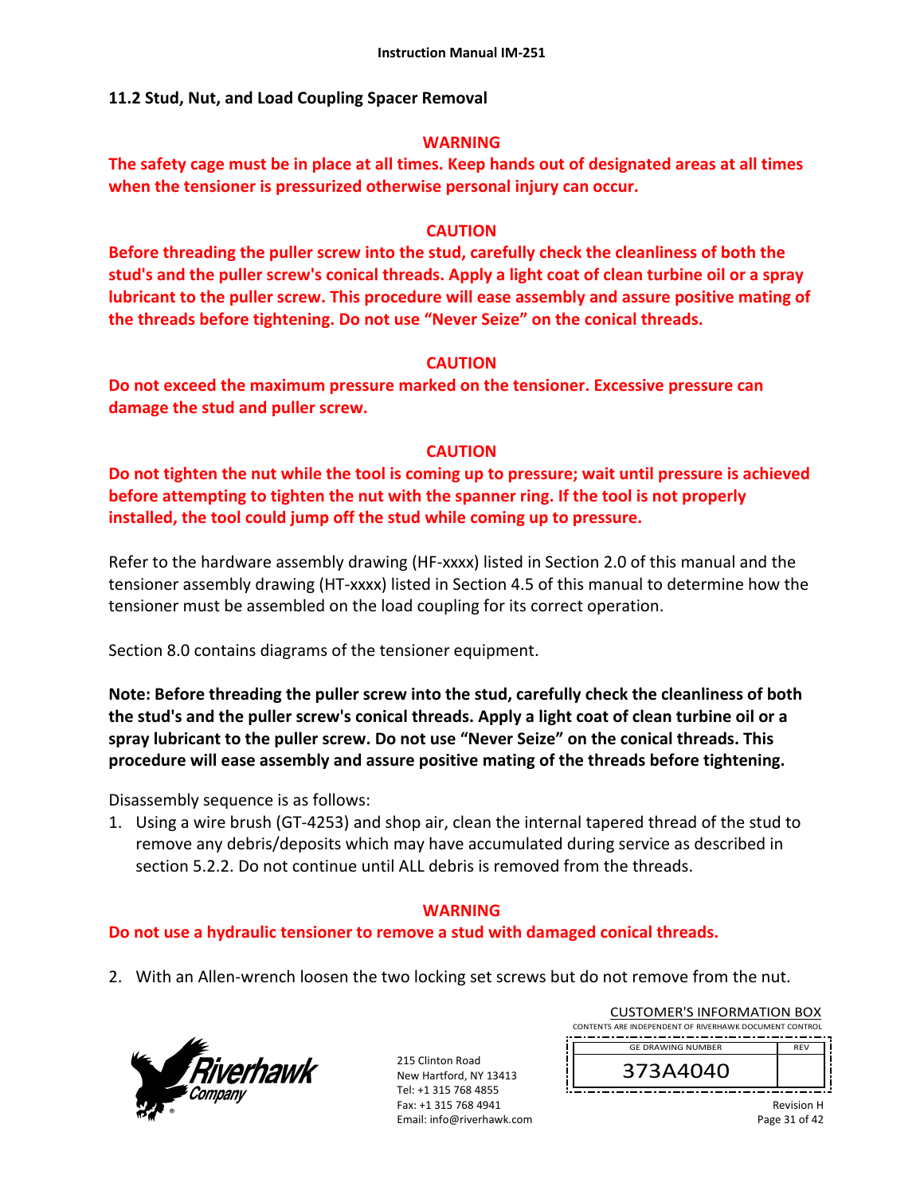### **11.2 Stud, Nut, and Load Coupling Spacer Removal**

#### **WARNING**

**The safety cage must be in place at all times. Keep hands out of designated areas at all times when the tensioner is pressurized otherwise personal injury can occur.** 

#### **CAUTION**

**Before threading the puller screw into the stud, carefully check the cleanliness of both the stud's and the puller screw's conical threads. Apply a light coat of clean turbine oil or a spray lubricant to the puller screw. This procedure will ease assembly and assure positive mating of the threads before tightening. Do not use "Never Seize" on the conical threads.** 

#### **CAUTION**

**Do not exceed the maximum pressure marked on the tensioner. Excessive pressure can damage the stud and puller screw.** 

## **CAUTION**

**Do not tighten the nut while the tool is coming up to pressure; wait until pressure is achieved before attempting to tighten the nut with the spanner ring. If the tool is not properly installed, the tool could jump off the stud while coming up to pressure.** 

Refer to the hardware assembly drawing (HF-xxxx) listed in Section 2.0 of this manual and the tensioner assembly drawing (HT‐xxxx) listed in Section 4.5 of this manual to determine how the tensioner must be assembled on the load coupling for its correct operation.

Section 8.0 contains diagrams of the tensioner equipment.

**Note: Before threading the puller screw into the stud, carefully check the cleanliness of both the stud's and the puller screw's conical threads. Apply a light coat of clean turbine oil or a spray lubricant to the puller screw. Do not use "Never Seize" on the conical threads. This procedure will ease assembly and assure positive mating of the threads before tightening.** 

Disassembly sequence is as follows:

1. Using a wire brush (GT‐4253) and shop air, clean the internal tapered thread of the stud to remove any debris/deposits which may have accumulated during service as described in section 5.2.2. Do not continue until ALL debris is removed from the threads.

#### **WARNING**

#### **Do not use a hydraulic tensioner to remove a stud with damaged conical threads.**

2. With an Allen-wrench loosen the two locking set screws but do not remove from the nut.



215 Clinton Road New Hartford, NY 13413 Tel: +1 315 768 4855 Fax: +1 315 768 4941 Email: info@riverhawk.com

| 373A4040                                               |            |  |
|--------------------------------------------------------|------------|--|
| <b>GE DRAWING NUMBER</b>                               | <b>RFV</b> |  |
|                                                        |            |  |
| CONTENTS ARE INDEPENDENT OF RIVERHAWK DOCUMENT CONTROL |            |  |
| CUSTUIVIER 3 INFORMATION BOA                           |            |  |

CUSTOMER'S INFORMATION BOY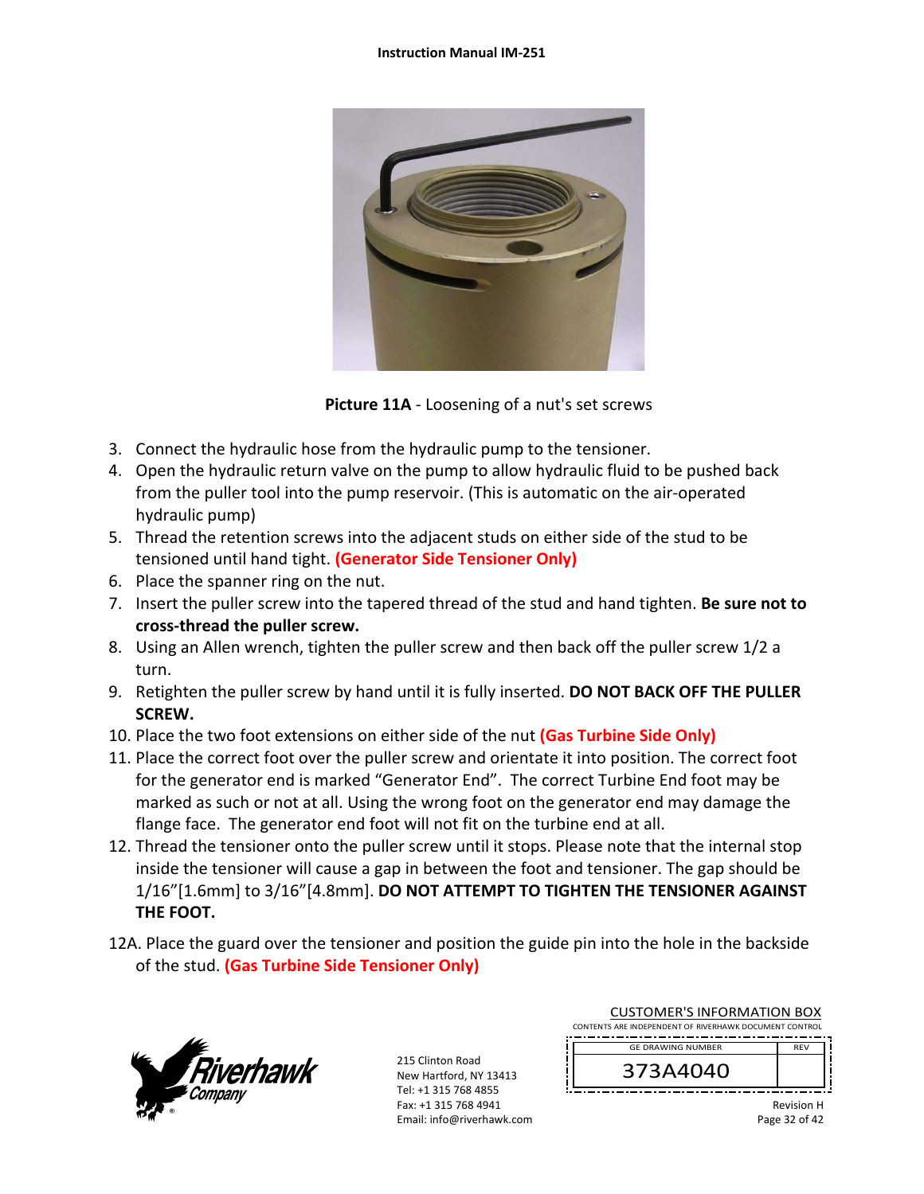

**Picture 11A** ‐ Loosening of a nut's set screws

- 3. Connect the hydraulic hose from the hydraulic pump to the tensioner.
- 4. Open the hydraulic return valve on the pump to allow hydraulic fluid to be pushed back from the puller tool into the pump reservoir. (This is automatic on the air‐operated hydraulic pump)
- 5. Thread the retention screws into the adjacent studs on either side of the stud to be tensioned until hand tight. **(Generator Side Tensioner Only)**
- 6. Place the spanner ring on the nut.
- 7. Insert the puller screw into the tapered thread of the stud and hand tighten. **Be sure not to cross‐thread the puller screw.**
- 8. Using an Allen wrench, tighten the puller screw and then back off the puller screw 1/2 a turn.
- 9. Retighten the puller screw by hand until it is fully inserted. **DO NOT BACK OFF THE PULLER SCREW.**
- 10. Place the two foot extensions on either side of the nut **(Gas Turbine Side Only)**
- 11. Place the correct foot over the puller screw and orientate it into position. The correct foot for the generator end is marked "Generator End". The correct Turbine End foot may be marked as such or not at all. Using the wrong foot on the generator end may damage the flange face. The generator end foot will not fit on the turbine end at all.
- 12. Thread the tensioner onto the puller screw until it stops. Please note that the internal stop inside the tensioner will cause a gap in between the foot and tensioner. The gap should be 1/16"[1.6mm] to 3/16"[4.8mm]. **DO NOT ATTEMPT TO TIGHTEN THE TENSIONER AGAINST THE FOOT.**
- 12A. Place the guard over the tensioner and position the guide pin into the hole in the backside of the stud. **(Gas Turbine Side Tensioner Only)**



| <b>CUSTOMER'S INFORMATION BOX</b><br>CONTENTS ARE INDEPENDENT OF RIVERHAWK DOCUMENT CONTROL |                   |
|---------------------------------------------------------------------------------------------|-------------------|
| <b>GE DRAWING NUMBER</b>                                                                    | <b>RFV</b>        |
| 373A4040                                                                                    |                   |
|                                                                                             | <b>Dovicion U</b> |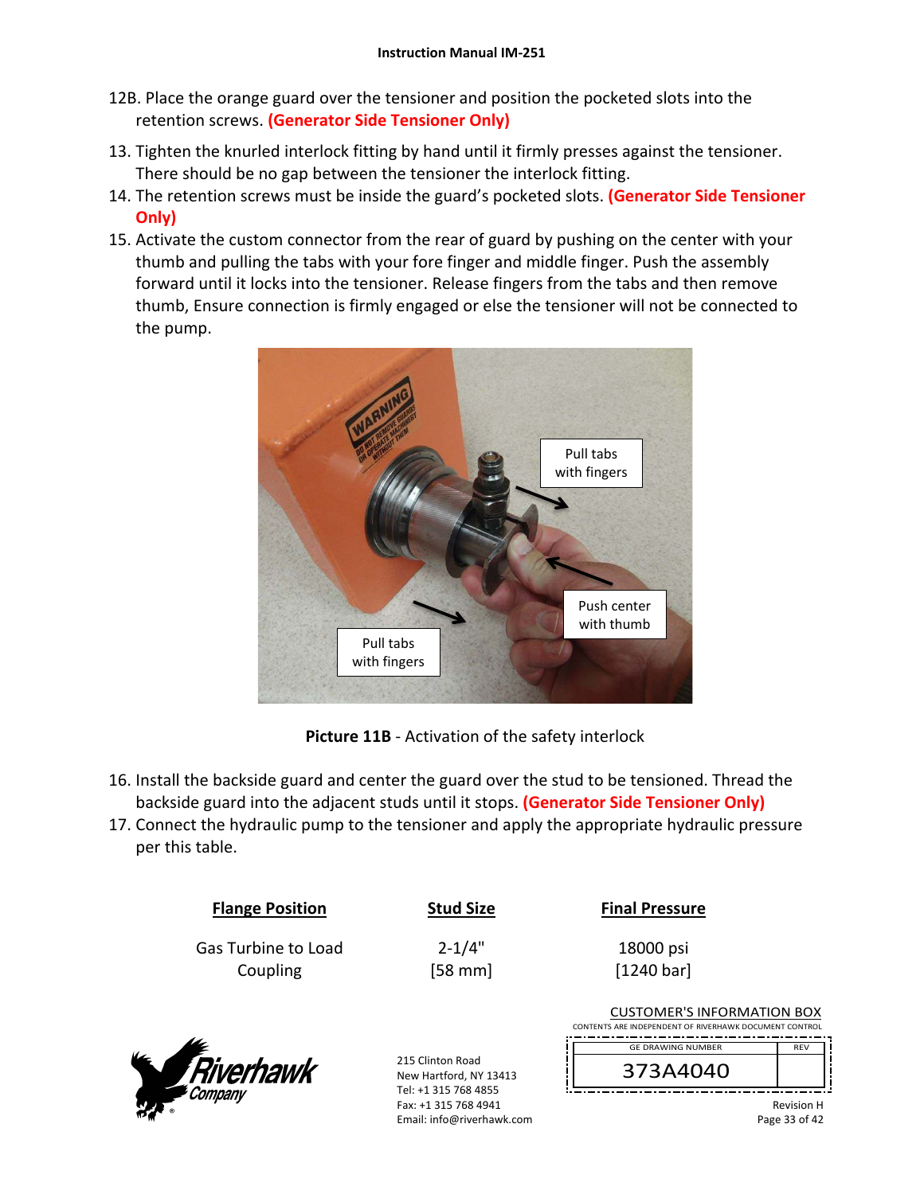- 12B. Place the orange guard over the tensioner and position the pocketed slots into the retention screws. **(Generator Side Tensioner Only)**
- 13. Tighten the knurled interlock fitting by hand until it firmly presses against the tensioner. There should be no gap between the tensioner the interlock fitting.
- 14. The retention screws must be inside the guard's pocketed slots. **(Generator Side Tensioner Only)**
- 15. Activate the custom connector from the rear of guard by pushing on the center with your thumb and pulling the tabs with your fore finger and middle finger. Push the assembly forward until it locks into the tensioner. Release fingers from the tabs and then remove thumb, Ensure connection is firmly engaged or else the tensioner will not be connected to the pump.



**Picture 11B** ‐ Activation of the safety interlock

- 16. Install the backside guard and center the guard over the stud to be tensioned. Thread the backside guard into the adjacent studs until it stops. **(Generator Side Tensioner Only)**
- 17. Connect the hydraulic pump to the tensioner and apply the appropriate hydraulic pressure per this table.

| <b>Flange Position</b>          | <b>Stud Size</b>        | <b>Final Pressure</b>                                                                       |
|---------------------------------|-------------------------|---------------------------------------------------------------------------------------------|
| Gas Turbine to Load<br>Coupling | $2 - 1/4"$<br>$[58$ mm] | 18000 psi<br>[1240 bar]                                                                     |
|                                 |                         | <b>CUSTOMER'S INFORMATION BOX</b><br>CONTENTS ARE INDEPENDENT OF RIVERHAWK DOCUMENT CONTROL |
| ⊮.<br>Divorbound                | 215 Clinton Road        | REV<br><b>GE DRAWING NUMBER</b>                                                             |
|                                 |                         | 373 A A A A A                                                                               |



New Hartford, NY 13413 Tel: +1 315 768 4855 Fax: +1 315 768 4941 Email: info@riverhawk.com 373A4040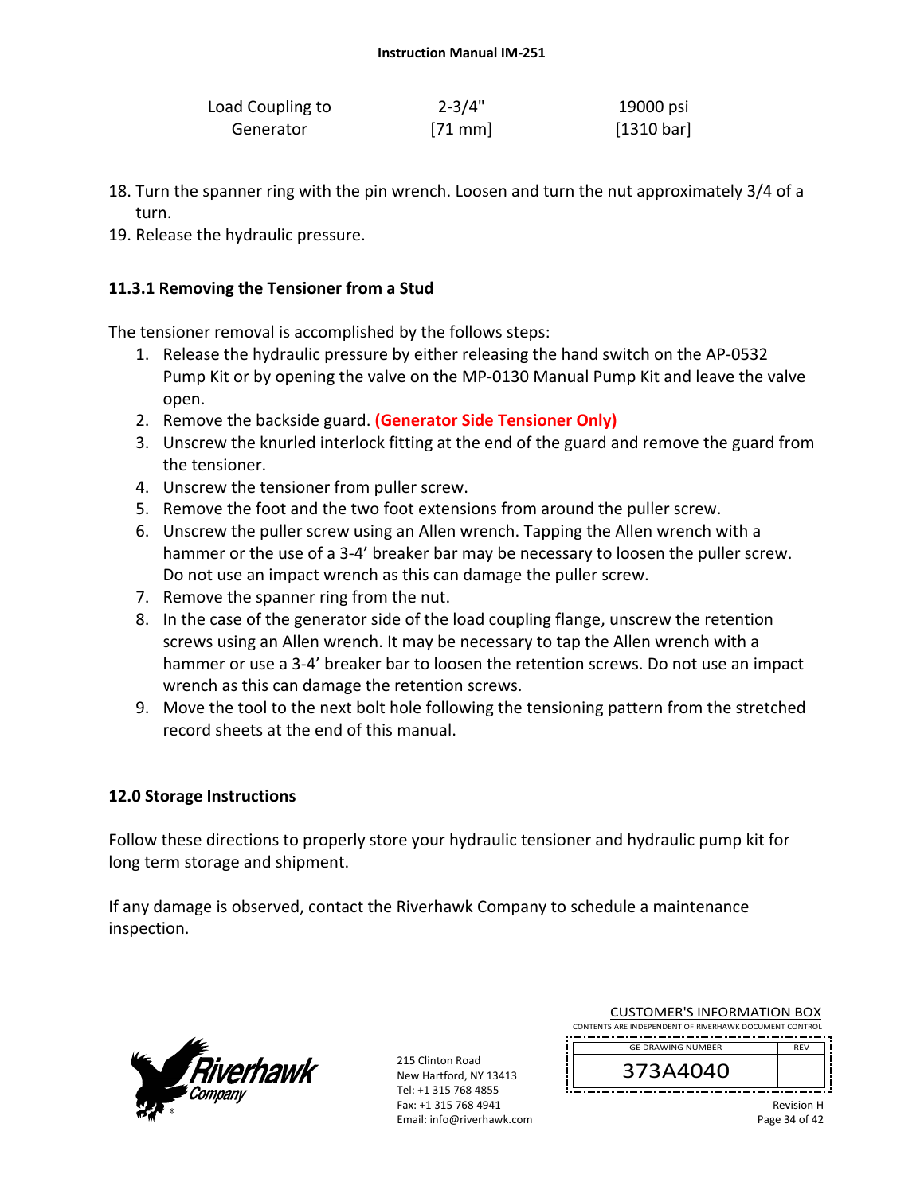| Load Coupling to | $2 - 3/4"$ | 19000 psi  |
|------------------|------------|------------|
| Generator        | $[71$ mm   | [1310 bar] |

- 18. Turn the spanner ring with the pin wrench. Loosen and turn the nut approximately 3/4 of a turn.
- 19. Release the hydraulic pressure.

### **11.3.1 Removing the Tensioner from a Stud**

The tensioner removal is accomplished by the follows steps:

- 1. Release the hydraulic pressure by either releasing the hand switch on the AP‐0532 Pump Kit or by opening the valve on the MP‐0130 Manual Pump Kit and leave the valve open.
- 2. Remove the backside guard. **(Generator Side Tensioner Only)**
- 3. Unscrew the knurled interlock fitting at the end of the guard and remove the guard from the tensioner.
- 4. Unscrew the tensioner from puller screw.
- 5. Remove the foot and the two foot extensions from around the puller screw.
- 6. Unscrew the puller screw using an Allen wrench. Tapping the Allen wrench with a hammer or the use of a 3-4' breaker bar may be necessary to loosen the puller screw. Do not use an impact wrench as this can damage the puller screw.
- 7. Remove the spanner ring from the nut.
- 8. In the case of the generator side of the load coupling flange, unscrew the retention screws using an Allen wrench. It may be necessary to tap the Allen wrench with a hammer or use a 3-4' breaker bar to loosen the retention screws. Do not use an impact wrench as this can damage the retention screws.
- 9. Move the tool to the next bolt hole following the tensioning pattern from the stretched record sheets at the end of this manual.

#### **12.0 Storage Instructions**

Follow these directions to properly store your hydraulic tensioner and hydraulic pump kit for long term storage and shipment.

If any damage is observed, contact the Riverhawk Company to schedule a maintenance inspection.



215 Clinton Road New Hartford, NY 13413 Tel: +1 315 768 4855 Fax: +1 315 768 4941 Email: info@riverhawk.com

| <b>CUSTOMER'S INFORMATION BOX</b>                      |            |  |
|--------------------------------------------------------|------------|--|
| CONTENTS ARE INDEPENDENT OF RIVERHAWK DOCUMENT CONTROL |            |  |
| <b>GE DRAWING NUMBER</b>                               | <b>RFV</b> |  |
| 373A4040                                               |            |  |

Revision H Page 34 of 42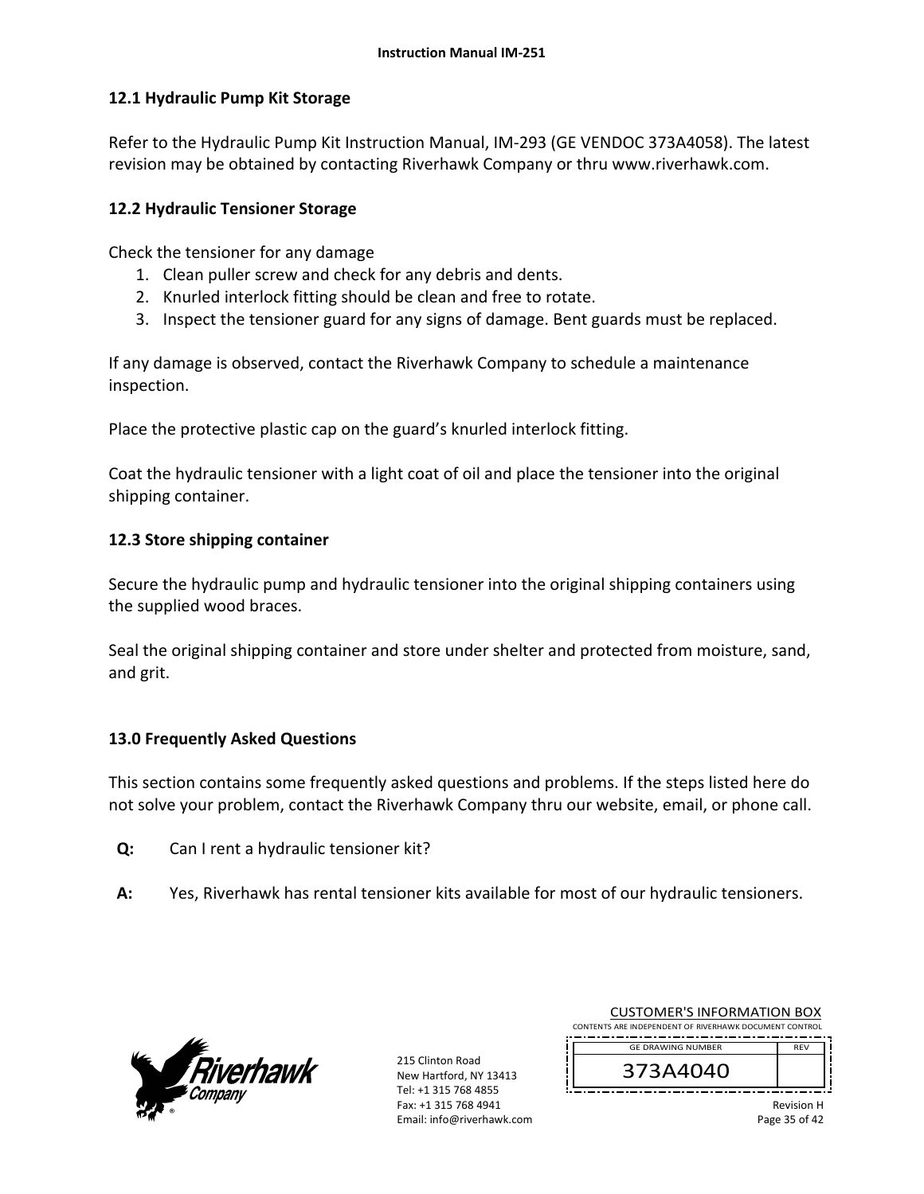## **12.1 Hydraulic Pump Kit Storage**

Refer to the Hydraulic Pump Kit Instruction Manual, IM‐293 (GE VENDOC 373A4058). The latest revision may be obtained by contacting Riverhawk Company or thru www.riverhawk.com.

## **12.2 Hydraulic Tensioner Storage**

Check the tensioner for any damage

- 1. Clean puller screw and check for any debris and dents.
- 2. Knurled interlock fitting should be clean and free to rotate.
- 3. Inspect the tensioner guard for any signs of damage. Bent guards must be replaced.

If any damage is observed, contact the Riverhawk Company to schedule a maintenance inspection.

Place the protective plastic cap on the guard's knurled interlock fitting.

Coat the hydraulic tensioner with a light coat of oil and place the tensioner into the original shipping container.

## **12.3 Store shipping container**

Secure the hydraulic pump and hydraulic tensioner into the original shipping containers using the supplied wood braces.

Seal the original shipping container and store under shelter and protected from moisture, sand, and grit.

## **13.0 Frequently Asked Questions**

This section contains some frequently asked questions and problems. If the steps listed here do not solve your problem, contact the Riverhawk Company thru our website, email, or phone call.

- **Q:**  Can I rent a hydraulic tensioner kit?
- **A:**  Yes, Riverhawk has rental tensioner kits available for most of our hydraulic tensioners.



215 Clinton Road New Hartford, NY 13413 Tel: +1 315 768 4855 Fax: +1 315 768 4941 Email: info@riverhawk.com

| CONTENTS ARE INDEPENDENT OF RIVERHAWK DOCUMENT CONTROL |            |
|--------------------------------------------------------|------------|
| <b>GE DRAWING NUMBER</b>                               | <b>RFV</b> |
| 373A4040                                               |            |
|                                                        |            |

CUSTOMER'S INFORMATION BOX

Revision H Page 35 of 42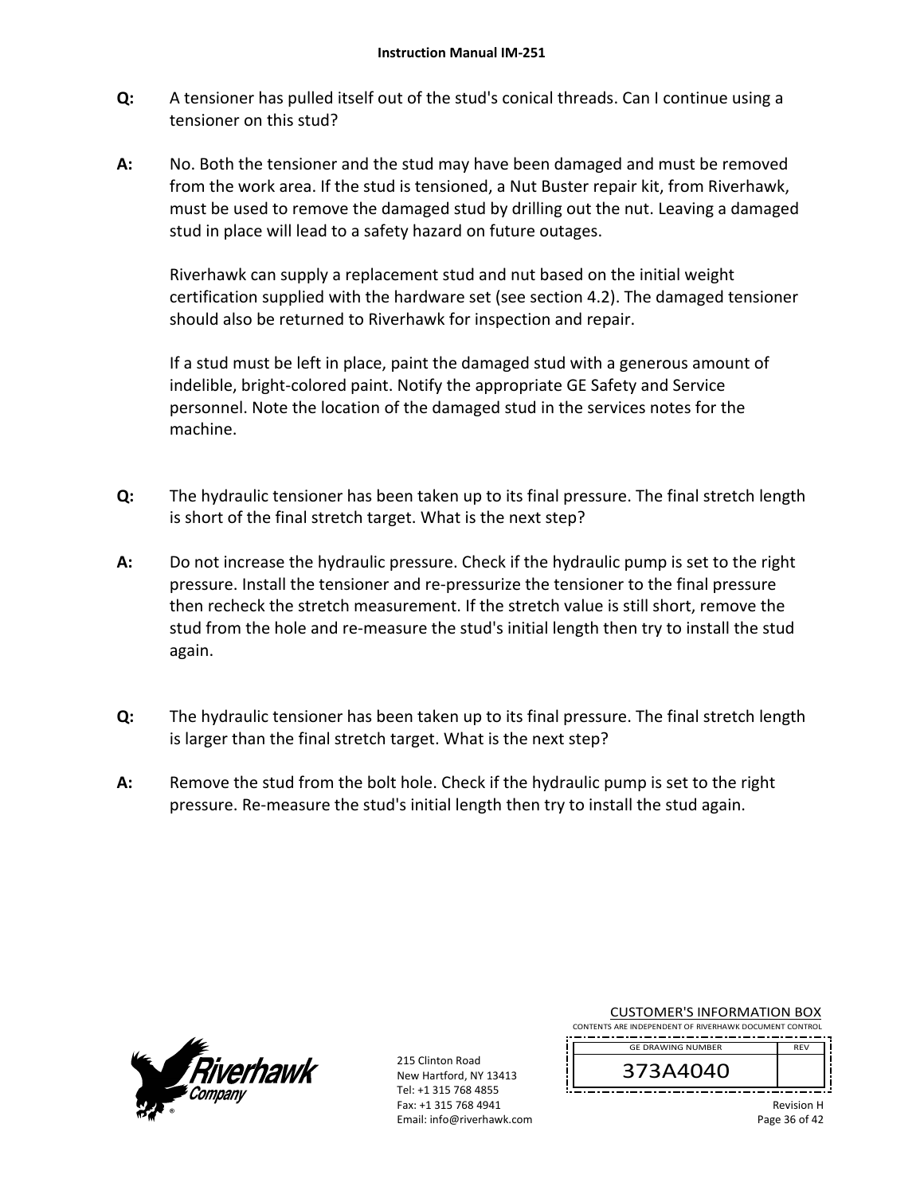- **Q:**  A tensioner has pulled itself out of the stud's conical threads. Can I continue using a tensioner on this stud?
- **A:**  No. Both the tensioner and the stud may have been damaged and must be removed from the work area. If the stud is tensioned, a Nut Buster repair kit, from Riverhawk, must be used to remove the damaged stud by drilling out the nut. Leaving a damaged stud in place will lead to a safety hazard on future outages.

Riverhawk can supply a replacement stud and nut based on the initial weight certification supplied with the hardware set (see section 4.2). The damaged tensioner should also be returned to Riverhawk for inspection and repair.

If a stud must be left in place, paint the damaged stud with a generous amount of indelible, bright‐colored paint. Notify the appropriate GE Safety and Service personnel. Note the location of the damaged stud in the services notes for the machine.

- **Q:**  The hydraulic tensioner has been taken up to its final pressure. The final stretch length is short of the final stretch target. What is the next step?
- **A:**  Do not increase the hydraulic pressure. Check if the hydraulic pump is set to the right pressure. Install the tensioner and re‐pressurize the tensioner to the final pressure then recheck the stretch measurement. If the stretch value is still short, remove the stud from the hole and re-measure the stud's initial length then try to install the stud again.
- **Q:**  The hydraulic tensioner has been taken up to its final pressure. The final stretch length is larger than the final stretch target. What is the next step?
- **A:**  Remove the stud from the bolt hole. Check if the hydraulic pump is set to the right pressure. Re‐measure the stud's initial length then try to install the stud again.



215 Clinton Road New Hartford, NY 13413 Tel: +1 315 768 4855 Fax: +1 315 768 4941 Email: info@riverhawk.com ĵ.

| CONTENTS ARE INDEPENDENT OF RIVERHAWK DOCUMENT CONTROL |            |
|--------------------------------------------------------|------------|
| <b>GE DRAWING NUMBER</b>                               | <b>RFV</b> |
| 373A4040                                               |            |

CUSTOMER'S INFORMATION BOX

Revision H Page 36 of 42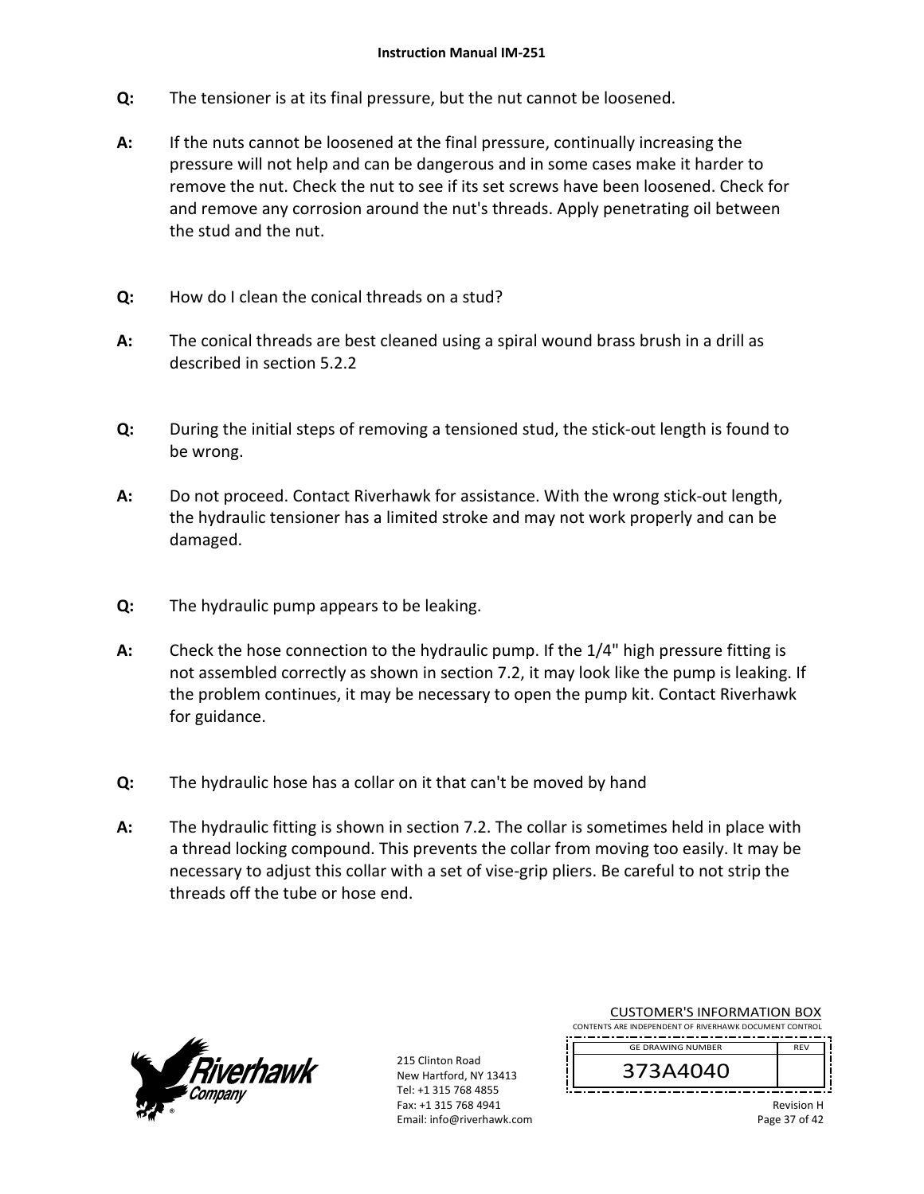- **Q:**  The tensioner is at its final pressure, but the nut cannot be loosened.
- **A:**  If the nuts cannot be loosened at the final pressure, continually increasing the pressure will not help and can be dangerous and in some cases make it harder to remove the nut. Check the nut to see if its set screws have been loosened. Check for and remove any corrosion around the nut's threads. Apply penetrating oil between the stud and the nut.
- **Q:**  How do I clean the conical threads on a stud?
- **A:**  The conical threads are best cleaned using a spiral wound brass brush in a drill as described in section 5.2.2
- **Q:**  During the initial steps of removing a tensioned stud, the stick‐out length is found to be wrong.
- **A:**  Do not proceed. Contact Riverhawk for assistance. With the wrong stick‐out length, the hydraulic tensioner has a limited stroke and may not work properly and can be damaged.
- **Q:**  The hydraulic pump appears to be leaking.
- **A:**  Check the hose connection to the hydraulic pump. If the 1/4" high pressure fitting is not assembled correctly as shown in section 7.2, it may look like the pump is leaking. If the problem continues, it may be necessary to open the pump kit. Contact Riverhawk for guidance.
- **Q:**  The hydraulic hose has a collar on it that can't be moved by hand
- **A:**  The hydraulic fitting is shown in section 7.2. The collar is sometimes held in place with a thread locking compound. This prevents the collar from moving too easily. It may be necessary to adjust this collar with a set of vise‐grip pliers. Be careful to not strip the threads off the tube or hose end.



215 Clinton Road New Hartford, NY 13413 Tel: +1 315 768 4855 Fax: +1 315 768 4941 Email: info@riverhawk.com

| CONTENTS ARE INDEPENDENT OF RIVERHAWK DOCUMENT CONTROL |            |
|--------------------------------------------------------|------------|
| <b>GE DRAWING NUMBER</b>                               | <b>RFV</b> |
| 373A4040                                               |            |
|                                                        | .<br>.     |

CUSTOMER'S INFORMATION BOX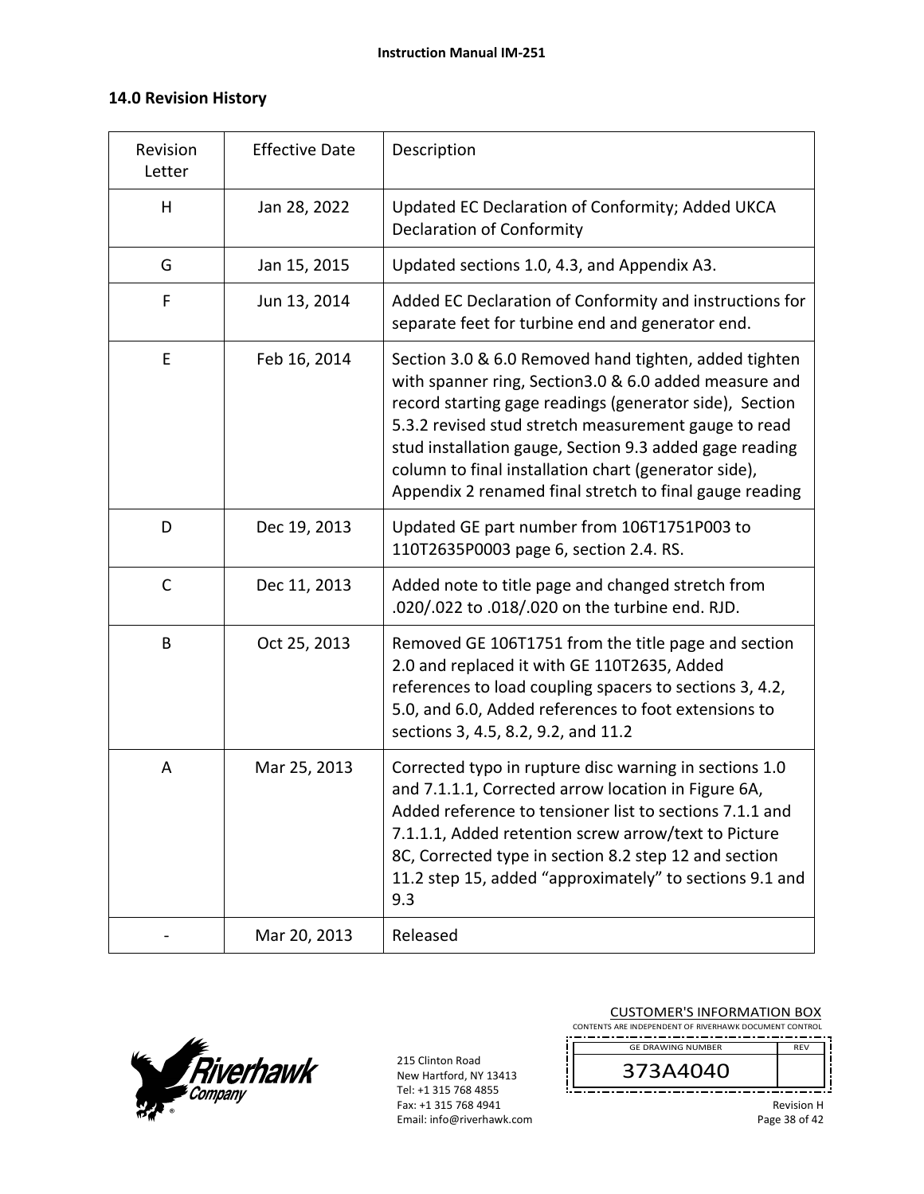## **14.0 Revision History**

| Revision<br>Letter | <b>Effective Date</b> | Description                                                                                                                                                                                                                                                                                                                                                                                                     |
|--------------------|-----------------------|-----------------------------------------------------------------------------------------------------------------------------------------------------------------------------------------------------------------------------------------------------------------------------------------------------------------------------------------------------------------------------------------------------------------|
| H                  | Jan 28, 2022          | Updated EC Declaration of Conformity; Added UKCA<br><b>Declaration of Conformity</b>                                                                                                                                                                                                                                                                                                                            |
| G                  | Jan 15, 2015          | Updated sections 1.0, 4.3, and Appendix A3.                                                                                                                                                                                                                                                                                                                                                                     |
| F                  | Jun 13, 2014          | Added EC Declaration of Conformity and instructions for<br>separate feet for turbine end and generator end.                                                                                                                                                                                                                                                                                                     |
| E                  | Feb 16, 2014          | Section 3.0 & 6.0 Removed hand tighten, added tighten<br>with spanner ring, Section3.0 & 6.0 added measure and<br>record starting gage readings (generator side), Section<br>5.3.2 revised stud stretch measurement gauge to read<br>stud installation gauge, Section 9.3 added gage reading<br>column to final installation chart (generator side),<br>Appendix 2 renamed final stretch to final gauge reading |
| D                  | Dec 19, 2013          | Updated GE part number from 106T1751P003 to<br>110T2635P0003 page 6, section 2.4. RS.                                                                                                                                                                                                                                                                                                                           |
| $\mathsf{C}$       | Dec 11, 2013          | Added note to title page and changed stretch from<br>.020/.022 to .018/.020 on the turbine end. RJD.                                                                                                                                                                                                                                                                                                            |
| B                  | Oct 25, 2013          | Removed GE 106T1751 from the title page and section<br>2.0 and replaced it with GE 110T2635, Added<br>references to load coupling spacers to sections 3, 4.2,<br>5.0, and 6.0, Added references to foot extensions to<br>sections 3, 4.5, 8.2, 9.2, and 11.2                                                                                                                                                    |
| A                  | Mar 25, 2013          | Corrected typo in rupture disc warning in sections 1.0<br>and 7.1.1.1, Corrected arrow location in Figure 6A,<br>Added reference to tensioner list to sections 7.1.1 and<br>7.1.1.1, Added retention screw arrow/text to Picture<br>8C, Corrected type in section 8.2 step 12 and section<br>11.2 step 15, added "approximately" to sections 9.1 and<br>9.3                                                     |
|                    | Mar 20, 2013          | Released                                                                                                                                                                                                                                                                                                                                                                                                        |



| <b>CUSTOMER'S INFORMATION BOX</b><br>CONTENTS ARE INDEPENDENT OF RIVERHAWK DOCUMENT CONTROL |                   |
|---------------------------------------------------------------------------------------------|-------------------|
| <b>GE DRAWING NUMBER</b>                                                                    | <b>RFV</b>        |
| 373A4040                                                                                    |                   |
|                                                                                             | <b>Revision H</b> |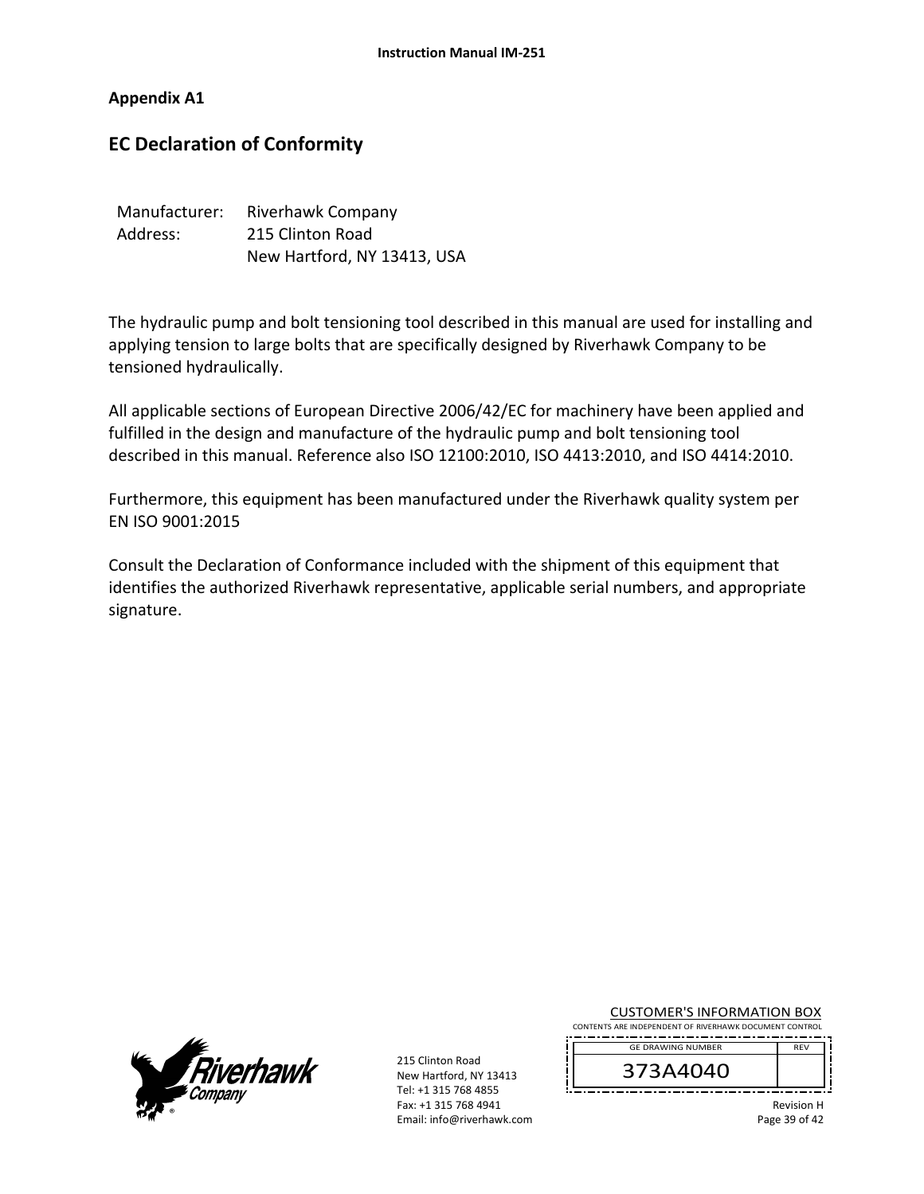**Appendix A1** 

# **EC Declaration of Conformity**

| Manufacturer: | Riverhawk Company           |  |
|---------------|-----------------------------|--|
| Address:      | 215 Clinton Road            |  |
|               | New Hartford, NY 13413, USA |  |

The hydraulic pump and bolt tensioning tool described in this manual are used for installing and applying tension to large bolts that are specifically designed by Riverhawk Company to be tensioned hydraulically.

All applicable sections of European Directive 2006/42/EC for machinery have been applied and fulfilled in the design and manufacture of the hydraulic pump and bolt tensioning tool described in this manual. Reference also ISO 12100:2010, ISO 4413:2010, and ISO 4414:2010.

Furthermore, this equipment has been manufactured under the Riverhawk quality system per EN ISO 9001:2015

Consult the Declaration of Conformance included with the shipment of this equipment that identifies the authorized Riverhawk representative, applicable serial numbers, and appropriate signature.



215 Clinton Road New Hartford, NY 13413 Tel: +1 315 768 4855 Fax: +1 315 768 4941 Email: info@riverhawk.com

| <b>CUSTOMER'S INFORMATION BOX</b>                      |            |
|--------------------------------------------------------|------------|
| CONTENTS ARE INDEPENDENT OF RIVERHAWK DOCUMENT CONTROL |            |
|                                                        |            |
| <b>GE DRAWING NUMBER</b>                               | <b>RFV</b> |
| 373A4040                                               |            |

Revision H Page 39 of 42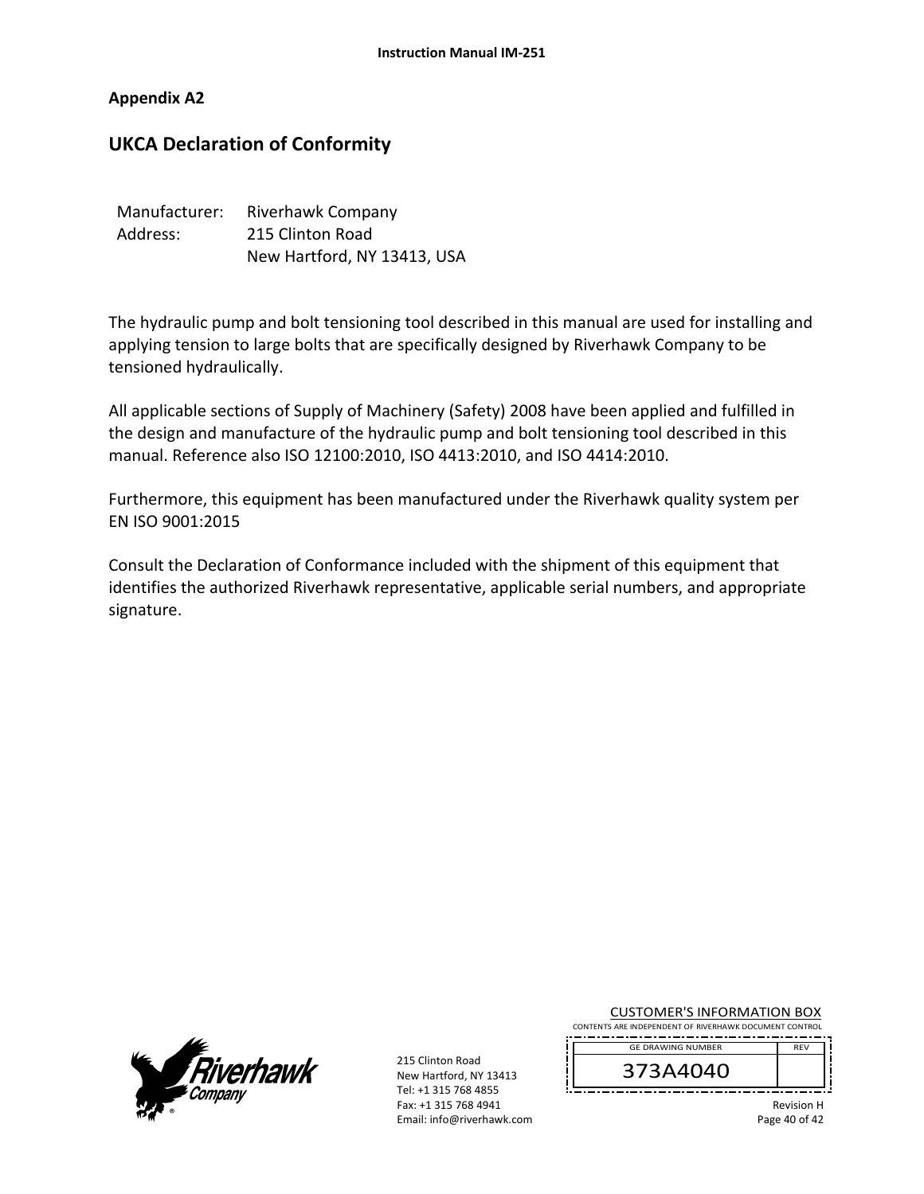## **Appendix A2**

# **UKCA Declaration of Conformity**

| Manufacturer: | <b>Riverhawk Company</b>    |  |
|---------------|-----------------------------|--|
| Address:      | 215 Clinton Road            |  |
|               | New Hartford, NY 13413, USA |  |

The hydraulic pump and bolt tensioning tool described in this manual are used for installing and applying tension to large bolts that are specifically designed by Riverhawk Company to be tensioned hydraulically.

All applicable sections of Supply of Machinery (Safety) 2008 have been applied and fulfilled in the design and manufacture of the hydraulic pump and bolt tensioning tool described in this manual. Reference also ISO 12100:2010, ISO 4413:2010, and ISO 4414:2010.

Furthermore, this equipment has been manufactured under the Riverhawk quality system per EN ISO 9001:2015

Consult the Declaration of Conformance included with the shipment of this equipment that identifies the authorized Riverhawk representative, applicable serial numbers, and appropriate signature.



215 Clinton Road New Hartford, NY 13413 Tel: +1 315 768 4855 Fax: +1 315 768 4941 Email: info@riverhawk.com

| <b>CUSTOMER'S INFORMATION BOX</b>                      |            |  |
|--------------------------------------------------------|------------|--|
| CONTENTS ARE INDEPENDENT OF RIVERHAWK DOCUMENT CONTROL |            |  |
| <b>GE DRAWING NUMBER</b>                               | <b>REV</b> |  |
|                                                        |            |  |

373A4040

Revision H

Page 40 of 42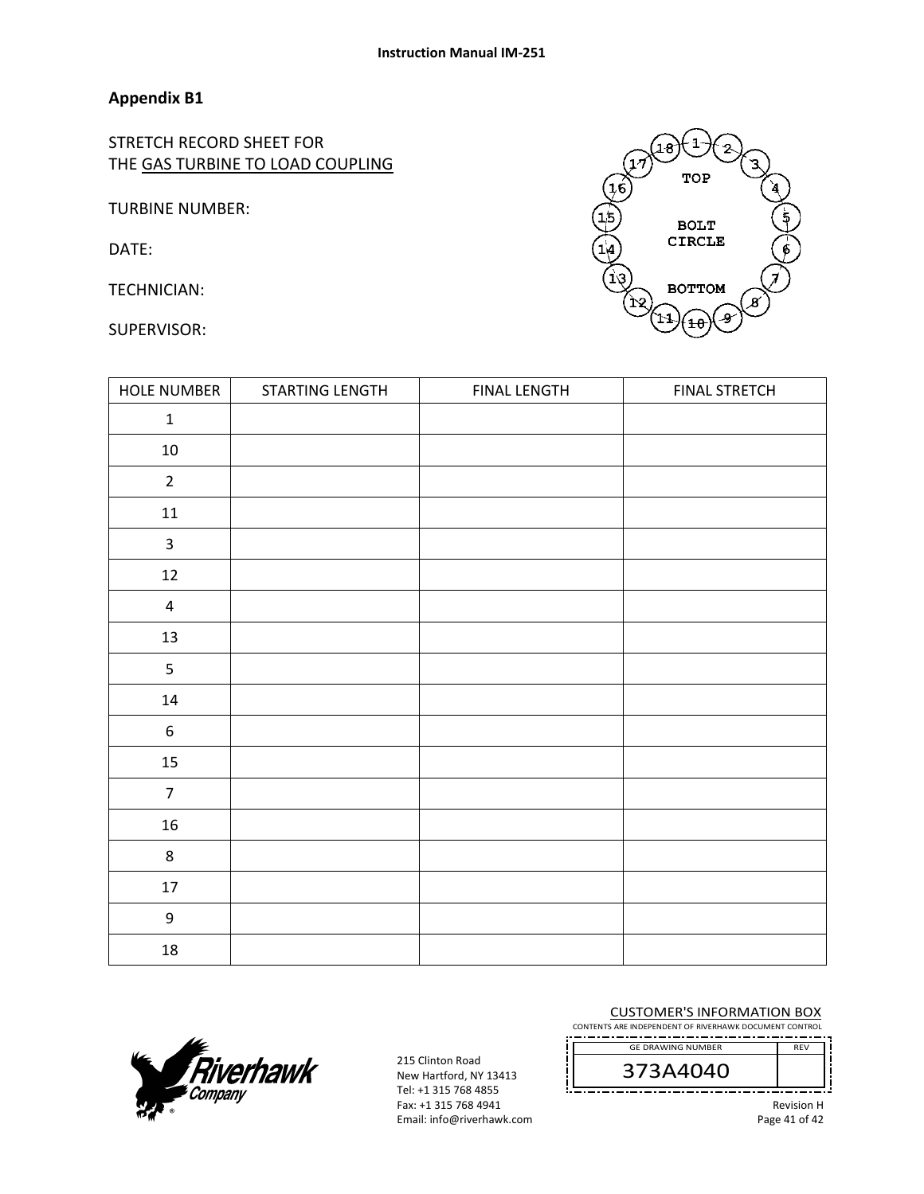## **Appendix B1**

STRETCH RECORD SHEET FOR THE GAS TURBINE TO LOAD COUPLING

TURBINE NUMBER:

DATE:

TECHNICIAN:

SUI

| UPERVISOR:         |                 |                     | ີ້<br>ピノ<br>کھ<br>(11<br>łθ |
|--------------------|-----------------|---------------------|-----------------------------|
| <b>HOLE NUMBER</b> | STARTING LENGTH | <b>FINAL LENGTH</b> | <b>FINAL STRETCH</b>        |
| $\mathbf 1$        |                 |                     |                             |
| 10                 |                 |                     |                             |
| $\overline{2}$     |                 |                     |                             |
| 11                 |                 |                     |                             |
| $\mathsf{3}$       |                 |                     |                             |
| $12\,$             |                 |                     |                             |
| $\overline{4}$     |                 |                     |                             |
| 13                 |                 |                     |                             |
| 5                  |                 |                     |                             |
| 14                 |                 |                     |                             |
| 6                  |                 |                     |                             |
| 15                 |                 |                     |                             |
| $\overline{7}$     |                 |                     |                             |
| 16                 |                 |                     |                             |
| 8                  |                 |                     |                             |
| 17                 |                 |                     |                             |
| 9                  |                 |                     |                             |



215 Clinton Road New Hartford, NY 13413 Tel: +1 315 768 4855 Fax: +1 315 768 4941 Email: info@riverhawk.com

18

#### CUSTOMER'S INFORMATION BOX

CONTENTS ARE INDEPENDENT OF RIVERHAWK DOCUMENT CONTROL . . **. . . . . .** . . GE DRAWING NUMBER

373A4040

Revision H Page 41 of 42

REV

 $\overline{\mathbf{1}}$ .<br>18 TOP **BOLT**  $\frac{10}{10}$ **CIRCLE** (1३ **BOTTOM**